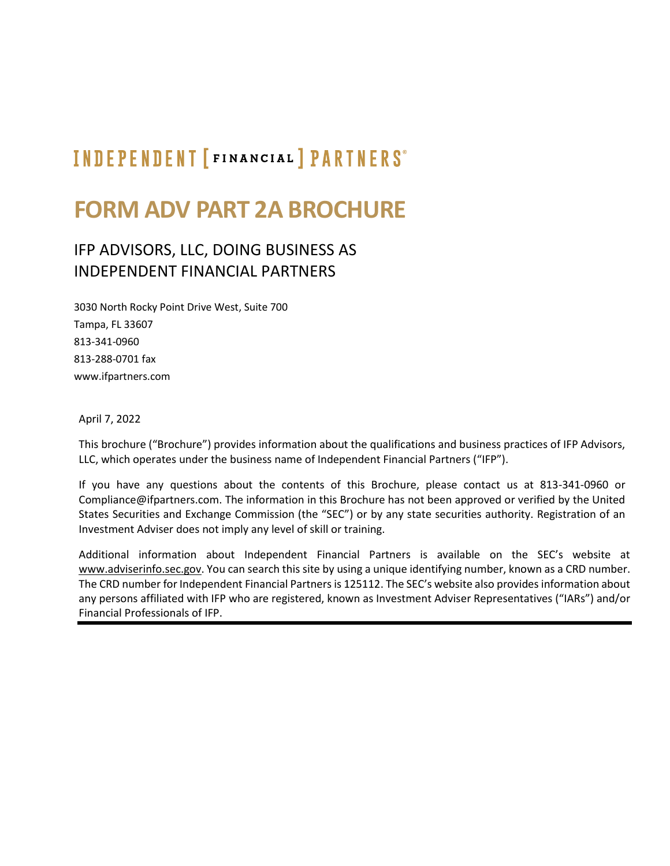# INDEPENDENT [FINANCIAL] PARTNERS®

# **FORM ADV PART 2A BROCHURE**

# IFP ADVISORS, LLC, DOING BUSINESS AS INDEPENDENT FINANCIAL PARTNERS

3030 North Rocky Point Drive West, Suite 700 Tampa, FL 33607 813-341-0960 813-288-0701 fax www.ifpartners.com

April 7, 2022

This brochure ("Brochure") provides information about the qualifications and business practices of IFP Advisors, LLC, which operates under the business name of Independent Financial Partners ("IFP").

If you have any questions about the contents of this Brochure, please contact us at 813-341-0960 or [Compliance@ifpartners.com. T](mailto:Compliance@ifpartners.com.)he information in this Brochure has not been approved or verified by the United States Securities and Exchange Commission (the "SEC") or by any state securities authority. Registration of an Investment Adviser does not imply any level of skill or training.

Additional information about Independent Financial Partners is available on the SEC's website at [www.adviserinfo.sec.gov. Y](http://www.adviserinfo.sec.gov/)ou can search this site by using a unique identifying number, known as a CRD number. The CRD number for Independent Financial Partners is 125112. The SEC's website also provides information about any persons affiliated with IFP who are registered, known as Investment Adviser Representatives ("IARs") and/or Financial Professionals of IFP.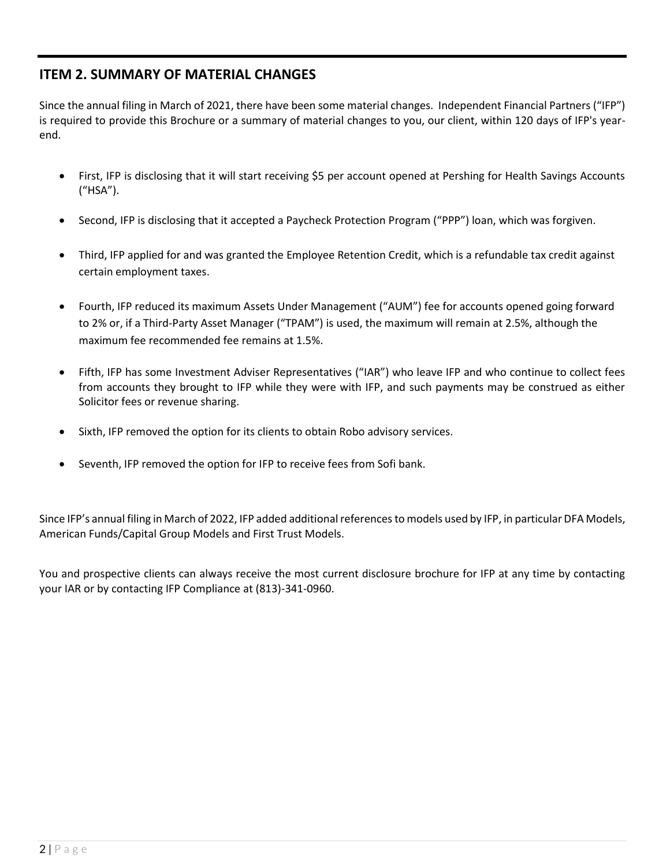# <span id="page-1-0"></span>**ITEM 2. SUMMARY OF MATERIAL CHANGES**

Since the annual filing in March of 2021, there have been some material changes. Independent Financial Partners ("IFP") is required to provide this Brochure or a summary of material changes to you, our client, within 120 days of IFP's yearend.

- First, IFP is disclosing that it will start receiving \$5 per account opened at Pershing for Health Savings Accounts ("HSA").
- Second, IFP is disclosing that it accepted a Paycheck Protection Program ("PPP") loan, which was forgiven.
- Third, IFP applied for and was granted the Employee Retention Credit, which is a refundable tax credit against certain employment taxes.
- Fourth, IFP reduced its maximum Assets Under Management ("AUM") fee for accounts opened going forward to 2% or, if a Third-Party Asset Manager ("TPAM") is used, the maximum will remain at 2.5%, although the maximum fee recommended fee remains at 1.5%.
- Fifth, IFP has some Investment Adviser Representatives ("IAR") who leave IFP and who continue to collect fees from accounts they brought to IFP while they were with IFP, and such payments may be construed as either Solicitor fees or revenue sharing.
- Sixth, IFP removed the option for its clients to obtain Robo advisory services.
- Seventh, IFP removed the option for IFP to receive fees from Sofi bank.

Since IFP's annual filing in March of 2022, IFP added additional references to models used by IFP, in particular DFA Models, American Funds/Capital Group Models and First Trust Models.

You and prospective clients can always receive the most current disclosure brochure for IFP at any time by contacting your IAR or by contacting IFP Compliance at (813)-341-0960.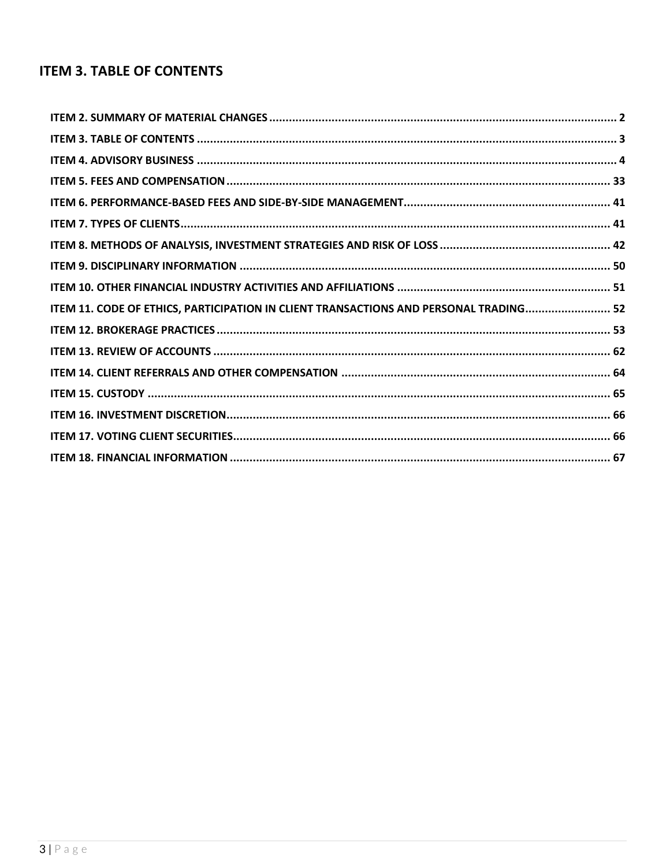# <span id="page-2-0"></span>**ITEM 3. TABLE OF CONTENTS**

| ITEM 11. CODE OF ETHICS, PARTICIPATION IN CLIENT TRANSACTIONS AND PERSONAL TRADING 52 |  |
|---------------------------------------------------------------------------------------|--|
|                                                                                       |  |
|                                                                                       |  |
|                                                                                       |  |
|                                                                                       |  |
|                                                                                       |  |
|                                                                                       |  |
|                                                                                       |  |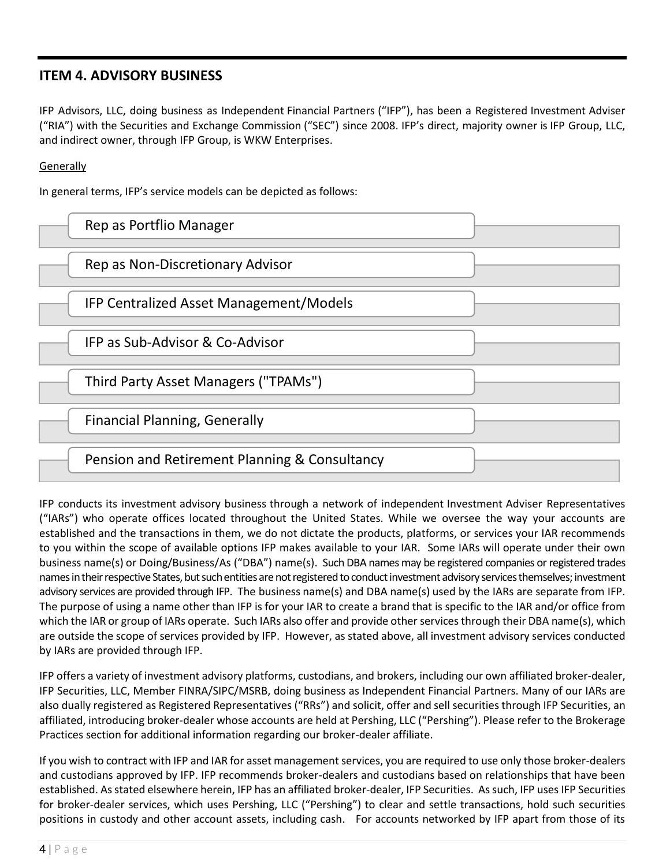# <span id="page-3-0"></span>**ITEM 4. ADVISORY BUSINESS**

IFP Advisors, LLC, doing business as Independent Financial Partners ("IFP"), has been a Registered Investment Adviser ("RIA") with the Securities and Exchange Commission ("SEC") since 2008. IFP's direct, majority owner is IFP Group, LLC, and indirect owner, through IFP Group, is WKW Enterprises.

# **Generally**

In general terms, IFP's service models can be depicted as follows:

| Rep as Portflio Manager                        |  |
|------------------------------------------------|--|
| Rep as Non-Discretionary Advisor               |  |
| <b>IFP Centralized Asset Management/Models</b> |  |
| IFP as Sub-Advisor & Co-Advisor                |  |
| Third Party Asset Managers ("TPAMs")           |  |
| <b>Financial Planning, Generally</b>           |  |
| Pension and Retirement Planning & Consultancy  |  |

IFP conducts its investment advisory business through a network of independent Investment Adviser Representatives ("IARs") who operate offices located throughout the United States. While we oversee the way your accounts are established and the transactions in them, we do not dictate the products, platforms, or services your IAR recommends to you within the scope of available options IFP makes available to your IAR. Some IARs will operate under their own business name(s) or Doing/Business/As ("DBA") name(s). Such DBA names may be registered companies or registered trades names in their respective States, but such entities are not registered to conduct investment advisory services themselves; investment advisory services are provided through IFP. The business name(s) and DBA name(s) used by the IARs are separate from IFP. The purpose of using a name other than IFP is for your IAR to create a brand that is specific to the IAR and/or office from which the IAR or group of IARs operate. Such IARs also offer and provide other services through their DBA name(s), which are outside the scope of services provided by IFP. However, as stated above, all investment advisory services conducted by IARs are provided through IFP.

IFP offers a variety of investment advisory platforms, custodians, and brokers, including our own affiliated broker-dealer, IFP Securities, LLC, Member FINRA/SIPC/MSRB, doing business as Independent Financial Partners. Many of our IARs are also dually registered as Registered Representatives ("RRs") and solicit, offer and sell securities through IFP Securities, an affiliated, introducing broker-dealer whose accounts are held at Pershing, LLC ("Pershing"). Please refer to the Brokerage Practices section for additional information regarding our broker-dealer affiliate.

If you wish to contract with IFP and IAR for asset management services, you are required to use only those broker‐dealers and custodians approved by IFP. IFP recommends broker-dealers and custodians based on relationships that have been established. As stated elsewhere herein, IFP has an affiliated broker-dealer, IFP Securities. As such, IFP uses IFP Securities for broker-dealer services, which uses Pershing, LLC ("Pershing") to clear and settle transactions, hold such securities positions in custody and other account assets, including cash. For accounts networked by IFP apart from those of its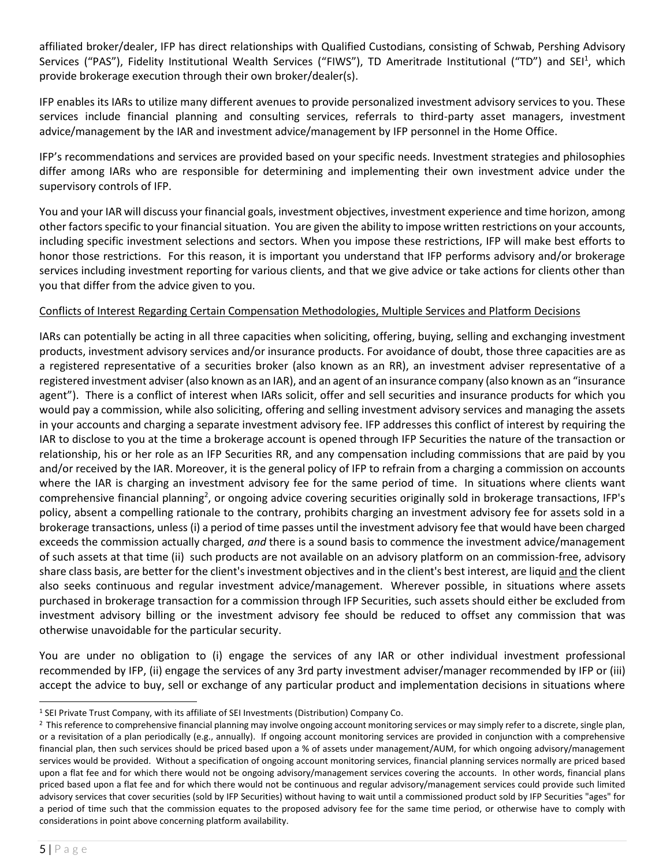affiliated broker/dealer, IFP has direct relationships with Qualified Custodians, consisting of Schwab, Pershing Advisory Services ("PAS"), Fidelity Institutional Wealth Services ("FIWS"), TD Ameritrade Institutional ("TD") and SEI<sup>1</sup>, which provide brokerage execution through their own broker/dealer(s).

IFP enables its IARs to utilize many different avenues to provide personalized investment advisory services to you. These services include financial planning and consulting services, referrals to third-party asset managers, investment advice/management by the IAR and investment advice/management by IFP personnel in the Home Office.

IFP's recommendations and services are provided based on your specific needs. Investment strategies and philosophies differ among IARs who are responsible for determining and implementing their own investment advice under the supervisory controls of IFP.

You and your IAR will discuss your financial goals, investment objectives, investment experience and time horizon, among other factors specific to your financial situation. You are given the ability to impose written restrictions on your accounts, including specific investment selections and sectors. When you impose these restrictions, IFP will make best efforts to honor those restrictions. For this reason, it is important you understand that IFP performs advisory and/or brokerage services including investment reporting for various clients, and that we give advice or take actions for clients other than you that differ from the advice given to you.

# Conflicts of Interest Regarding Certain Compensation Methodologies, Multiple Services and Platform Decisions

IARs can potentially be acting in all three capacities when soliciting, offering, buying, selling and exchanging investment products, investment advisory services and/or insurance products. For avoidance of doubt, those three capacities are as a registered representative of a securities broker (also known as an RR), an investment adviser representative of a registered investment adviser (also known as an IAR), and an agent of an insurance company (also known as an "insurance agent"). There is a conflict of interest when IARs solicit, offer and sell securities and insurance products for which you would pay a commission, while also soliciting, offering and selling investment advisory services and managing the assets in your accounts and charging a separate investment advisory fee. IFP addresses this conflict of interest by requiring the IAR to disclose to you at the time a brokerage account is opened through IFP Securities the nature of the transaction or relationship, his or her role as an IFP Securities RR, and any compensation including commissions that are paid by you and/or received by the IAR. Moreover, it is the general policy of IFP to refrain from a charging a commission on accounts where the IAR is charging an investment advisory fee for the same period of time. In situations where clients want comprehensive financial planning<sup>2</sup>, or ongoing advice covering securities originally sold in brokerage transactions, IFP's policy, absent a compelling rationale to the contrary, prohibits charging an investment advisory fee for assets sold in a brokerage transactions, unless (i) a period of time passes until the investment advisory fee that would have been charged exceeds the commission actually charged, *and* there is a sound basis to commence the investment advice/management of such assets at that time (ii) such products are not available on an advisory platform on an commission-free, advisory share class basis, are better for the client's investment objectives and in the client's best interest, are liquid and the client also seeks continuous and regular investment advice/management. Wherever possible, in situations where assets purchased in brokerage transaction for a commission through IFP Securities, such assets should either be excluded from investment advisory billing or the investment advisory fee should be reduced to offset any commission that was otherwise unavoidable for the particular security.

You are under no obligation to (i) engage the services of any IAR or other individual investment professional recommended by IFP, (ii) engage the services of any 3rd party investment adviser/manager recommended by IFP or (iii) accept the advice to buy, sell or exchange of any particular product and implementation decisions in situations where

<sup>1</sup> SEI Private Trust Company, with its affiliate of SEI Investments (Distribution) Company Co.

<sup>&</sup>lt;sup>2</sup> This reference to comprehensive financial planning may involve ongoing account monitoring services or may simply refer to a discrete, single plan, or a revisitation of a plan periodically (e.g., annually). If ongoing account monitoring services are provided in conjunction with a comprehensive financial plan, then such services should be priced based upon a % of assets under management/AUM, for which ongoing advisory/management services would be provided. Without a specification of ongoing account monitoring services, financial planning services normally are priced based upon a flat fee and for which there would not be ongoing advisory/management services covering the accounts. In other words, financial plans priced based upon a flat fee and for which there would not be continuous and regular advisory/management services could provide such limited advisory services that cover securities (sold by IFP Securities) without having to wait until a commissioned product sold by IFP Securities "ages" for a period of time such that the commission equates to the proposed advisory fee for the same time period, or otherwise have to comply with considerations in point above concerning platform availability.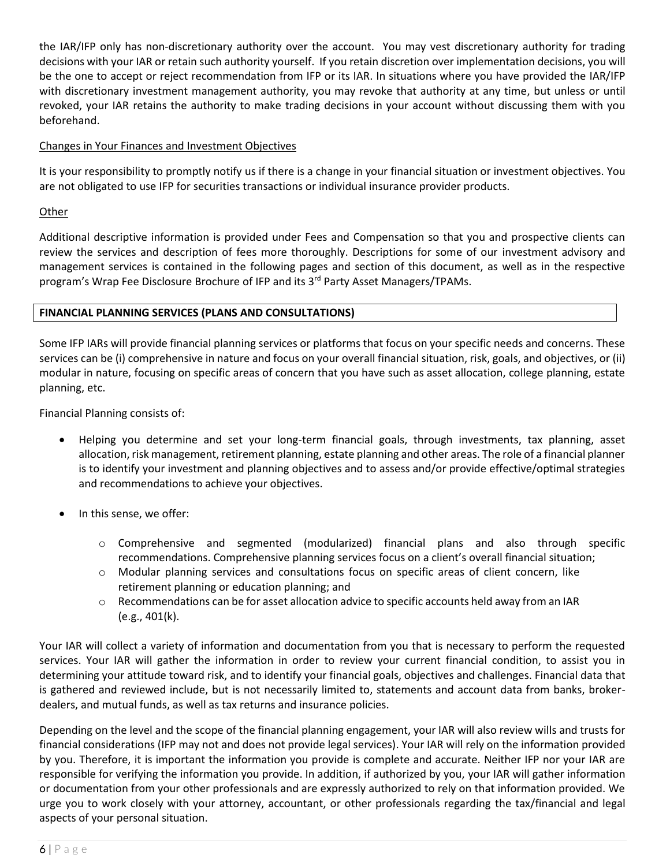the IAR/IFP only has non-discretionary authority over the account. You may vest discretionary authority for trading decisions with your IAR or retain such authority yourself. If you retain discretion over implementation decisions, you will be the one to accept or reject recommendation from IFP or its IAR. In situations where you have provided the IAR/IFP with discretionary investment management authority, you may revoke that authority at any time, but unless or until revoked, your IAR retains the authority to make trading decisions in your account without discussing them with you beforehand.

# Changes in Your Finances and Investment Objectives

It is your responsibility to promptly notify us if there is a change in your financial situation or investment objectives. You are not obligated to use IFP for securities transactions or individual insurance provider products.

# **Other**

Additional descriptive information is provided under Fees and Compensation so that you and prospective clients can review the services and description of fees more thoroughly. Descriptions for some of our investment advisory and management services is contained in the following pages and section of this document, as well as in the respective program's Wrap Fee Disclosure Brochure of IFP and its 3<sup>rd</sup> Party Asset Managers/TPAMs.

# **FINANCIAL PLANNING SERVICES (PLANS AND CONSULTATIONS)**

Some IFP IARs will provide financial planning services or platforms that focus on your specific needs and concerns. These services can be (i) comprehensive in nature and focus on your overall financial situation, risk, goals, and objectives, or (ii) modular in nature, focusing on specific areas of concern that you have such as asset allocation, college planning, estate planning, etc.

Financial Planning consists of:

- Helping you determine and set your long-term financial goals, through investments, tax planning, asset allocation, risk management, retirement planning, estate planning and other areas. The role of a financial planner is to identify your investment and planning objectives and to assess and/or provide effective/optimal strategies and recommendations to achieve your objectives.
- In this sense, we offer:
	- o Comprehensive and segmented (modularized) financial plans and also through specific recommendations. Comprehensive planning services focus on a client's overall financial situation;
	- o Modular planning services and consultations focus on specific areas of client concern, like retirement planning or education planning; and
	- $\circ$  Recommendations can be for asset allocation advice to specific accounts held away from an IAR (e.g., 401(k).

Your IAR will collect a variety of information and documentation from you that is necessary to perform the requested services. Your IAR will gather the information in order to review your current financial condition, to assist you in determining your attitude toward risk, and to identify your financial goals, objectives and challenges. Financial data that is gathered and reviewed include, but is not necessarily limited to, statements and account data from banks, broker‐ dealers, and mutual funds, as well as tax returns and insurance policies.

Depending on the level and the scope of the financial planning engagement, your IAR will also review wills and trusts for financial considerations (IFP may not and does not provide legal services). Your IAR will rely on the information provided by you. Therefore, it is important the information you provide is complete and accurate. Neither IFP nor your IAR are responsible for verifying the information you provide. In addition, if authorized by you, your IAR will gather information or documentation from your other professionals and are expressly authorized to rely on that information provided. We urge you to work closely with your attorney, accountant, or other professionals regarding the tax/financial and legal aspects of your personal situation.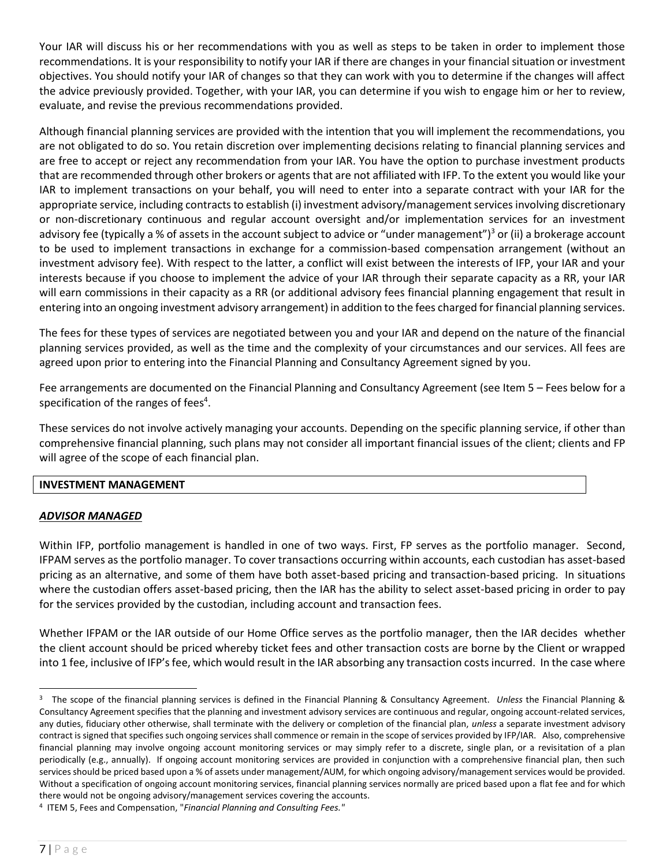Your IAR will discuss his or her recommendations with you as well as steps to be taken in order to implement those recommendations. It is your responsibility to notify your IAR if there are changes in your financial situation or investment objectives. You should notify your IAR of changes so that they can work with you to determine if the changes will affect the advice previously provided. Together, with your IAR, you can determine if you wish to engage him or her to review, evaluate, and revise the previous recommendations provided.

Although financial planning services are provided with the intention that you will implement the recommendations, you are not obligated to do so. You retain discretion over implementing decisions relating to financial planning services and are free to accept or reject any recommendation from your IAR. You have the option to purchase investment products that are recommended through other brokers or agents that are not affiliated with IFP. To the extent you would like your IAR to implement transactions on your behalf, you will need to enter into a separate contract with your IAR for the appropriate service, including contracts to establish (i) investment advisory/management services involving discretionary or non-discretionary continuous and regular account oversight and/or implementation services for an investment advisory fee (typically a % of assets in the account subject to advice or "under management")<sup>3</sup> or (ii) a brokerage account to be used to implement transactions in exchange for a commission-based compensation arrangement (without an investment advisory fee). With respect to the latter, a conflict will exist between the interests of IFP, your IAR and your interests because if you choose to implement the advice of your IAR through their separate capacity as a RR, your IAR will earn commissions in their capacity as a RR (or additional advisory fees financial planning engagement that result in entering into an ongoing investment advisory arrangement) in addition to the fees charged for financial planning services.

The fees for these types of services are negotiated between you and your IAR and depend on the nature of the financial planning services provided, as well as the time and the complexity of your circumstances and our services. All fees are agreed upon prior to entering into the Financial Planning and Consultancy Agreement signed by you.

Fee arrangements are documented on the Financial Planning and Consultancy Agreement (see Item 5 – Fees below for a specification of the ranges of fees<sup>4</sup>.

These services do not involve actively managing your accounts. Depending on the specific planning service, if other than comprehensive financial planning, such plans may not consider all important financial issues of the client; clients and FP will agree of the scope of each financial plan.

#### **INVESTMENT MANAGEMENT**

#### *ADVISOR MANAGED*

Within IFP, portfolio management is handled in one of two ways. First, FP serves as the portfolio manager. Second, IFPAM serves as the portfolio manager. To cover transactions occurring within accounts, each custodian has asset-based pricing as an alternative, and some of them have both asset-based pricing and transaction-based pricing. In situations where the custodian offers asset-based pricing, then the IAR has the ability to select asset-based pricing in order to pay for the services provided by the custodian, including account and transaction fees.

Whether IFPAM or the IAR outside of our Home Office serves as the portfolio manager, then the IAR decides whether the client account should be priced whereby ticket fees and other transaction costs are borne by the Client or wrapped into 1 fee, inclusive of IFP's fee, which would result in the IAR absorbing any transaction costs incurred. In the case where

<sup>3</sup> The scope of the financial planning services is defined in the Financial Planning & Consultancy Agreement. *Unless* the Financial Planning & Consultancy Agreement specifies that the planning and investment advisory services are continuous and regular, ongoing account-related services, any duties, fiduciary other otherwise, shall terminate with the delivery or completion of the financial plan, *unless* a separate investment advisory contract is signed that specifies such ongoing services shall commence or remain in the scope of services provided by IFP/IAR. Also, comprehensive financial planning may involve ongoing account monitoring services or may simply refer to a discrete, single plan, or a revisitation of a plan periodically (e.g., annually). If ongoing account monitoring services are provided in conjunction with a comprehensive financial plan, then such services should be priced based upon a % of assets under management/AUM, for which ongoing advisory/management services would be provided. Without a specification of ongoing account monitoring services, financial planning services normally are priced based upon a flat fee and for which there would not be ongoing advisory/management services covering the accounts.

<sup>4</sup> ITEM 5, Fees and Compensation, "*Financial Planning and Consulting Fees."*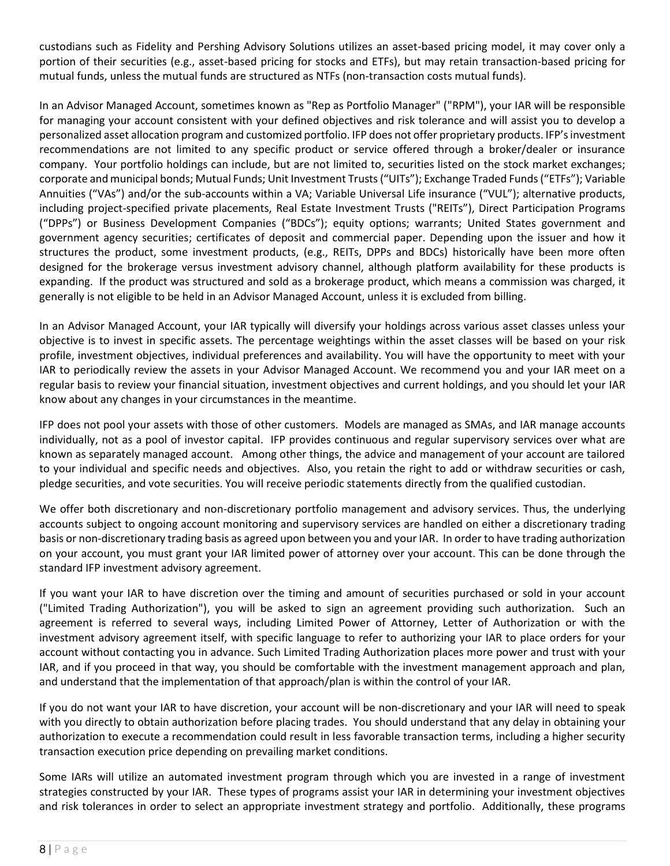custodians such as Fidelity and Pershing Advisory Solutions utilizes an asset-based pricing model, it may cover only a portion of their securities (e.g., asset-based pricing for stocks and ETFs), but may retain transaction-based pricing for mutual funds, unless the mutual funds are structured as NTFs (non-transaction costs mutual funds).

In an Advisor Managed Account, sometimes known as "Rep as Portfolio Manager" ("RPM"), your IAR will be responsible for managing your account consistent with your defined objectives and risk tolerance and will assist you to develop a personalized asset allocation program and customized portfolio. IFP does not offer proprietary products. IFP's investment recommendations are not limited to any specific product or service offered through a broker/dealer or insurance company. Your portfolio holdings can include, but are not limited to, securities listed on the stock market exchanges; corporate and municipal bonds; Mutual Funds; Unit Investment Trusts ("UITs"); Exchange Traded Funds ("ETFs"); Variable Annuities ("VAs") and/or the sub-accounts within a VA; Variable Universal Life insurance ("VUL"); alternative products, including project-specified private placements, Real Estate Investment Trusts ("REITs"), Direct Participation Programs ("DPPs") or Business Development Companies ("BDCs"); equity options; warrants; United States government and government agency securities; certificates of deposit and commercial paper. Depending upon the issuer and how it structures the product, some investment products, (e.g., REITs, DPPs and BDCs) historically have been more often designed for the brokerage versus investment advisory channel, although platform availability for these products is expanding. If the product was structured and sold as a brokerage product, which means a commission was charged, it generally is not eligible to be held in an Advisor Managed Account, unless it is excluded from billing.

In an Advisor Managed Account, your IAR typically will diversify your holdings across various asset classes unless your objective is to invest in specific assets. The percentage weightings within the asset classes will be based on your risk profile, investment objectives, individual preferences and availability. You will have the opportunity to meet with your IAR to periodically review the assets in your Advisor Managed Account. We recommend you and your IAR meet on a regular basis to review your financial situation, investment objectives and current holdings, and you should let your IAR know about any changes in your circumstances in the meantime.

IFP does not pool your assets with those of other customers. Models are managed as SMAs, and IAR manage accounts individually, not as a pool of investor capital. IFP provides continuous and regular supervisory services over what are known as separately managed account. Among other things, the advice and management of your account are tailored to your individual and specific needs and objectives. Also, you retain the right to add or withdraw securities or cash, pledge securities, and vote securities. You will receive periodic statements directly from the qualified custodian.

We offer both discretionary and non-discretionary portfolio management and advisory services. Thus, the underlying accounts subject to ongoing account monitoring and supervisory services are handled on either a discretionary trading basis or non-discretionary trading basis as agreed upon between you and your IAR. In order to have trading authorization on your account, you must grant your IAR limited power of attorney over your account. This can be done through the standard IFP investment advisory agreement.

If you want your IAR to have discretion over the timing and amount of securities purchased or sold in your account ("Limited Trading Authorization"), you will be asked to sign an agreement providing such authorization. Such an agreement is referred to several ways, including Limited Power of Attorney, Letter of Authorization or with the investment advisory agreement itself, with specific language to refer to authorizing your IAR to place orders for your account without contacting you in advance. Such Limited Trading Authorization places more power and trust with your IAR, and if you proceed in that way, you should be comfortable with the investment management approach and plan, and understand that the implementation of that approach/plan is within the control of your IAR.

If you do not want your IAR to have discretion, your account will be non-discretionary and your IAR will need to speak with you directly to obtain authorization before placing trades. You should understand that any delay in obtaining your authorization to execute a recommendation could result in less favorable transaction terms, including a higher security transaction execution price depending on prevailing market conditions.

Some IARs will utilize an automated investment program through which you are invested in a range of investment strategies constructed by your IAR. These types of programs assist your IAR in determining your investment objectives and risk tolerances in order to select an appropriate investment strategy and portfolio. Additionally, these programs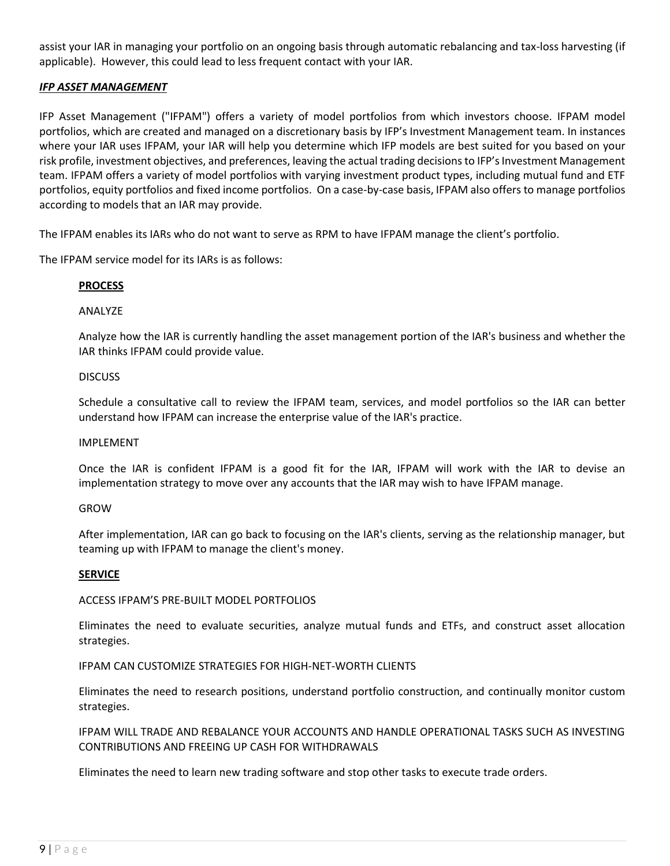assist your IAR in managing your portfolio on an ongoing basis through automatic rebalancing and tax-loss harvesting (if applicable). However, this could lead to less frequent contact with your IAR.

# *IFP ASSET MANAGEMENT*

IFP Asset Management ("IFPAM") offers a variety of model portfolios from which investors choose. IFPAM model portfolios, which are created and managed on a discretionary basis by IFP's Investment Management team. In instances where your IAR uses IFPAM, your IAR will help you determine which IFP models are best suited for you based on your risk profile, investment objectives, and preferences, leaving the actual trading decisions to IFP's Investment Management team. IFPAM offers a variety of model portfolios with varying investment product types, including mutual fund and ETF portfolios, equity portfolios and fixed income portfolios. On a case-by-case basis, IFPAM also offers to manage portfolios according to models that an IAR may provide.

The IFPAM enables its IARs who do not want to serve as RPM to have IFPAM manage the client's portfolio.

The IFPAM service model for its IARs is as follows:

#### **PROCESS**

#### ANALYZE

Analyze how the IAR is currently handling the asset management portion of the IAR's business and whether the IAR thinks IFPAM could provide value.

#### **DISCUSS**

Schedule a consultative call to review the IFPAM team, services, and model portfolios so the IAR can better understand how IFPAM can increase the enterprise value of the IAR's practice.

#### IMPLEMENT

Once the IAR is confident IFPAM is a good fit for the IAR, IFPAM will work with the IAR to devise an implementation strategy to move over any accounts that the IAR may wish to have IFPAM manage.

#### GROW

After implementation, IAR can go back to focusing on the IAR's clients, serving as the relationship manager, but teaming up with IFPAM to manage the client's money.

#### **SERVICE**

#### ACCESS IFPAM'S PRE-BUILT MODEL PORTFOLIOS

Eliminates the need to evaluate securities, analyze mutual funds and ETFs, and construct asset allocation strategies.

#### IFPAM CAN CUSTOMIZE STRATEGIES FOR HIGH-NET-WORTH CLIENTS

Eliminates the need to research positions, understand portfolio construction, and continually monitor custom strategies.

IFPAM WILL TRADE AND REBALANCE YOUR ACCOUNTS AND HANDLE OPERATIONAL TASKS SUCH AS INVESTING CONTRIBUTIONS AND FREEING UP CASH FOR WITHDRAWALS

Eliminates the need to learn new trading software and stop other tasks to execute trade orders.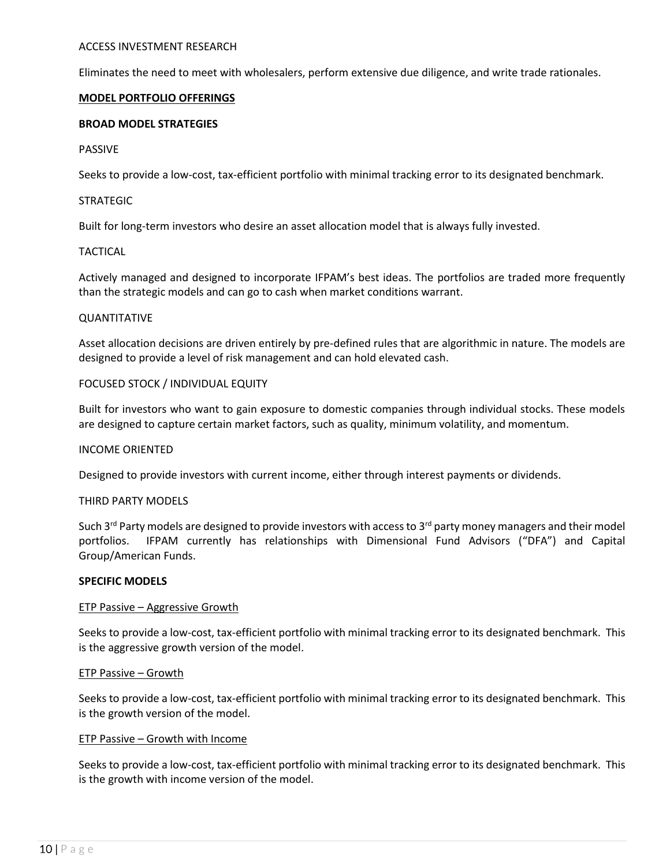#### ACCESS INVESTMENT RESEARCH

Eliminates the need to meet with wholesalers, perform extensive due diligence, and write trade rationales.

#### **MODEL PORTFOLIO OFFERINGS**

#### **BROAD MODEL STRATEGIES**

#### PASSIVE

Seeks to provide a low-cost, tax-efficient portfolio with minimal tracking error to its designated benchmark.

#### **STRATEGIC**

Built for long-term investors who desire an asset allocation model that is always fully invested.

#### TACTICAL

Actively managed and designed to incorporate IFPAM's best ideas. The portfolios are traded more frequently than the strategic models and can go to cash when market conditions warrant.

#### QUANTITATIVE

Asset allocation decisions are driven entirely by pre-defined rules that are algorithmic in nature. The models are designed to provide a level of risk management and can hold elevated cash.

#### FOCUSED STOCK / INDIVIDUAL EQUITY

Built for investors who want to gain exposure to domestic companies through individual stocks. These models are designed to capture certain market factors, such as quality, minimum volatility, and momentum.

#### INCOME ORIENTED

Designed to provide investors with current income, either through interest payments or dividends.

#### THIRD PARTY MODELS

Such 3<sup>rd</sup> Party models are designed to provide investors with access to 3<sup>rd</sup> party money managers and their model portfolios. IFPAM currently has relationships with Dimensional Fund Advisors ("DFA") and Capital Group/American Funds.

#### **SPECIFIC MODELS**

#### ETP Passive – Aggressive Growth

Seeks to provide a low-cost, tax-efficient portfolio with minimal tracking error to its designated benchmark. This is the aggressive growth version of the model.

#### ETP Passive – Growth

Seeks to provide a low-cost, tax-efficient portfolio with minimal tracking error to its designated benchmark. This is the growth version of the model.

#### ETP Passive – Growth with Income

Seeks to provide a low-cost, tax-efficient portfolio with minimal tracking error to its designated benchmark. This is the growth with income version of the model.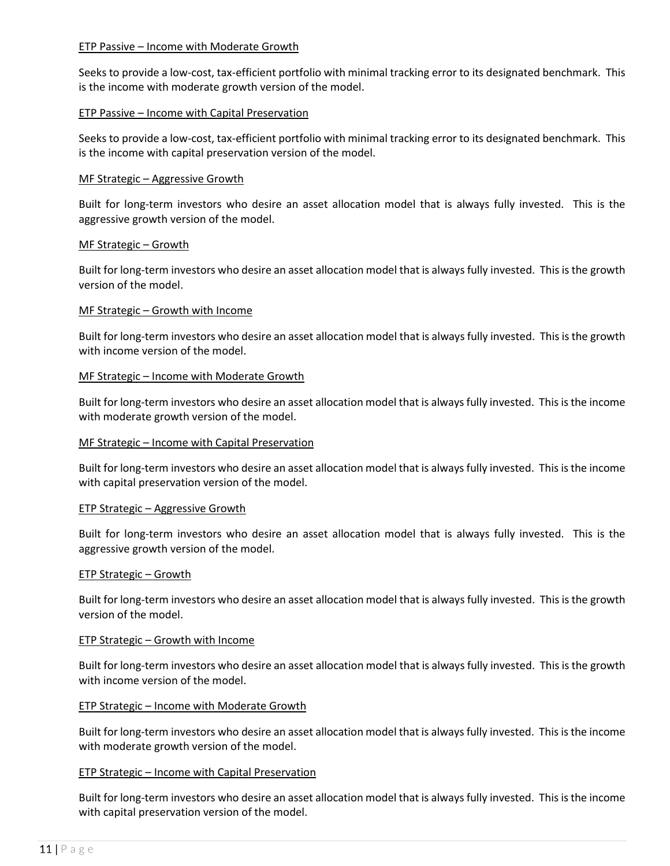#### ETP Passive – Income with Moderate Growth

Seeks to provide a low-cost, tax-efficient portfolio with minimal tracking error to its designated benchmark. This is the income with moderate growth version of the model.

#### ETP Passive – Income with Capital Preservation

Seeks to provide a low-cost, tax-efficient portfolio with minimal tracking error to its designated benchmark. This is the income with capital preservation version of the model.

#### MF Strategic – Aggressive Growth

Built for long-term investors who desire an asset allocation model that is always fully invested. This is the aggressive growth version of the model.

#### MF Strategic – Growth

Built for long-term investors who desire an asset allocation model that is always fully invested. This is the growth version of the model.

#### MF Strategic – Growth with Income

Built for long-term investors who desire an asset allocation model that is always fully invested. This is the growth with income version of the model.

#### MF Strategic – Income with Moderate Growth

Built for long-term investors who desire an asset allocation model that is always fully invested. This is the income with moderate growth version of the model.

#### MF Strategic – Income with Capital Preservation

Built for long-term investors who desire an asset allocation model that is always fully invested. This is the income with capital preservation version of the model.

#### ETP Strategic – Aggressive Growth

Built for long-term investors who desire an asset allocation model that is always fully invested. This is the aggressive growth version of the model.

#### ETP Strategic – Growth

Built for long-term investors who desire an asset allocation model that is always fully invested. This is the growth version of the model.

#### ETP Strategic – Growth with Income

Built for long-term investors who desire an asset allocation model that is always fully invested. This is the growth with income version of the model.

#### ETP Strategic – Income with Moderate Growth

Built for long-term investors who desire an asset allocation model that is always fully invested. This is the income with moderate growth version of the model.

#### ETP Strategic – Income with Capital Preservation

Built for long-term investors who desire an asset allocation model that is always fully invested. This is the income with capital preservation version of the model.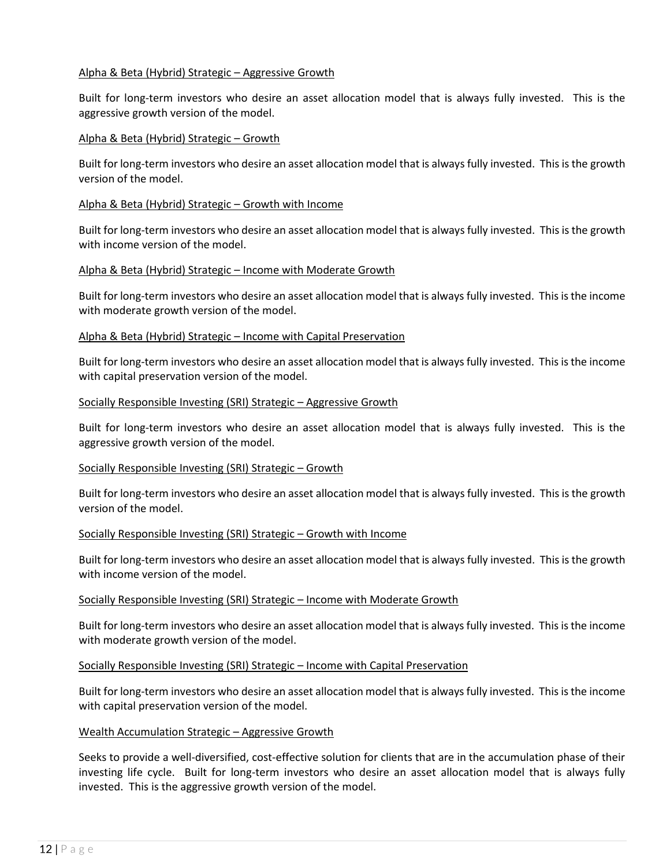#### Alpha & Beta (Hybrid) Strategic – Aggressive Growth

Built for long-term investors who desire an asset allocation model that is always fully invested. This is the aggressive growth version of the model.

#### Alpha & Beta (Hybrid) Strategic – Growth

Built for long-term investors who desire an asset allocation model that is always fully invested. This is the growth version of the model.

#### Alpha & Beta (Hybrid) Strategic – Growth with Income

Built for long-term investors who desire an asset allocation model that is always fully invested. This is the growth with income version of the model.

#### Alpha & Beta (Hybrid) Strategic – Income with Moderate Growth

Built for long-term investors who desire an asset allocation model that is always fully invested. This is the income with moderate growth version of the model.

#### Alpha & Beta (Hybrid) Strategic – Income with Capital Preservation

Built for long-term investors who desire an asset allocation model that is always fully invested. This is the income with capital preservation version of the model.

#### Socially Responsible Investing (SRI) Strategic – Aggressive Growth

Built for long-term investors who desire an asset allocation model that is always fully invested. This is the aggressive growth version of the model.

#### Socially Responsible Investing (SRI) Strategic – Growth

Built for long-term investors who desire an asset allocation model that is always fully invested. This is the growth version of the model.

#### Socially Responsible Investing (SRI) Strategic – Growth with Income

Built for long-term investors who desire an asset allocation model that is always fully invested. This is the growth with income version of the model.

#### Socially Responsible Investing (SRI) Strategic – Income with Moderate Growth

Built for long-term investors who desire an asset allocation model that is always fully invested. This is the income with moderate growth version of the model.

#### Socially Responsible Investing (SRI) Strategic – Income with Capital Preservation

Built for long-term investors who desire an asset allocation model that is always fully invested. This is the income with capital preservation version of the model.

#### Wealth Accumulation Strategic – Aggressive Growth

Seeks to provide a well-diversified, cost-effective solution for clients that are in the accumulation phase of their investing life cycle. Built for long-term investors who desire an asset allocation model that is always fully invested. This is the aggressive growth version of the model.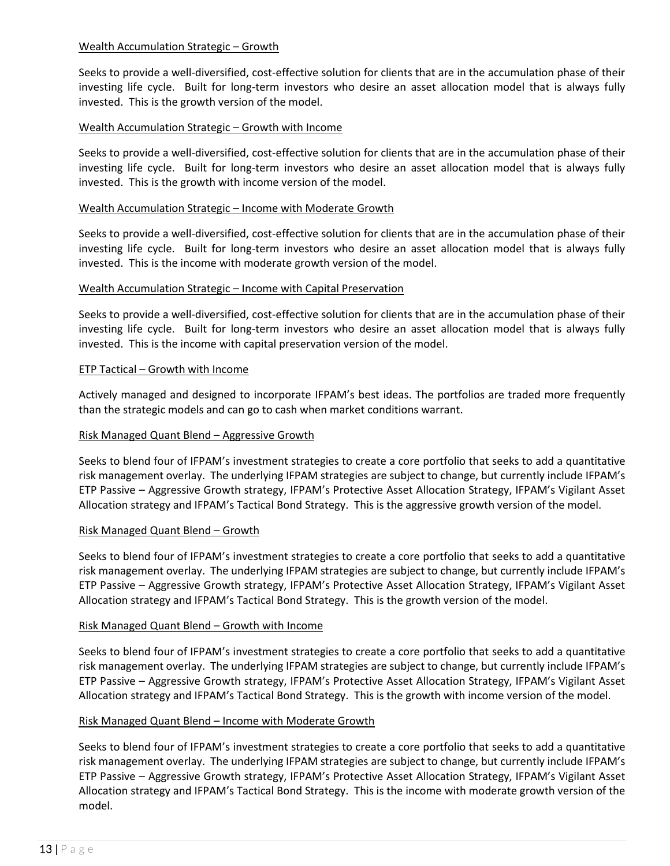#### Wealth Accumulation Strategic – Growth

Seeks to provide a well-diversified, cost-effective solution for clients that are in the accumulation phase of their investing life cycle. Built for long-term investors who desire an asset allocation model that is always fully invested. This is the growth version of the model.

#### Wealth Accumulation Strategic – Growth with Income

Seeks to provide a well-diversified, cost-effective solution for clients that are in the accumulation phase of their investing life cycle. Built for long-term investors who desire an asset allocation model that is always fully invested. This is the growth with income version of the model.

#### Wealth Accumulation Strategic – Income with Moderate Growth

Seeks to provide a well-diversified, cost-effective solution for clients that are in the accumulation phase of their investing life cycle. Built for long-term investors who desire an asset allocation model that is always fully invested. This is the income with moderate growth version of the model.

#### Wealth Accumulation Strategic – Income with Capital Preservation

Seeks to provide a well-diversified, cost-effective solution for clients that are in the accumulation phase of their investing life cycle. Built for long-term investors who desire an asset allocation model that is always fully invested. This is the income with capital preservation version of the model.

#### ETP Tactical – Growth with Income

Actively managed and designed to incorporate IFPAM's best ideas. The portfolios are traded more frequently than the strategic models and can go to cash when market conditions warrant.

#### Risk Managed Quant Blend – Aggressive Growth

Seeks to blend four of IFPAM's investment strategies to create a core portfolio that seeks to add a quantitative risk management overlay. The underlying IFPAM strategies are subject to change, but currently include IFPAM's ETP Passive – Aggressive Growth strategy, IFPAM's Protective Asset Allocation Strategy, IFPAM's Vigilant Asset Allocation strategy and IFPAM's Tactical Bond Strategy. This is the aggressive growth version of the model.

#### Risk Managed Quant Blend – Growth

Seeks to blend four of IFPAM's investment strategies to create a core portfolio that seeks to add a quantitative risk management overlay. The underlying IFPAM strategies are subject to change, but currently include IFPAM's ETP Passive – Aggressive Growth strategy, IFPAM's Protective Asset Allocation Strategy, IFPAM's Vigilant Asset Allocation strategy and IFPAM's Tactical Bond Strategy. This is the growth version of the model.

#### Risk Managed Quant Blend – Growth with Income

Seeks to blend four of IFPAM's investment strategies to create a core portfolio that seeks to add a quantitative risk management overlay. The underlying IFPAM strategies are subject to change, but currently include IFPAM's ETP Passive – Aggressive Growth strategy, IFPAM's Protective Asset Allocation Strategy, IFPAM's Vigilant Asset Allocation strategy and IFPAM's Tactical Bond Strategy. This is the growth with income version of the model.

#### Risk Managed Quant Blend – Income with Moderate Growth

Seeks to blend four of IFPAM's investment strategies to create a core portfolio that seeks to add a quantitative risk management overlay. The underlying IFPAM strategies are subject to change, but currently include IFPAM's ETP Passive – Aggressive Growth strategy, IFPAM's Protective Asset Allocation Strategy, IFPAM's Vigilant Asset Allocation strategy and IFPAM's Tactical Bond Strategy. This is the income with moderate growth version of the model.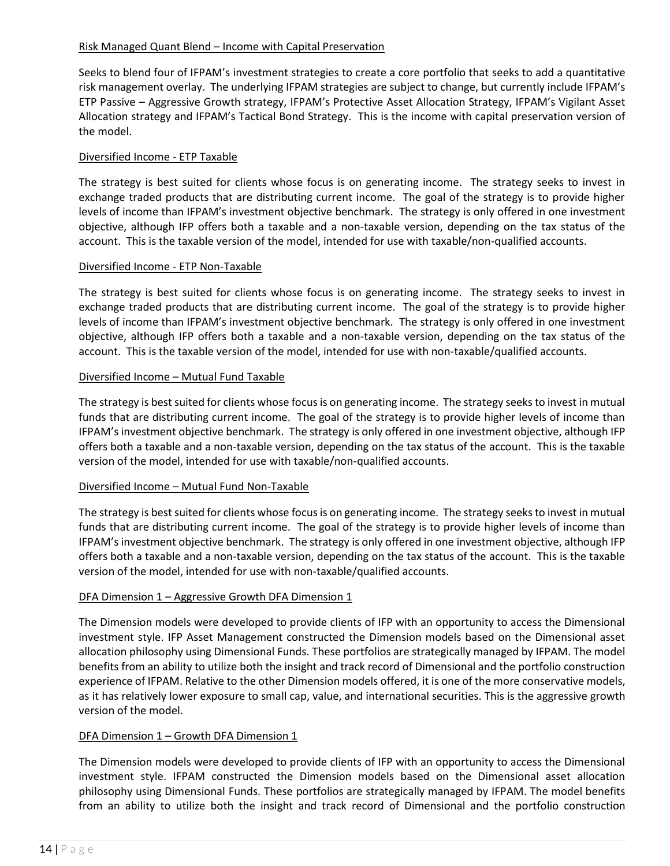## Risk Managed Quant Blend – Income with Capital Preservation

Seeks to blend four of IFPAM's investment strategies to create a core portfolio that seeks to add a quantitative risk management overlay. The underlying IFPAM strategies are subject to change, but currently include IFPAM's ETP Passive – Aggressive Growth strategy, IFPAM's Protective Asset Allocation Strategy, IFPAM's Vigilant Asset Allocation strategy and IFPAM's Tactical Bond Strategy. This is the income with capital preservation version of the model.

# Diversified Income - ETP Taxable

The strategy is best suited for clients whose focus is on generating income. The strategy seeks to invest in exchange traded products that are distributing current income. The goal of the strategy is to provide higher levels of income than IFPAM's investment objective benchmark. The strategy is only offered in one investment objective, although IFP offers both a taxable and a non-taxable version, depending on the tax status of the account. This is the taxable version of the model, intended for use with taxable/non-qualified accounts.

#### Diversified Income - ETP Non-Taxable

The strategy is best suited for clients whose focus is on generating income. The strategy seeks to invest in exchange traded products that are distributing current income. The goal of the strategy is to provide higher levels of income than IFPAM's investment objective benchmark. The strategy is only offered in one investment objective, although IFP offers both a taxable and a non-taxable version, depending on the tax status of the account. This is the taxable version of the model, intended for use with non-taxable/qualified accounts.

# Diversified Income – Mutual Fund Taxable

The strategy is best suited for clients whose focus is on generating income. The strategy seeks to invest in mutual funds that are distributing current income. The goal of the strategy is to provide higher levels of income than IFPAM's investment objective benchmark. The strategy is only offered in one investment objective, although IFP offers both a taxable and a non-taxable version, depending on the tax status of the account. This is the taxable version of the model, intended for use with taxable/non-qualified accounts.

#### Diversified Income – Mutual Fund Non-Taxable

The strategy is best suited for clients whose focus is on generating income. The strategy seeks to invest in mutual funds that are distributing current income. The goal of the strategy is to provide higher levels of income than IFPAM's investment objective benchmark. The strategy is only offered in one investment objective, although IFP offers both a taxable and a non-taxable version, depending on the tax status of the account. This is the taxable version of the model, intended for use with non-taxable/qualified accounts.

#### DFA Dimension 1 – Aggressive Growth DFA Dimension 1

The Dimension models were developed to provide clients of IFP with an opportunity to access the Dimensional investment style. IFP Asset Management constructed the Dimension models based on the Dimensional asset allocation philosophy using Dimensional Funds. These portfolios are strategically managed by IFPAM. The model benefits from an ability to utilize both the insight and track record of Dimensional and the portfolio construction experience of IFPAM. Relative to the other Dimension models offered, it is one of the more conservative models, as it has relatively lower exposure to small cap, value, and international securities. This is the aggressive growth version of the model.

# DFA Dimension 1 – Growth DFA Dimension 1

The Dimension models were developed to provide clients of IFP with an opportunity to access the Dimensional investment style. IFPAM constructed the Dimension models based on the Dimensional asset allocation philosophy using Dimensional Funds. These portfolios are strategically managed by IFPAM. The model benefits from an ability to utilize both the insight and track record of Dimensional and the portfolio construction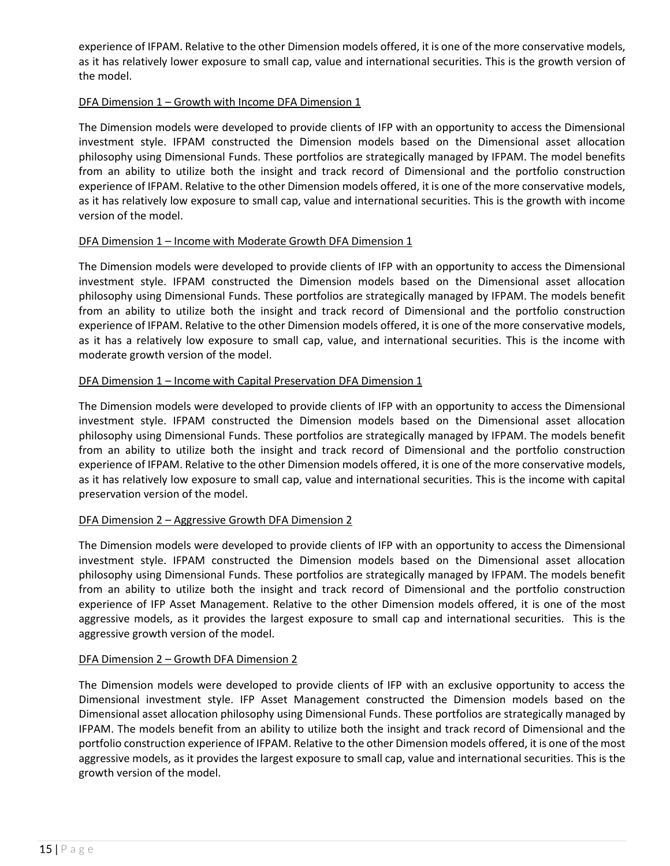experience of IFPAM. Relative to the other Dimension models offered, it is one of the more conservative models, as it has relatively lower exposure to small cap, value and international securities. This is the growth version of the model.

### DFA Dimension 1 - Growth with Income DFA Dimension 1

The Dimension models were developed to provide clients of IFP with an opportunity to access the Dimensional investment style. IFPAM constructed the Dimension models based on the Dimensional asset allocation philosophy using Dimensional Funds. These portfolios are strategically managed by IFPAM. The model benefits from an ability to utilize both the insight and track record of Dimensional and the portfolio construction experience of IFPAM. Relative to the other Dimension models offered, it is one of the more conservative models, as it has relatively low exposure to small cap, value and international securities. This is the growth with income version of the model.

#### DFA Dimension 1 – Income with Moderate Growth DFA Dimension 1

The Dimension models were developed to provide clients of IFP with an opportunity to access the Dimensional investment style. IFPAM constructed the Dimension models based on the Dimensional asset allocation philosophy using Dimensional Funds. These portfolios are strategically managed by IFPAM. The models benefit from an ability to utilize both the insight and track record of Dimensional and the portfolio construction experience of IFPAM. Relative to the other Dimension models offered, it is one of the more conservative models, as it has a relatively low exposure to small cap, value, and international securities. This is the income with moderate growth version of the model.

#### DFA Dimension 1 – Income with Capital Preservation DFA Dimension 1

The Dimension models were developed to provide clients of IFP with an opportunity to access the Dimensional investment style. IFPAM constructed the Dimension models based on the Dimensional asset allocation philosophy using Dimensional Funds. These portfolios are strategically managed by IFPAM. The models benefit from an ability to utilize both the insight and track record of Dimensional and the portfolio construction experience of IFPAM. Relative to the other Dimension models offered, it is one of the more conservative models, as it has relatively low exposure to small cap, value and international securities. This is the income with capital preservation version of the model.

#### DFA Dimension 2 – Aggressive Growth DFA Dimension 2

The Dimension models were developed to provide clients of IFP with an opportunity to access the Dimensional investment style. IFPAM constructed the Dimension models based on the Dimensional asset allocation philosophy using Dimensional Funds. These portfolios are strategically managed by IFPAM. The models benefit from an ability to utilize both the insight and track record of Dimensional and the portfolio construction experience of IFP Asset Management. Relative to the other Dimension models offered, it is one of the most aggressive models, as it provides the largest exposure to small cap and international securities. This is the aggressive growth version of the model.

#### DFA Dimension 2 – Growth DFA Dimension 2

The Dimension models were developed to provide clients of IFP with an exclusive opportunity to access the Dimensional investment style. IFP Asset Management constructed the Dimension models based on the Dimensional asset allocation philosophy using Dimensional Funds. These portfolios are strategically managed by IFPAM. The models benefit from an ability to utilize both the insight and track record of Dimensional and the portfolio construction experience of IFPAM. Relative to the other Dimension models offered, it is one of the most aggressive models, as it provides the largest exposure to small cap, value and international securities. This is the growth version of the model.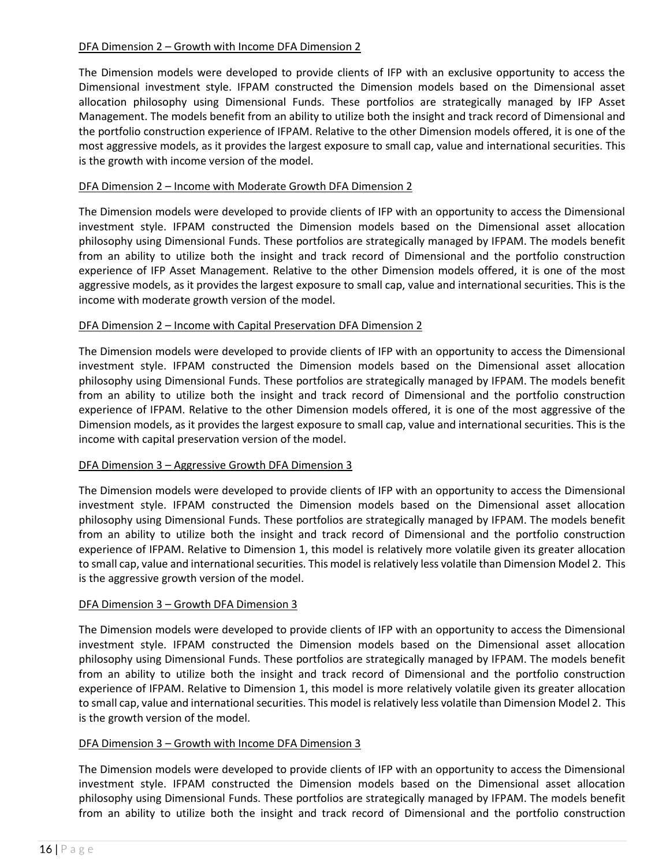## DFA Dimension 2 – Growth with Income DFA Dimension 2

The Dimension models were developed to provide clients of IFP with an exclusive opportunity to access the Dimensional investment style. IFPAM constructed the Dimension models based on the Dimensional asset allocation philosophy using Dimensional Funds. These portfolios are strategically managed by IFP Asset Management. The models benefit from an ability to utilize both the insight and track record of Dimensional and the portfolio construction experience of IFPAM. Relative to the other Dimension models offered, it is one of the most aggressive models, as it provides the largest exposure to small cap, value and international securities. This is the growth with income version of the model.

## DFA Dimension 2 – Income with Moderate Growth DFA Dimension 2

The Dimension models were developed to provide clients of IFP with an opportunity to access the Dimensional investment style. IFPAM constructed the Dimension models based on the Dimensional asset allocation philosophy using Dimensional Funds. These portfolios are strategically managed by IFPAM. The models benefit from an ability to utilize both the insight and track record of Dimensional and the portfolio construction experience of IFP Asset Management. Relative to the other Dimension models offered, it is one of the most aggressive models, as it provides the largest exposure to small cap, value and international securities. This is the income with moderate growth version of the model.

#### DFA Dimension 2 – Income with Capital Preservation DFA Dimension 2

The Dimension models were developed to provide clients of IFP with an opportunity to access the Dimensional investment style. IFPAM constructed the Dimension models based on the Dimensional asset allocation philosophy using Dimensional Funds. These portfolios are strategically managed by IFPAM. The models benefit from an ability to utilize both the insight and track record of Dimensional and the portfolio construction experience of IFPAM. Relative to the other Dimension models offered, it is one of the most aggressive of the Dimension models, as it provides the largest exposure to small cap, value and international securities. This is the income with capital preservation version of the model.

#### DFA Dimension 3 – Aggressive Growth DFA Dimension 3

The Dimension models were developed to provide clients of IFP with an opportunity to access the Dimensional investment style. IFPAM constructed the Dimension models based on the Dimensional asset allocation philosophy using Dimensional Funds. These portfolios are strategically managed by IFPAM. The models benefit from an ability to utilize both the insight and track record of Dimensional and the portfolio construction experience of IFPAM. Relative to Dimension 1, this model is relatively more volatile given its greater allocation to small cap, value and international securities. This model is relatively less volatile than Dimension Model 2. This is the aggressive growth version of the model.

#### DFA Dimension 3 – Growth DFA Dimension 3

The Dimension models were developed to provide clients of IFP with an opportunity to access the Dimensional investment style. IFPAM constructed the Dimension models based on the Dimensional asset allocation philosophy using Dimensional Funds. These portfolios are strategically managed by IFPAM. The models benefit from an ability to utilize both the insight and track record of Dimensional and the portfolio construction experience of IFPAM. Relative to Dimension 1, this model is more relatively volatile given its greater allocation to small cap, value and international securities. This model is relatively less volatile than Dimension Model 2. This is the growth version of the model.

#### DFA Dimension 3 – Growth with Income DFA Dimension 3

The Dimension models were developed to provide clients of IFP with an opportunity to access the Dimensional investment style. IFPAM constructed the Dimension models based on the Dimensional asset allocation philosophy using Dimensional Funds. These portfolios are strategically managed by IFPAM. The models benefit from an ability to utilize both the insight and track record of Dimensional and the portfolio construction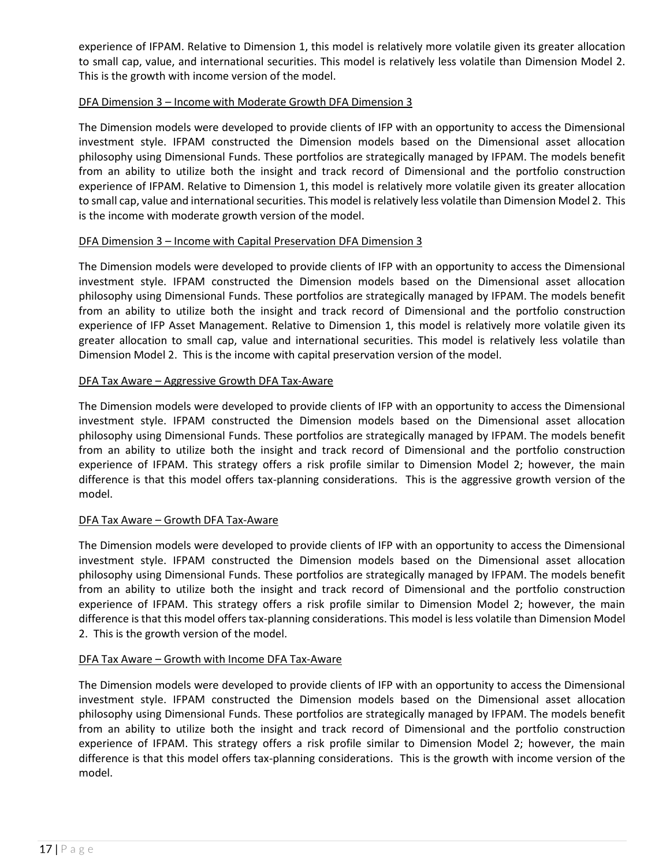experience of IFPAM. Relative to Dimension 1, this model is relatively more volatile given its greater allocation to small cap, value, and international securities. This model is relatively less volatile than Dimension Model 2. This is the growth with income version of the model.

## DFA Dimension 3 – Income with Moderate Growth DFA Dimension 3

The Dimension models were developed to provide clients of IFP with an opportunity to access the Dimensional investment style. IFPAM constructed the Dimension models based on the Dimensional asset allocation philosophy using Dimensional Funds. These portfolios are strategically managed by IFPAM. The models benefit from an ability to utilize both the insight and track record of Dimensional and the portfolio construction experience of IFPAM. Relative to Dimension 1, this model is relatively more volatile given its greater allocation to small cap, value and international securities. This model is relatively less volatile than Dimension Model 2. This is the income with moderate growth version of the model.

#### DFA Dimension 3 – Income with Capital Preservation DFA Dimension 3

The Dimension models were developed to provide clients of IFP with an opportunity to access the Dimensional investment style. IFPAM constructed the Dimension models based on the Dimensional asset allocation philosophy using Dimensional Funds. These portfolios are strategically managed by IFPAM. The models benefit from an ability to utilize both the insight and track record of Dimensional and the portfolio construction experience of IFP Asset Management. Relative to Dimension 1, this model is relatively more volatile given its greater allocation to small cap, value and international securities. This model is relatively less volatile than Dimension Model 2. This is the income with capital preservation version of the model.

#### DFA Tax Aware – Aggressive Growth DFA Tax-Aware

The Dimension models were developed to provide clients of IFP with an opportunity to access the Dimensional investment style. IFPAM constructed the Dimension models based on the Dimensional asset allocation philosophy using Dimensional Funds. These portfolios are strategically managed by IFPAM. The models benefit from an ability to utilize both the insight and track record of Dimensional and the portfolio construction experience of IFPAM. This strategy offers a risk profile similar to Dimension Model 2; however, the main difference is that this model offers tax-planning considerations. This is the aggressive growth version of the model.

#### DFA Tax Aware – Growth DFA Tax-Aware

The Dimension models were developed to provide clients of IFP with an opportunity to access the Dimensional investment style. IFPAM constructed the Dimension models based on the Dimensional asset allocation philosophy using Dimensional Funds. These portfolios are strategically managed by IFPAM. The models benefit from an ability to utilize both the insight and track record of Dimensional and the portfolio construction experience of IFPAM. This strategy offers a risk profile similar to Dimension Model 2; however, the main difference is that this model offers tax-planning considerations. This model is less volatile than Dimension Model 2. This is the growth version of the model.

#### DFA Tax Aware – Growth with Income DFA Tax-Aware

The Dimension models were developed to provide clients of IFP with an opportunity to access the Dimensional investment style. IFPAM constructed the Dimension models based on the Dimensional asset allocation philosophy using Dimensional Funds. These portfolios are strategically managed by IFPAM. The models benefit from an ability to utilize both the insight and track record of Dimensional and the portfolio construction experience of IFPAM. This strategy offers a risk profile similar to Dimension Model 2; however, the main difference is that this model offers tax-planning considerations. This is the growth with income version of the model.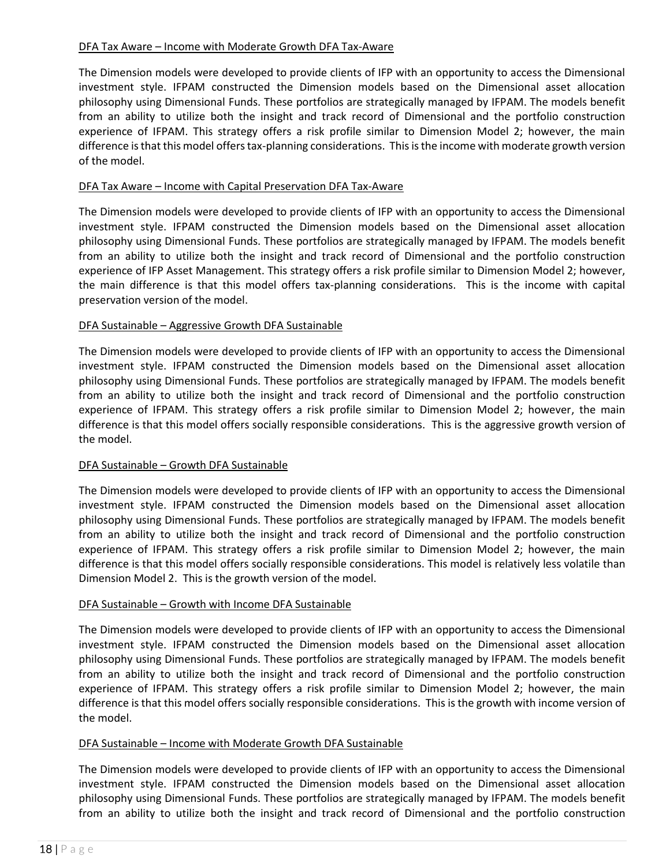### DFA Tax Aware – Income with Moderate Growth DFA Tax-Aware

The Dimension models were developed to provide clients of IFP with an opportunity to access the Dimensional investment style. IFPAM constructed the Dimension models based on the Dimensional asset allocation philosophy using Dimensional Funds. These portfolios are strategically managed by IFPAM. The models benefit from an ability to utilize both the insight and track record of Dimensional and the portfolio construction experience of IFPAM. This strategy offers a risk profile similar to Dimension Model 2; however, the main difference is that this model offers tax-planning considerations. This is the income with moderate growth version of the model.

# DFA Tax Aware – Income with Capital Preservation DFA Tax-Aware

The Dimension models were developed to provide clients of IFP with an opportunity to access the Dimensional investment style. IFPAM constructed the Dimension models based on the Dimensional asset allocation philosophy using Dimensional Funds. These portfolios are strategically managed by IFPAM. The models benefit from an ability to utilize both the insight and track record of Dimensional and the portfolio construction experience of IFP Asset Management. This strategy offers a risk profile similar to Dimension Model 2; however, the main difference is that this model offers tax-planning considerations. This is the income with capital preservation version of the model.

# DFA Sustainable – Aggressive Growth DFA Sustainable

The Dimension models were developed to provide clients of IFP with an opportunity to access the Dimensional investment style. IFPAM constructed the Dimension models based on the Dimensional asset allocation philosophy using Dimensional Funds. These portfolios are strategically managed by IFPAM. The models benefit from an ability to utilize both the insight and track record of Dimensional and the portfolio construction experience of IFPAM. This strategy offers a risk profile similar to Dimension Model 2; however, the main difference is that this model offers socially responsible considerations. This is the aggressive growth version of the model.

#### DFA Sustainable – Growth DFA Sustainable

The Dimension models were developed to provide clients of IFP with an opportunity to access the Dimensional investment style. IFPAM constructed the Dimension models based on the Dimensional asset allocation philosophy using Dimensional Funds. These portfolios are strategically managed by IFPAM. The models benefit from an ability to utilize both the insight and track record of Dimensional and the portfolio construction experience of IFPAM. This strategy offers a risk profile similar to Dimension Model 2; however, the main difference is that this model offers socially responsible considerations. This model is relatively less volatile than Dimension Model 2. This is the growth version of the model.

#### DFA Sustainable – Growth with Income DFA Sustainable

The Dimension models were developed to provide clients of IFP with an opportunity to access the Dimensional investment style. IFPAM constructed the Dimension models based on the Dimensional asset allocation philosophy using Dimensional Funds. These portfolios are strategically managed by IFPAM. The models benefit from an ability to utilize both the insight and track record of Dimensional and the portfolio construction experience of IFPAM. This strategy offers a risk profile similar to Dimension Model 2; however, the main difference is that this model offers socially responsible considerations. This is the growth with income version of the model.

#### DFA Sustainable – Income with Moderate Growth DFA Sustainable

The Dimension models were developed to provide clients of IFP with an opportunity to access the Dimensional investment style. IFPAM constructed the Dimension models based on the Dimensional asset allocation philosophy using Dimensional Funds. These portfolios are strategically managed by IFPAM. The models benefit from an ability to utilize both the insight and track record of Dimensional and the portfolio construction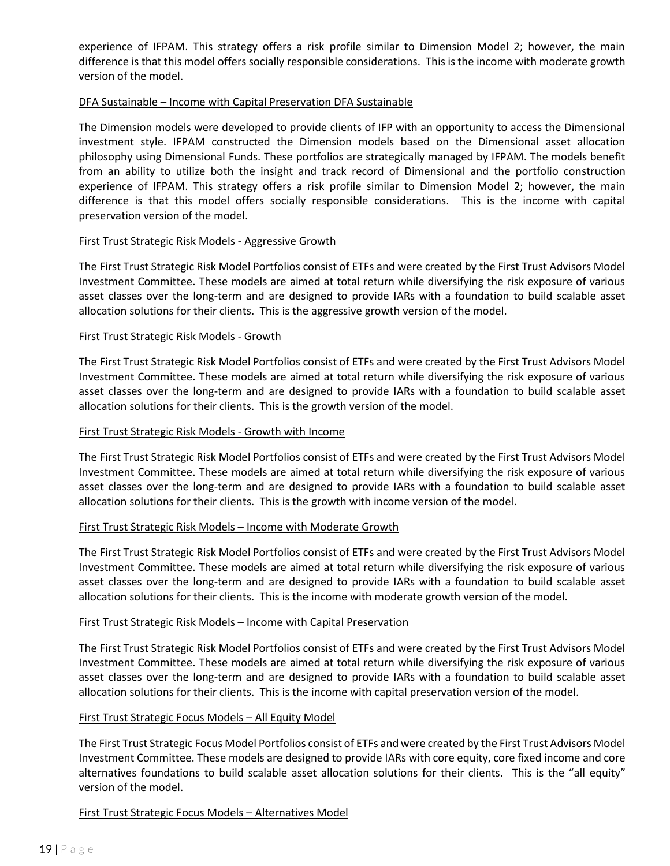experience of IFPAM. This strategy offers a risk profile similar to Dimension Model 2; however, the main difference is that this model offers socially responsible considerations. This is the income with moderate growth version of the model.

#### DFA Sustainable – Income with Capital Preservation DFA Sustainable

The Dimension models were developed to provide clients of IFP with an opportunity to access the Dimensional investment style. IFPAM constructed the Dimension models based on the Dimensional asset allocation philosophy using Dimensional Funds. These portfolios are strategically managed by IFPAM. The models benefit from an ability to utilize both the insight and track record of Dimensional and the portfolio construction experience of IFPAM. This strategy offers a risk profile similar to Dimension Model 2; however, the main difference is that this model offers socially responsible considerations. This is the income with capital preservation version of the model.

#### First Trust Strategic Risk Models - Aggressive Growth

The First Trust Strategic Risk Model Portfolios consist of ETFs and were created by the First Trust Advisors Model Investment Committee. These models are aimed at total return while diversifying the risk exposure of various asset classes over the long-term and are designed to provide IARs with a foundation to build scalable asset allocation solutions for their clients. This is the aggressive growth version of the model.

#### First Trust Strategic Risk Models - Growth

The First Trust Strategic Risk Model Portfolios consist of ETFs and were created by the First Trust Advisors Model Investment Committee. These models are aimed at total return while diversifying the risk exposure of various asset classes over the long-term and are designed to provide IARs with a foundation to build scalable asset allocation solutions for their clients. This is the growth version of the model.

#### First Trust Strategic Risk Models - Growth with Income

The First Trust Strategic Risk Model Portfolios consist of ETFs and were created by the First Trust Advisors Model Investment Committee. These models are aimed at total return while diversifying the risk exposure of various asset classes over the long-term and are designed to provide IARs with a foundation to build scalable asset allocation solutions for their clients. This is the growth with income version of the model.

#### First Trust Strategic Risk Models – Income with Moderate Growth

The First Trust Strategic Risk Model Portfolios consist of ETFs and were created by the First Trust Advisors Model Investment Committee. These models are aimed at total return while diversifying the risk exposure of various asset classes over the long-term and are designed to provide IARs with a foundation to build scalable asset allocation solutions for their clients. This is the income with moderate growth version of the model.

#### First Trust Strategic Risk Models – Income with Capital Preservation

The First Trust Strategic Risk Model Portfolios consist of ETFs and were created by the First Trust Advisors Model Investment Committee. These models are aimed at total return while diversifying the risk exposure of various asset classes over the long-term and are designed to provide IARs with a foundation to build scalable asset allocation solutions for their clients. This is the income with capital preservation version of the model.

#### First Trust Strategic Focus Models – All Equity Model

The First Trust Strategic Focus Model Portfolios consist of ETFs and were created by the First Trust Advisors Model Investment Committee. These models are designed to provide IARs with core equity, core fixed income and core alternatives foundations to build scalable asset allocation solutions for their clients. This is the "all equity" version of the model.

#### First Trust Strategic Focus Models – Alternatives Model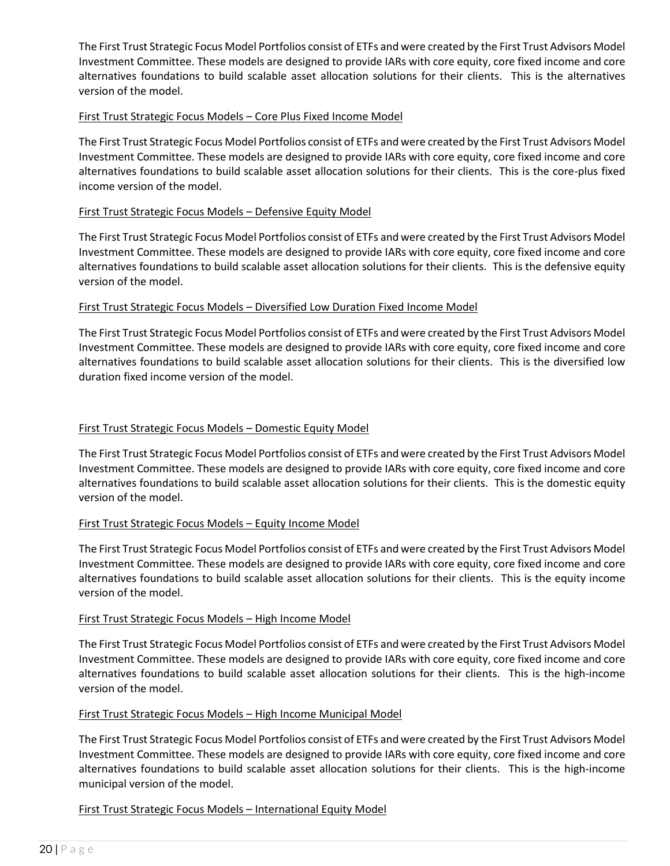The First Trust Strategic Focus Model Portfolios consist of ETFs and were created by the First Trust Advisors Model Investment Committee. These models are designed to provide IARs with core equity, core fixed income and core alternatives foundations to build scalable asset allocation solutions for their clients. This is the alternatives version of the model.

## First Trust Strategic Focus Models – Core Plus Fixed Income Model

The First Trust Strategic Focus Model Portfolios consist of ETFs and were created by the First Trust Advisors Model Investment Committee. These models are designed to provide IARs with core equity, core fixed income and core alternatives foundations to build scalable asset allocation solutions for their clients. This is the core-plus fixed income version of the model.

## First Trust Strategic Focus Models – Defensive Equity Model

The First Trust Strategic Focus Model Portfolios consist of ETFs and were created by the First Trust Advisors Model Investment Committee. These models are designed to provide IARs with core equity, core fixed income and core alternatives foundations to build scalable asset allocation solutions for their clients. This is the defensive equity version of the model.

#### First Trust Strategic Focus Models – Diversified Low Duration Fixed Income Model

The First Trust Strategic Focus Model Portfolios consist of ETFs and were created by the First Trust Advisors Model Investment Committee. These models are designed to provide IARs with core equity, core fixed income and core alternatives foundations to build scalable asset allocation solutions for their clients. This is the diversified low duration fixed income version of the model.

## First Trust Strategic Focus Models – Domestic Equity Model

The First Trust Strategic Focus Model Portfolios consist of ETFs and were created by the First Trust Advisors Model Investment Committee. These models are designed to provide IARs with core equity, core fixed income and core alternatives foundations to build scalable asset allocation solutions for their clients. This is the domestic equity version of the model.

#### First Trust Strategic Focus Models – Equity Income Model

The First Trust Strategic Focus Model Portfolios consist of ETFs and were created by the First Trust Advisors Model Investment Committee. These models are designed to provide IARs with core equity, core fixed income and core alternatives foundations to build scalable asset allocation solutions for their clients. This is the equity income version of the model.

#### First Trust Strategic Focus Models – High Income Model

The First Trust Strategic Focus Model Portfolios consist of ETFs and were created by the First Trust Advisors Model Investment Committee. These models are designed to provide IARs with core equity, core fixed income and core alternatives foundations to build scalable asset allocation solutions for their clients. This is the high-income version of the model.

#### First Trust Strategic Focus Models – High Income Municipal Model

The First Trust Strategic Focus Model Portfolios consist of ETFs and were created by the First Trust Advisors Model Investment Committee. These models are designed to provide IARs with core equity, core fixed income and core alternatives foundations to build scalable asset allocation solutions for their clients. This is the high-income municipal version of the model.

#### First Trust Strategic Focus Models – International Equity Model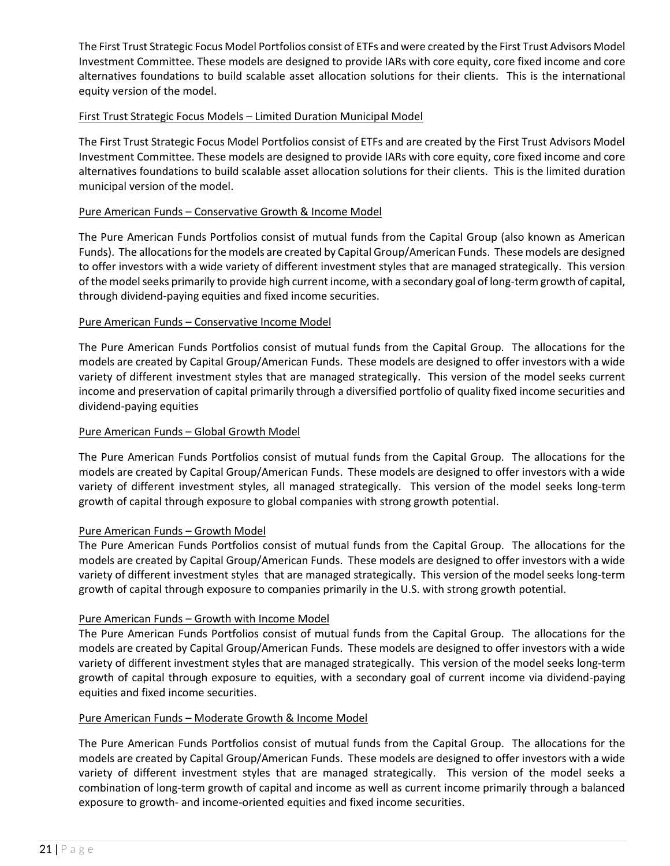The First Trust Strategic Focus Model Portfolios consist of ETFs and were created by the First Trust Advisors Model Investment Committee. These models are designed to provide IARs with core equity, core fixed income and core alternatives foundations to build scalable asset allocation solutions for their clients. This is the international equity version of the model.

## First Trust Strategic Focus Models – Limited Duration Municipal Model

The First Trust Strategic Focus Model Portfolios consist of ETFs and are created by the First Trust Advisors Model Investment Committee. These models are designed to provide IARs with core equity, core fixed income and core alternatives foundations to build scalable asset allocation solutions for their clients. This is the limited duration municipal version of the model.

## Pure American Funds – Conservative Growth & Income Model

The Pure American Funds Portfolios consist of mutual funds from the Capital Group (also known as American Funds). The allocations for the models are created by Capital Group/American Funds. These models are designed to offer investors with a wide variety of different investment styles that are managed strategically. This version of the model seeks primarily to provide high current income, with a secondary goal of long-term growth of capital, through dividend-paying equities and fixed income securities.

#### Pure American Funds – Conservative Income Model

The Pure American Funds Portfolios consist of mutual funds from the Capital Group. The allocations for the models are created by Capital Group/American Funds. These models are designed to offer investors with a wide variety of different investment styles that are managed strategically. This version of the model seeks current income and preservation of capital primarily through a diversified portfolio of quality fixed income securities and dividend-paying equities

## Pure American Funds – Global Growth Model

The Pure American Funds Portfolios consist of mutual funds from the Capital Group. The allocations for the models are created by Capital Group/American Funds. These models are designed to offer investors with a wide variety of different investment styles, all managed strategically. This version of the model seeks long-term growth of capital through exposure to global companies with strong growth potential.

#### Pure American Funds – Growth Model

The Pure American Funds Portfolios consist of mutual funds from the Capital Group. The allocations for the models are created by Capital Group/American Funds. These models are designed to offer investors with a wide variety of different investment styles that are managed strategically. This version of the model seeks long-term growth of capital through exposure to companies primarily in the U.S. with strong growth potential.

#### Pure American Funds – Growth with Income Model

The Pure American Funds Portfolios consist of mutual funds from the Capital Group. The allocations for the models are created by Capital Group/American Funds. These models are designed to offer investors with a wide variety of different investment styles that are managed strategically. This version of the model seeks long-term growth of capital through exposure to equities, with a secondary goal of current income via dividend-paying equities and fixed income securities.

#### Pure American Funds – Moderate Growth & Income Model

The Pure American Funds Portfolios consist of mutual funds from the Capital Group. The allocations for the models are created by Capital Group/American Funds. These models are designed to offer investors with a wide variety of different investment styles that are managed strategically. This version of the model seeks a combination of long-term growth of capital and income as well as current income primarily through a balanced exposure to growth- and income-oriented equities and fixed income securities.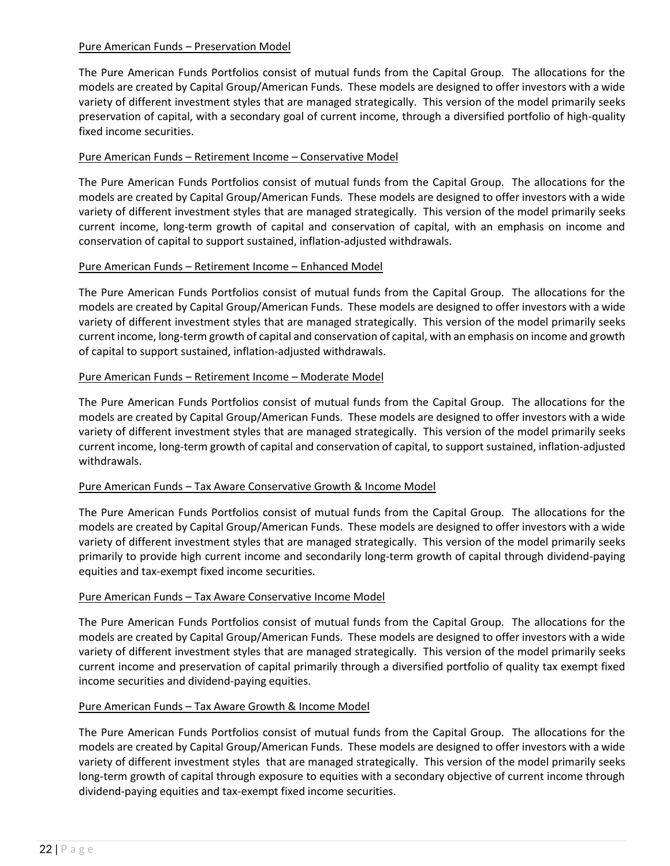### Pure American Funds – Preservation Model

The Pure American Funds Portfolios consist of mutual funds from the Capital Group. The allocations for the models are created by Capital Group/American Funds. These models are designed to offer investors with a wide variety of different investment styles that are managed strategically. This version of the model primarily seeks preservation of capital, with a secondary goal of current income, through a diversified portfolio of high-quality fixed income securities.

# Pure American Funds – Retirement Income – Conservative Model

The Pure American Funds Portfolios consist of mutual funds from the Capital Group. The allocations for the models are created by Capital Group/American Funds. These models are designed to offer investors with a wide variety of different investment styles that are managed strategically. This version of the model primarily seeks current income, long-term growth of capital and conservation of capital, with an emphasis on income and conservation of capital to support sustained, inflation-adjusted withdrawals.

#### Pure American Funds – Retirement Income – Enhanced Model

The Pure American Funds Portfolios consist of mutual funds from the Capital Group. The allocations for the models are created by Capital Group/American Funds. These models are designed to offer investors with a wide variety of different investment styles that are managed strategically. This version of the model primarily seeks current income, long-term growth of capital and conservation of capital, with an emphasis on income and growth of capital to support sustained, inflation-adjusted withdrawals.

# Pure American Funds – Retirement Income – Moderate Model

The Pure American Funds Portfolios consist of mutual funds from the Capital Group. The allocations for the models are created by Capital Group/American Funds. These models are designed to offer investors with a wide variety of different investment styles that are managed strategically. This version of the model primarily seeks current income, long-term growth of capital and conservation of capital, to support sustained, inflation-adjusted withdrawals.

# Pure American Funds – Tax Aware Conservative Growth & Income Model

The Pure American Funds Portfolios consist of mutual funds from the Capital Group. The allocations for the models are created by Capital Group/American Funds. These models are designed to offer investors with a wide variety of different investment styles that are managed strategically. This version of the model primarily seeks primarily to provide high current income and secondarily long-term growth of capital through dividend-paying equities and tax-exempt fixed income securities.

#### Pure American Funds – Tax Aware Conservative Income Model

The Pure American Funds Portfolios consist of mutual funds from the Capital Group. The allocations for the models are created by Capital Group/American Funds. These models are designed to offer investors with a wide variety of different investment styles that are managed strategically. This version of the model primarily seeks current income and preservation of capital primarily through a diversified portfolio of quality tax exempt fixed income securities and dividend-paying equities.

#### Pure American Funds – Tax Aware Growth & Income Model

The Pure American Funds Portfolios consist of mutual funds from the Capital Group. The allocations for the models are created by Capital Group/American Funds. These models are designed to offer investors with a wide variety of different investment styles that are managed strategically. This version of the model primarily seeks long-term growth of capital through exposure to equities with a secondary objective of current income through dividend-paying equities and tax-exempt fixed income securities.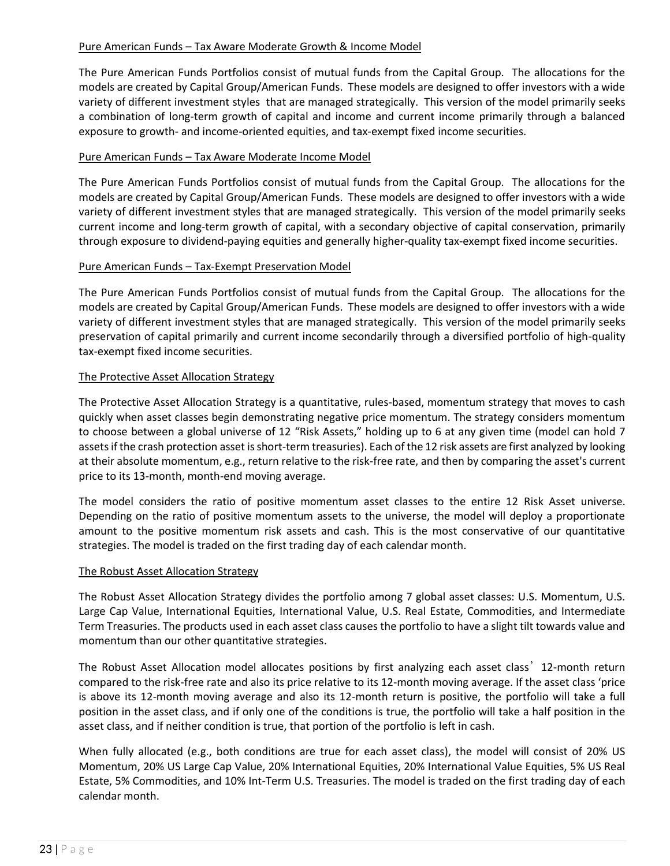## Pure American Funds – Tax Aware Moderate Growth & Income Model

The Pure American Funds Portfolios consist of mutual funds from the Capital Group. The allocations for the models are created by Capital Group/American Funds. These models are designed to offer investors with a wide variety of different investment styles that are managed strategically. This version of the model primarily seeks a combination of long-term growth of capital and income and current income primarily through a balanced exposure to growth- and income-oriented equities, and tax-exempt fixed income securities.

# Pure American Funds – Tax Aware Moderate Income Model

The Pure American Funds Portfolios consist of mutual funds from the Capital Group. The allocations for the models are created by Capital Group/American Funds. These models are designed to offer investors with a wide variety of different investment styles that are managed strategically. This version of the model primarily seeks current income and long-term growth of capital, with a secondary objective of capital conservation, primarily through exposure to dividend-paying equities and generally higher-quality tax-exempt fixed income securities.

# Pure American Funds – Tax-Exempt Preservation Model

The Pure American Funds Portfolios consist of mutual funds from the Capital Group. The allocations for the models are created by Capital Group/American Funds. These models are designed to offer investors with a wide variety of different investment styles that are managed strategically. This version of the model primarily seeks preservation of capital primarily and current income secondarily through a diversified portfolio of high-quality tax-exempt fixed income securities.

# The Protective Asset Allocation Strategy

The Protective Asset Allocation Strategy is a quantitative, rules-based, momentum strategy that moves to cash quickly when asset classes begin demonstrating negative price momentum. The strategy considers momentum to choose between a global universe of 12 "Risk Assets," holding up to 6 at any given time (model can hold 7 assets if the crash protection asset is short-term treasuries). Each of the 12 risk assets are first analyzed by looking at their absolute momentum, e.g., return relative to the risk-free rate, and then by comparing the asset's current price to its 13-month, month-end moving average.

The model considers the ratio of positive momentum asset classes to the entire 12 Risk Asset universe. Depending on the ratio of positive momentum assets to the universe, the model will deploy a proportionate amount to the positive momentum risk assets and cash. This is the most conservative of our quantitative strategies. The model is traded on the first trading day of each calendar month.

#### The Robust Asset Allocation Strategy

The Robust Asset Allocation Strategy divides the portfolio among 7 global asset classes: U.S. Momentum, U.S. Large Cap Value, International Equities, International Value, U.S. Real Estate, Commodities, and Intermediate Term Treasuries. The products used in each asset class causes the portfolio to have a slight tilt towards value and momentum than our other quantitative strategies.

The Robust Asset Allocation model allocates positions by first analyzing each asset class<sup>'</sup> 12-month return compared to the risk-free rate and also its price relative to its 12-month moving average. If the asset class 'price is above its 12-month moving average and also its 12-month return is positive, the portfolio will take a full position in the asset class, and if only one of the conditions is true, the portfolio will take a half position in the asset class, and if neither condition is true, that portion of the portfolio is left in cash.

When fully allocated (e.g., both conditions are true for each asset class), the model will consist of 20% US Momentum, 20% US Large Cap Value, 20% International Equities, 20% International Value Equities, 5% US Real Estate, 5% Commodities, and 10% Int-Term U.S. Treasuries. The model is traded on the first trading day of each calendar month.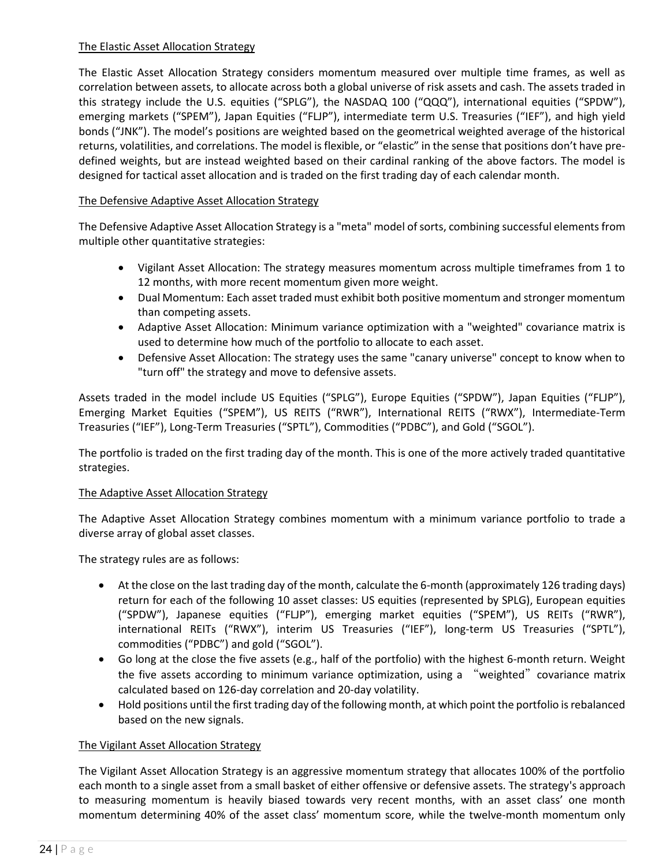# The Elastic Asset Allocation Strategy

The Elastic Asset Allocation Strategy considers momentum measured over multiple time frames, as well as correlation between assets, to allocate across both a global universe of risk assets and cash. The assets traded in this strategy include the U.S. equities ("SPLG"), the NASDAQ 100 ("QQQ"), international equities ("SPDW"), emerging markets ("SPEM"), Japan Equities ("FLJP"), intermediate term U.S. Treasuries ("IEF"), and high yield bonds ("JNK"). The model's positions are weighted based on the geometrical weighted average of the historical returns, volatilities, and correlations. The model is flexible, or "elastic" in the sense that positions don't have predefined weights, but are instead weighted based on their cardinal ranking of the above factors. The model is designed for tactical asset allocation and is traded on the first trading day of each calendar month.

# The Defensive Adaptive Asset Allocation Strategy

The Defensive Adaptive Asset Allocation Strategy is a "meta" model of sorts, combining successful elements from multiple other quantitative strategies:

- Vigilant Asset Allocation: The strategy measures momentum across multiple timeframes from 1 to 12 months, with more recent momentum given more weight.
- Dual Momentum: Each asset traded must exhibit both positive momentum and stronger momentum than competing assets.
- Adaptive Asset Allocation: Minimum variance optimization with a "weighted" covariance matrix is used to determine how much of the portfolio to allocate to each asset.
- Defensive Asset Allocation: The strategy uses the same "canary universe" concept to know when to "turn off" the strategy and move to defensive assets.

Assets traded in the model include US Equities ("SPLG"), Europe Equities ("SPDW"), Japan Equities ("FLJP"), Emerging Market Equities ("SPEM"), US REITS ("RWR"), International REITS ("RWX"), Intermediate-Term Treasuries ("IEF"), Long-Term Treasuries ("SPTL"), Commodities ("PDBC"), and Gold ("SGOL").

The portfolio is traded on the first trading day of the month. This is one of the more actively traded quantitative strategies.

# The Adaptive Asset Allocation Strategy

The Adaptive Asset Allocation Strategy combines momentum with a minimum variance portfolio to trade a diverse array of global asset classes.

The strategy rules are as follows:

- At the close on the last trading day of the month, calculate the 6-month (approximately 126 trading days) return for each of the following 10 asset classes: US equities (represented by SPLG), European equities ("SPDW"), Japanese equities ("FLJP"), emerging market equities ("SPEM"), US REITs ("RWR"), international REITs ("RWX"), interim US Treasuries ("IEF"), long-term US Treasuries ("SPTL"), commodities ("PDBC") and gold ("SGOL").
- Go long at the close the five assets (e.g., half of the portfolio) with the highest 6-month return. Weight the five assets according to minimum variance optimization, using a "weighted" covariance matrix calculated based on 126-day correlation and 20-day volatility.
- Hold positions until the first trading day of the following month, at which point the portfolio is rebalanced based on the new signals.

# The Vigilant Asset Allocation Strategy

The Vigilant Asset Allocation Strategy is an aggressive momentum strategy that allocates 100% of the portfolio each month to a single asset from a small basket of either offensive or defensive assets. The strategy's approach to measuring momentum is heavily biased towards very recent months, with an asset class' one month momentum determining 40% of the asset class' momentum score, while the twelve-month momentum only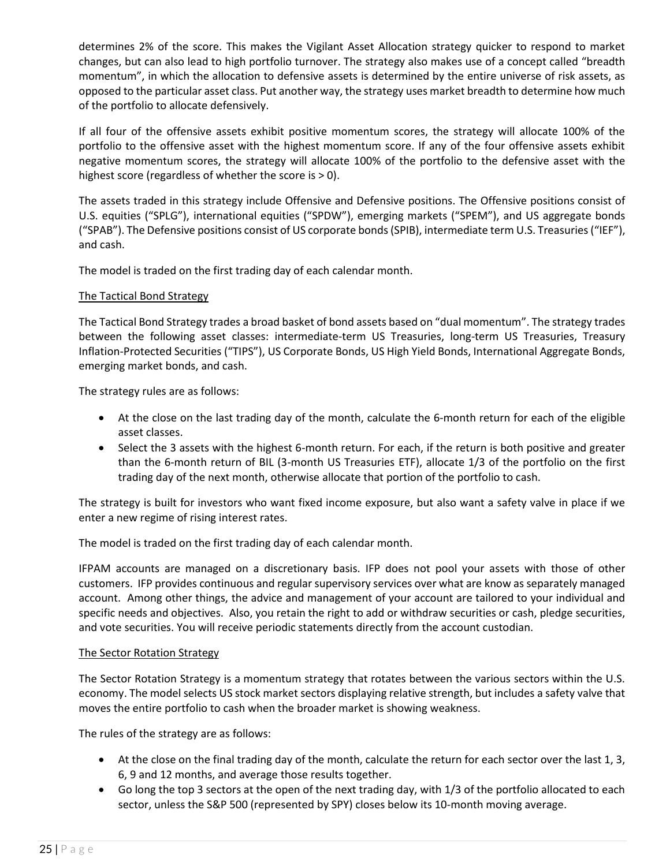determines 2% of the score. This makes the Vigilant Asset Allocation strategy quicker to respond to market changes, but can also lead to high portfolio turnover. The strategy also makes use of a concept called "breadth momentum", in which the allocation to defensive assets is determined by the entire universe of risk assets, as opposed to the particular asset class. Put another way, the strategy uses market breadth to determine how much of the portfolio to allocate defensively.

If all four of the offensive assets exhibit positive momentum scores, the strategy will allocate 100% of the portfolio to the offensive asset with the highest momentum score. If any of the four offensive assets exhibit negative momentum scores, the strategy will allocate 100% of the portfolio to the defensive asset with the highest score (regardless of whether the score is  $> 0$ ).

The assets traded in this strategy include Offensive and Defensive positions. The Offensive positions consist of U.S. equities ("SPLG"), international equities ("SPDW"), emerging markets ("SPEM"), and US aggregate bonds ("SPAB"). The Defensive positions consist of US corporate bonds (SPIB), intermediate term U.S. Treasuries ("IEF"), and cash.

The model is traded on the first trading day of each calendar month.

#### The Tactical Bond Strategy

The Tactical Bond Strategy trades a broad basket of bond assets based on "dual momentum". The strategy trades between the following asset classes: intermediate-term US Treasuries, long-term US Treasuries, Treasury Inflation-Protected Securities ("TIPS"), US Corporate Bonds, US High Yield Bonds, International Aggregate Bonds, emerging market bonds, and cash.

The strategy rules are as follows:

- At the close on the last trading day of the month, calculate the 6-month return for each of the eligible asset classes.
- Select the 3 assets with the highest 6-month return. For each, if the return is both positive and greater than the 6-month return of BIL (3-month US Treasuries ETF), allocate 1/3 of the portfolio on the first trading day of the next month, otherwise allocate that portion of the portfolio to cash.

The strategy is built for investors who want fixed income exposure, but also want a safety valve in place if we enter a new regime of rising interest rates.

The model is traded on the first trading day of each calendar month.

IFPAM accounts are managed on a discretionary basis. IFP does not pool your assets with those of other customers. IFP provides continuous and regular supervisory services over what are know as separately managed account. Among other things, the advice and management of your account are tailored to your individual and specific needs and objectives. Also, you retain the right to add or withdraw securities or cash, pledge securities, and vote securities. You will receive periodic statements directly from the account custodian.

#### The Sector Rotation Strategy

The Sector Rotation Strategy is a momentum strategy that rotates between the various sectors within the U.S. economy. The model selects US stock market sectors displaying relative strength, but includes a safety valve that moves the entire portfolio to cash when the broader market is showing weakness.

The rules of the strategy are as follows:

- At the close on the final trading day of the month, calculate the return for each sector over the last 1, 3, 6, 9 and 12 months, and average those results together.
- Go long the top 3 sectors at the open of the next trading day, with 1/3 of the portfolio allocated to each sector, unless the S&P 500 (represented by SPY) closes below its 10-month moving average.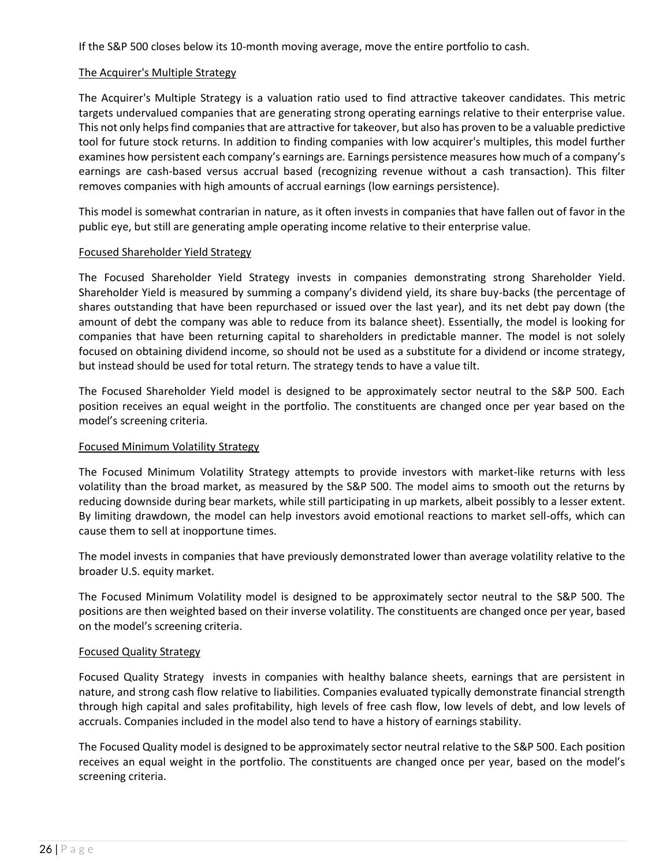If the S&P 500 closes below its 10-month moving average, move the entire portfolio to cash.

#### The Acquirer's Multiple Strategy

The Acquirer's Multiple Strategy is a valuation ratio used to find attractive takeover candidates. This metric targets undervalued companies that are generating strong operating earnings relative to their enterprise value. This not only helps find companies that are attractive for takeover, but also has proven to be a valuable predictive tool for future stock returns. In addition to finding companies with low acquirer's multiples, this model further examines how persistent each company's earnings are. Earnings persistence measures how much of a company's earnings are cash-based versus accrual based (recognizing revenue without a cash transaction). This filter removes companies with high amounts of accrual earnings (low earnings persistence).

This model is somewhat contrarian in nature, as it often invests in companies that have fallen out of favor in the public eye, but still are generating ample operating income relative to their enterprise value.

#### Focused Shareholder Yield Strategy

The Focused Shareholder Yield Strategy invests in companies demonstrating strong Shareholder Yield. Shareholder Yield is measured by summing a company's dividend yield, its share buy-backs (the percentage of shares outstanding that have been repurchased or issued over the last year), and its net debt pay down (the amount of debt the company was able to reduce from its balance sheet). Essentially, the model is looking for companies that have been returning capital to shareholders in predictable manner. The model is not solely focused on obtaining dividend income, so should not be used as a substitute for a dividend or income strategy, but instead should be used for total return. The strategy tends to have a value tilt.

The Focused Shareholder Yield model is designed to be approximately sector neutral to the S&P 500. Each position receives an equal weight in the portfolio. The constituents are changed once per year based on the model's screening criteria.

#### Focused Minimum Volatility Strategy

The Focused Minimum Volatility Strategy attempts to provide investors with market-like returns with less volatility than the broad market, as measured by the S&P 500. The model aims to smooth out the returns by reducing downside during bear markets, while still participating in up markets, albeit possibly to a lesser extent. By limiting drawdown, the model can help investors avoid emotional reactions to market sell-offs, which can cause them to sell at inopportune times.

The model invests in companies that have previously demonstrated lower than average volatility relative to the broader U.S. equity market.

The Focused Minimum Volatility model is designed to be approximately sector neutral to the S&P 500. The positions are then weighted based on their inverse volatility. The constituents are changed once per year, based on the model's screening criteria.

#### Focused Quality Strategy

Focused Quality Strategy invests in companies with healthy balance sheets, earnings that are persistent in nature, and strong cash flow relative to liabilities. Companies evaluated typically demonstrate financial strength through high capital and sales profitability, high levels of free cash flow, low levels of debt, and low levels of accruals. Companies included in the model also tend to have a history of earnings stability.

The Focused Quality model is designed to be approximately sector neutral relative to the S&P 500. Each position receives an equal weight in the portfolio. The constituents are changed once per year, based on the model's screening criteria.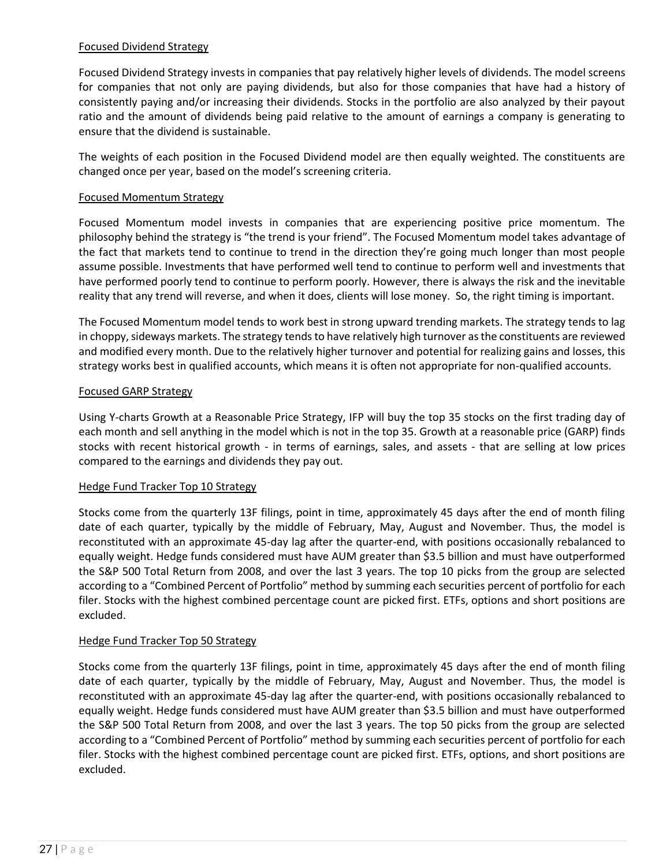## Focused Dividend Strategy

Focused Dividend Strategy invests in companies that pay relatively higher levels of dividends. The model screens for companies that not only are paying dividends, but also for those companies that have had a history of consistently paying and/or increasing their dividends. Stocks in the portfolio are also analyzed by their payout ratio and the amount of dividends being paid relative to the amount of earnings a company is generating to ensure that the dividend is sustainable.

The weights of each position in the Focused Dividend model are then equally weighted. The constituents are changed once per year, based on the model's screening criteria.

# Focused Momentum Strategy

Focused Momentum model invests in companies that are experiencing positive price momentum. The philosophy behind the strategy is "the trend is your friend". The Focused Momentum model takes advantage of the fact that markets tend to continue to trend in the direction they're going much longer than most people assume possible. Investments that have performed well tend to continue to perform well and investments that have performed poorly tend to continue to perform poorly. However, there is always the risk and the inevitable reality that any trend will reverse, and when it does, clients will lose money. So, the right timing is important.

The Focused Momentum model tends to work best in strong upward trending markets. The strategy tends to lag in choppy, sideways markets. The strategy tends to have relatively high turnover as the constituents are reviewed and modified every month. Due to the relatively higher turnover and potential for realizing gains and losses, this strategy works best in qualified accounts, which means it is often not appropriate for non-qualified accounts.

# Focused GARP Strategy

Using Y-charts Growth at a Reasonable Price Strategy, IFP will buy the top 35 stocks on the first trading day of each month and sell anything in the model which is not in the top 35. Growth at a reasonable price (GARP) finds stocks with recent historical growth - in terms of earnings, sales, and assets - that are selling at low prices compared to the earnings and dividends they pay out.

#### Hedge Fund Tracker Top 10 Strategy

Stocks come from the quarterly 13F filings, point in time, approximately 45 days after the end of month filing date of each quarter, typically by the middle of February, May, August and November. Thus, the model is reconstituted with an approximate 45-day lag after the quarter-end, with positions occasionally rebalanced to equally weight. Hedge funds considered must have AUM greater than \$3.5 billion and must have outperformed the S&P 500 Total Return from 2008, and over the last 3 years. The top 10 picks from the group are selected according to a "Combined Percent of Portfolio" method by summing each securities percent of portfolio for each filer. Stocks with the highest combined percentage count are picked first. ETFs, options and short positions are excluded.

#### Hedge Fund Tracker Top 50 Strategy

Stocks come from the quarterly 13F filings, point in time, approximately 45 days after the end of month filing date of each quarter, typically by the middle of February, May, August and November. Thus, the model is reconstituted with an approximate 45-day lag after the quarter-end, with positions occasionally rebalanced to equally weight. Hedge funds considered must have AUM greater than \$3.5 billion and must have outperformed the S&P 500 Total Return from 2008, and over the last 3 years. The top 50 picks from the group are selected according to a "Combined Percent of Portfolio" method by summing each securities percent of portfolio for each filer. Stocks with the highest combined percentage count are picked first. ETFs, options, and short positions are excluded.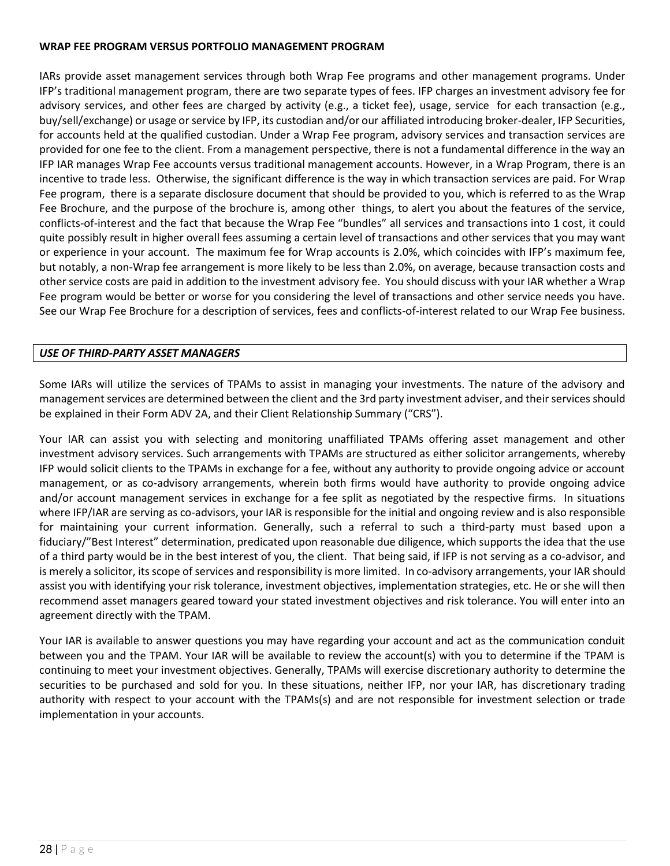#### **WRAP FEE PROGRAM VERSUS PORTFOLIO MANAGEMENT PROGRAM**

IARs provide asset management services through both Wrap Fee programs and other management programs. Under IFP's traditional management program, there are two separate types of fees. IFP charges an investment advisory fee for advisory services, and other fees are charged by activity (e.g., a ticket fee), usage, service for each transaction (e.g., buy/sell/exchange) or usage or service by IFP, its custodian and/or our affiliated introducing broker-dealer, IFP Securities, for accounts held at the qualified custodian. Under a Wrap Fee program, advisory services and transaction services are provided for one fee to the client. From a management perspective, there is not a fundamental difference in the way an IFP IAR manages Wrap Fee accounts versus traditional management accounts. However, in a Wrap Program, there is an incentive to trade less. Otherwise, the significant difference is the way in which transaction services are paid. For Wrap Fee program, there is a separate disclosure document that should be provided to you, which is referred to as the Wrap Fee Brochure, and the purpose of the brochure is, among other things, to alert you about the features of the service, conflicts-of-interest and the fact that because the Wrap Fee "bundles" all services and transactions into 1 cost, it could quite possibly result in higher overall fees assuming a certain level of transactions and other services that you may want or experience in your account. The maximum fee for Wrap accounts is 2.0%, which coincides with IFP's maximum fee, but notably, a non-Wrap fee arrangement is more likely to be less than 2.0%, on average, because transaction costs and other service costs are paid in addition to the investment advisory fee. You should discuss with your IAR whether a Wrap Fee program would be better or worse for you considering the level of transactions and other service needs you have. See our Wrap Fee Brochure for a description of services, fees and conflicts-of-interest related to our Wrap Fee business.

# *USE OF THIRD-PARTY ASSET MANAGERS*

Some IARs will utilize the services of TPAMs to assist in managing your investments. The nature of the advisory and management services are determined between the client and the 3rd party investment adviser, and their services should be explained in their Form ADV 2A, and their Client Relationship Summary ("CRS").

Your IAR can assist you with selecting and monitoring unaffiliated TPAMs offering asset management and other investment advisory services. Such arrangements with TPAMs are structured as either solicitor arrangements, whereby IFP would solicit clients to the TPAMs in exchange for a fee, without any authority to provide ongoing advice or account management, or as co-advisory arrangements, wherein both firms would have authority to provide ongoing advice and/or account management services in exchange for a fee split as negotiated by the respective firms. In situations where IFP/IAR are serving as co-advisors, your IAR is responsible for the initial and ongoing review and is also responsible for maintaining your current information. Generally, such a referral to such a third-party must based upon a fiduciary/"Best Interest" determination, predicated upon reasonable due diligence, which supports the idea that the use of a third party would be in the best interest of you, the client. That being said, if IFP is not serving as a co-advisor, and is merely a solicitor, its scope of services and responsibility is more limited. In co-advisory arrangements, your IAR should assist you with identifying your risk tolerance, investment objectives, implementation strategies, etc. He or she will then recommend asset managers geared toward your stated investment objectives and risk tolerance. You will enter into an agreement directly with the TPAM.

Your IAR is available to answer questions you may have regarding your account and act as the communication conduit between you and the TPAM. Your IAR will be available to review the account(s) with you to determine if the TPAM is continuing to meet your investment objectives. Generally, TPAMs will exercise discretionary authority to determine the securities to be purchased and sold for you. In these situations, neither IFP, nor your IAR, has discretionary trading authority with respect to your account with the TPAMs(s) and are not responsible for investment selection or trade implementation in your accounts.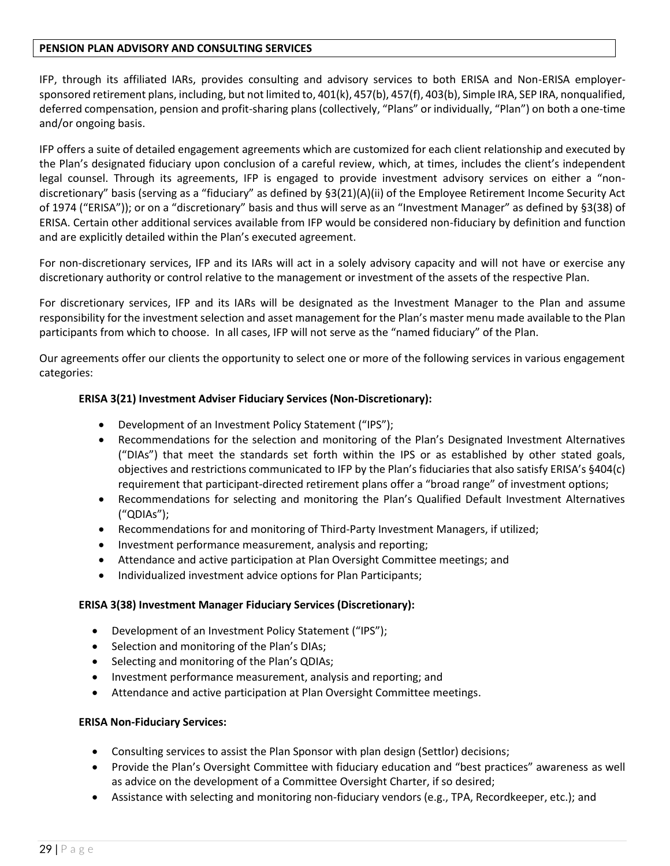#### **PENSION PLAN ADVISORY AND CONSULTING SERVICES**

IFP, through its affiliated IARs, provides consulting and advisory services to both ERISA and Non-ERISA employersponsored retirement plans, including, but not limited to, 401(k), 457(b), 457(f), 403(b), Simple IRA, SEP IRA, nonqualified, deferred compensation, pension and profit-sharing plans (collectively, "Plans" or individually, "Plan") on both a one-time and/or ongoing basis.

IFP offers a suite of detailed engagement agreements which are customized for each client relationship and executed by the Plan's designated fiduciary upon conclusion of a careful review, which, at times, includes the client's independent legal counsel. Through its agreements, IFP is engaged to provide investment advisory services on either a "nondiscretionary" basis (serving as a "fiduciary" as defined by §3(21)(A)(ii) of the Employee Retirement Income Security Act of 1974 ("ERISA")); or on a "discretionary" basis and thus will serve as an "Investment Manager" as defined by §3(38) of ERISA. Certain other additional services available from IFP would be considered non-fiduciary by definition and function and are explicitly detailed within the Plan's executed agreement.

For non-discretionary services, IFP and its IARs will act in a solely advisory capacity and will not have or exercise any discretionary authority or control relative to the management or investment of the assets of the respective Plan.

For discretionary services, IFP and its IARs will be designated as the Investment Manager to the Plan and assume responsibility for the investment selection and asset management for the Plan's master menu made available to the Plan participants from which to choose. In all cases, IFP will not serve as the "named fiduciary" of the Plan.

Our agreements offer our clients the opportunity to select one or more of the following services in various engagement categories:

# **ERISA 3(21) Investment Adviser Fiduciary Services (Non-Discretionary):**

- Development of an Investment Policy Statement ("IPS");
- Recommendations for the selection and monitoring of the Plan's Designated Investment Alternatives ("DIAs") that meet the standards set forth within the IPS or as established by other stated goals, objectives and restrictions communicated to IFP by the Plan's fiduciaries that also satisfy ERISA's §404(c) requirement that participant-directed retirement plans offer a "broad range" of investment options;
- Recommendations for selecting and monitoring the Plan's Qualified Default Investment Alternatives ("QDIAs");
- Recommendations for and monitoring of Third-Party Investment Managers, if utilized;
- Investment performance measurement, analysis and reporting;
- Attendance and active participation at Plan Oversight Committee meetings; and
- Individualized investment advice options for Plan Participants;

#### **ERISA 3(38) Investment Manager Fiduciary Services (Discretionary):**

- Development of an Investment Policy Statement ("IPS");
- Selection and monitoring of the Plan's DIAs;
- Selecting and monitoring of the Plan's QDIAs;
- Investment performance measurement, analysis and reporting; and
- Attendance and active participation at Plan Oversight Committee meetings.

#### **ERISA Non-Fiduciary Services:**

- Consulting services to assist the Plan Sponsor with plan design (Settlor) decisions;
- Provide the Plan's Oversight Committee with fiduciary education and "best practices" awareness as well as advice on the development of a Committee Oversight Charter, if so desired;
- Assistance with selecting and monitoring non-fiduciary vendors (e.g., TPA, Recordkeeper, etc.); and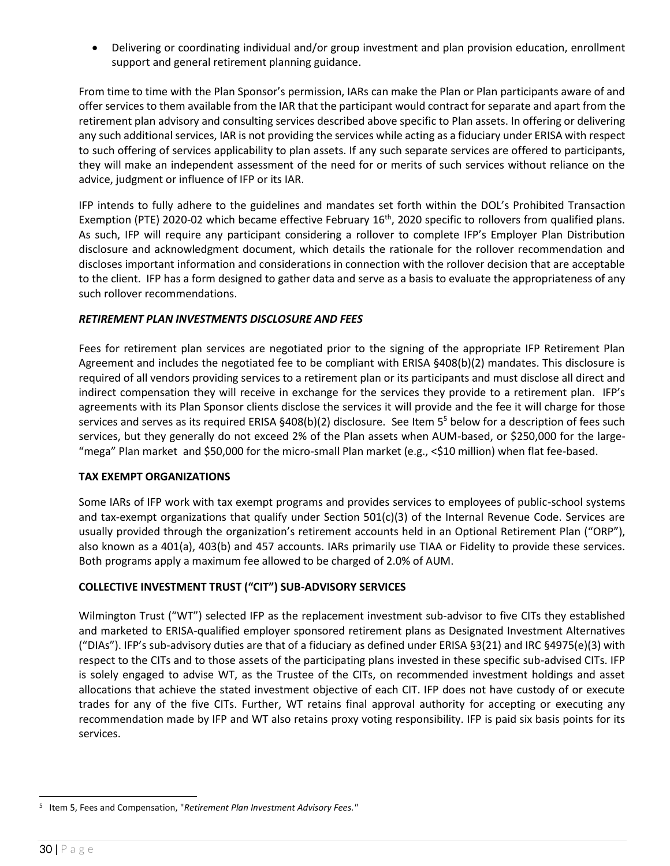• Delivering or coordinating individual and/or group investment and plan provision education, enrollment support and general retirement planning guidance.

From time to time with the Plan Sponsor's permission, IARs can make the Plan or Plan participants aware of and offer services to them available from the IAR that the participant would contract for separate and apart from the retirement plan advisory and consulting services described above specific to Plan assets. In offering or delivering any such additional services, IAR is not providing the services while acting as a fiduciary under ERISA with respect to such offering of services applicability to plan assets. If any such separate services are offered to participants, they will make an independent assessment of the need for or merits of such services without reliance on the advice, judgment or influence of IFP or its IAR.

IFP intends to fully adhere to the guidelines and mandates set forth within the DOL's Prohibited Transaction Exemption (PTE) 2020-02 which became effective February 16<sup>th</sup>, 2020 specific to rollovers from qualified plans. As such, IFP will require any participant considering a rollover to complete IFP's Employer Plan Distribution disclosure and acknowledgment document, which details the rationale for the rollover recommendation and discloses important information and considerations in connection with the rollover decision that are acceptable to the client. IFP has a form designed to gather data and serve as a basis to evaluate the appropriateness of any such rollover recommendations.

#### *RETIREMENT PLAN INVESTMENTS DISCLOSURE AND FEES*

Fees for retirement plan services are negotiated prior to the signing of the appropriate IFP Retirement Plan Agreement and includes the negotiated fee to be compliant with ERISA §408(b)(2) mandates. This disclosure is required of all vendors providing services to a retirement plan or its participants and must disclose all direct and indirect compensation they will receive in exchange for the services they provide to a retirement plan. IFP's agreements with its Plan Sponsor clients disclose the services it will provide and the fee it will charge for those services and serves as its required ERISA §408(b)(2) disclosure. See Item 5<sup>5</sup> below for a description of fees such services, but they generally do not exceed 2% of the Plan assets when AUM-based, or \$250,000 for the large- "mega" Plan market and \$50,000 for the micro-small Plan market (e.g., <\$10 million) when flat fee-based.

#### **TAX EXEMPT ORGANIZATIONS**

Some IARs of IFP work with tax exempt programs and provides services to employees of public-school systems and tax-exempt organizations that qualify under Section 501(c)(3) of the Internal Revenue Code. Services are usually provided through the organization's retirement accounts held in an Optional Retirement Plan ("ORP"), also known as a 401(a), 403(b) and 457 accounts. IARs primarily use TIAA or Fidelity to provide these services. Both programs apply a maximum fee allowed to be charged of 2.0% of AUM.

# **COLLECTIVE INVESTMENT TRUST ("CIT") SUB-ADVISORY SERVICES**

Wilmington Trust ("WT") selected IFP as the replacement investment sub-advisor to five CITs they established and marketed to ERISA-qualified employer sponsored retirement plans as Designated Investment Alternatives ("DIAs"). IFP's sub-advisory duties are that of a fiduciary as defined under ERISA §3(21) and IRC §4975(e)(3) with respect to the CITs and to those assets of the participating plans invested in these specific sub-advised CITs. IFP is solely engaged to advise WT, as the Trustee of the CITs, on recommended investment holdings and asset allocations that achieve the stated investment objective of each CIT. IFP does not have custody of or execute trades for any of the five CITs. Further, WT retains final approval authority for accepting or executing any recommendation made by IFP and WT also retains proxy voting responsibility. IFP is paid six basis points for its services.

<sup>5</sup> Item 5, Fees and Compensation, "*Retirement Plan Investment Advisory Fees."*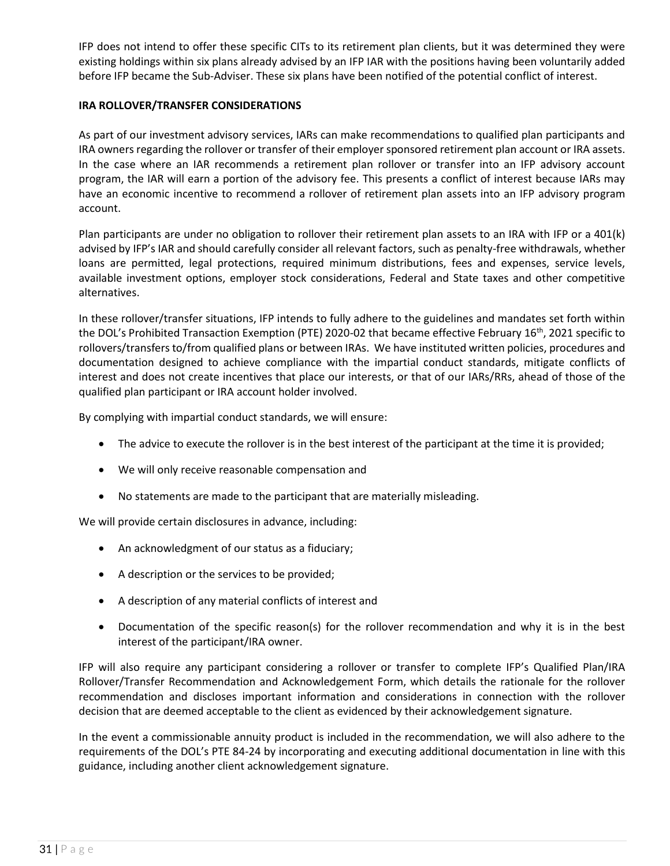IFP does not intend to offer these specific CITs to its retirement plan clients, but it was determined they were existing holdings within six plans already advised by an IFP IAR with the positions having been voluntarily added before IFP became the Sub-Adviser. These six plans have been notified of the potential conflict of interest.

## **IRA ROLLOVER/TRANSFER CONSIDERATIONS**

As part of our investment advisory services, IARs can make recommendations to qualified plan participants and IRA owners regarding the rollover or transfer of their employer sponsored retirement plan account or IRA assets. In the case where an IAR recommends a retirement plan rollover or transfer into an IFP advisory account program, the IAR will earn a portion of the advisory fee. This presents a conflict of interest because IARs may have an economic incentive to recommend a rollover of retirement plan assets into an IFP advisory program account.

Plan participants are under no obligation to rollover their retirement plan assets to an IRA with IFP or a 401(k) advised by IFP's IAR and should carefully consider all relevant factors, such as penalty-free withdrawals, whether loans are permitted, legal protections, required minimum distributions, fees and expenses, service levels, available investment options, employer stock considerations, Federal and State taxes and other competitive alternatives.

In these rollover/transfer situations, IFP intends to fully adhere to the guidelines and mandates set forth within the DOL's Prohibited Transaction Exemption (PTE) 2020-02 that became effective February 16<sup>th</sup>, 2021 specific to rollovers/transfers to/from qualified plans or between IRAs. We have instituted written policies, procedures and documentation designed to achieve compliance with the impartial conduct standards, mitigate conflicts of interest and does not create incentives that place our interests, or that of our IARs/RRs, ahead of those of the qualified plan participant or IRA account holder involved.

By complying with impartial conduct standards, we will ensure:

- The advice to execute the rollover is in the best interest of the participant at the time it is provided;
- We will only receive reasonable compensation and
- No statements are made to the participant that are materially misleading.

We will provide certain disclosures in advance, including:

- An acknowledgment of our status as a fiduciary;
- A description or the services to be provided;
- A description of any material conflicts of interest and
- Documentation of the specific reason(s) for the rollover recommendation and why it is in the best interest of the participant/IRA owner.

IFP will also require any participant considering a rollover or transfer to complete IFP's Qualified Plan/IRA Rollover/Transfer Recommendation and Acknowledgement Form, which details the rationale for the rollover recommendation and discloses important information and considerations in connection with the rollover decision that are deemed acceptable to the client as evidenced by their acknowledgement signature.

In the event a commissionable annuity product is included in the recommendation, we will also adhere to the requirements of the DOL's PTE 84-24 by incorporating and executing additional documentation in line with this guidance, including another client acknowledgement signature.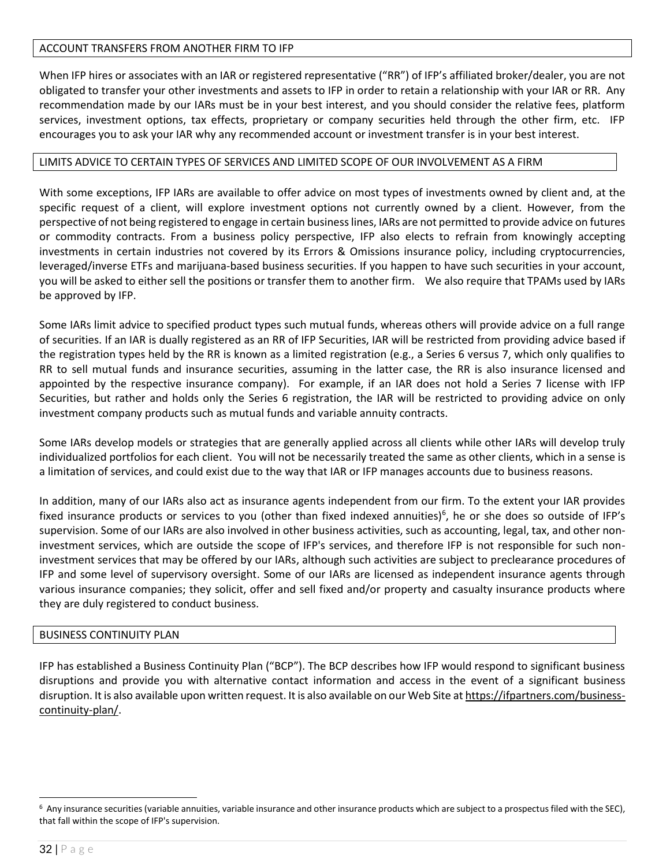## ACCOUNT TRANSFERS FROM ANOTHER FIRM TO IFP

When IFP hires or associates with an IAR or registered representative ("RR") of IFP's affiliated broker/dealer, you are not obligated to transfer your other investments and assets to IFP in order to retain a relationship with your IAR or RR. Any recommendation made by our IARs must be in your best interest, and you should consider the relative fees, platform services, investment options, tax effects, proprietary or company securities held through the other firm, etc. IFP encourages you to ask your IAR why any recommended account or investment transfer is in your best interest.

## LIMITS ADVICE TO CERTAIN TYPES OF SERVICES AND LIMITED SCOPE OF OUR INVOLVEMENT AS A FIRM

With some exceptions, IFP IARs are available to offer advice on most types of investments owned by client and, at the specific request of a client, will explore investment options not currently owned by a client. However, from the perspective of not being registered to engage in certain business lines, IARs are not permitted to provide advice on futures or commodity contracts. From a business policy perspective, IFP also elects to refrain from knowingly accepting investments in certain industries not covered by its Errors & Omissions insurance policy, including cryptocurrencies, leveraged/inverse ETFs and marijuana-based business securities. If you happen to have such securities in your account, you will be asked to either sell the positions or transfer them to another firm. We also require that TPAMs used by IARs be approved by IFP.

Some IARs limit advice to specified product types such mutual funds, whereas others will provide advice on a full range of securities. If an IAR is dually registered as an RR of IFP Securities, IAR will be restricted from providing advice based if the registration types held by the RR is known as a limited registration (e.g., a Series 6 versus 7, which only qualifies to RR to sell mutual funds and insurance securities, assuming in the latter case, the RR is also insurance licensed and appointed by the respective insurance company). For example, if an IAR does not hold a Series 7 license with IFP Securities, but rather and holds only the Series 6 registration, the IAR will be restricted to providing advice on only investment company products such as mutual funds and variable annuity contracts.

Some IARs develop models or strategies that are generally applied across all clients while other IARs will develop truly individualized portfolios for each client. You will not be necessarily treated the same as other clients, which in a sense is a limitation of services, and could exist due to the way that IAR or IFP manages accounts due to business reasons.

In addition, many of our IARs also act as insurance agents independent from our firm. To the extent your IAR provides fixed insurance products or services to you (other than fixed indexed annuities)<sup>6</sup>, he or she does so outside of IFP's supervision. Some of our IARs are also involved in other business activities, such as accounting, legal, tax, and other noninvestment services, which are outside the scope of IFP's services, and therefore IFP is not responsible for such noninvestment services that may be offered by our IARs, although such activities are subject to preclearance procedures of IFP and some level of supervisory oversight. Some of our IARs are licensed as independent insurance agents through various insurance companies; they solicit, offer and sell fixed and/or property and casualty insurance products where they are duly registered to conduct business.

#### BUSINESS CONTINUITY PLAN

IFP has established a Business Continuity Plan ("BCP"). The BCP describes how IFP would respond to significant business disruptions and provide you with alternative contact information and access in the event of a significant business disruption. It is also available upon written request. It is also available on our Web Site a[t https://ifpartners.com/business](https://ifpartners.com/business-continuity-plan/)[continuity-plan/.](https://ifpartners.com/business-continuity-plan/)

<sup>6</sup> Any insurance securities (variable annuities, variable insurance and other insurance products which are subject to a prospectus filed with the SEC), that fall within the scope of IFP's supervision.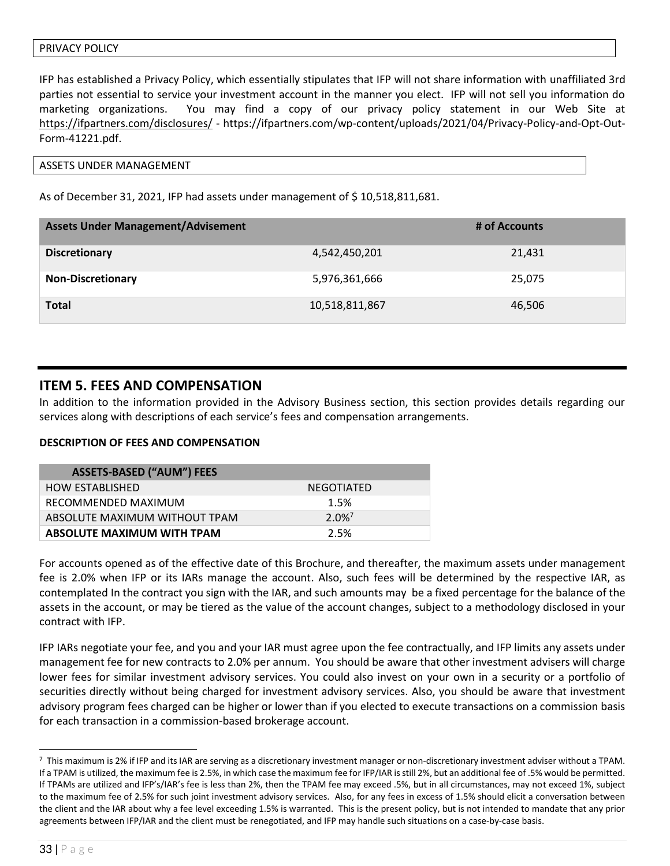IFP has established a Privacy Policy, which essentially stipulates that IFP will not share information with unaffiliated 3rd parties not essential to service your investment account in the manner you elect. IFP will not sell you information do marketing organizations. You may find a copy of our privacy policy statement in our Web Site at <https://ifpartners.com/disclosures/> - https://ifpartners.com/wp-content/uploads/2021/04/Privacy-Policy-and-Opt-Out-Form-41221.pdf.

#### ASSETS UNDER MANAGEMENT

As of December 31, 2021, IFP had assets under management of \$10,518,811,681.

| <b>Assets Under Management/Advisement</b> |                | # of Accounts |  |
|-------------------------------------------|----------------|---------------|--|
| <b>Discretionary</b>                      | 4,542,450,201  | 21,431        |  |
| <b>Non-Discretionary</b>                  | 5,976,361,666  | 25,075        |  |
| <b>Total</b>                              | 10,518,811,867 | 46,506        |  |

# <span id="page-32-0"></span>**ITEM 5. FEES AND COMPENSATION**

In addition to the information provided in the Advisory Business section, this section provides details regarding our services along with descriptions of each service's fees and compensation arrangements.

#### **DESCRIPTION OF FEES AND COMPENSATION**

| ASSETS-BASED ("AUM") FEES     |                      |
|-------------------------------|----------------------|
| <b>HOW ESTABLISHED</b>        | <b>NEGOTIATED</b>    |
| RECOMMENDED MAXIMUM           | 1.5%                 |
| ABSOLUTE MAXIMUM WITHOUT TPAM | $2.0\%$ <sup>7</sup> |
| ABSOLUTE MAXIMUM WITH TPAM    | 2.5%                 |

For accounts opened as of the effective date of this Brochure, and thereafter, the maximum assets under management fee is 2.0% when IFP or its IARs manage the account. Also, such fees will be determined by the respective IAR, as contemplated In the contract you sign with the IAR, and such amounts may be a fixed percentage for the balance of the assets in the account, or may be tiered as the value of the account changes, subject to a methodology disclosed in your contract with IFP.

IFP IARs negotiate your fee, and you and your IAR must agree upon the fee contractually, and IFP limits any assets under management fee for new contracts to 2.0% per annum. You should be aware that other investment advisers will charge lower fees for similar investment advisory services. You could also invest on your own in a security or a portfolio of securities directly without being charged for investment advisory services. Also, you should be aware that investment advisory program fees charged can be higher or lower than if you elected to execute transactions on a commission basis for each transaction in a commission-based brokerage account.

<sup>7</sup> This maximum is 2% if IFP and its IAR are serving as a discretionary investment manager or non-discretionary investment adviser without a TPAM. If a TPAM is utilized, the maximum fee is 2.5%, in which case the maximum fee for IFP/IAR is still 2%, but an additional fee of .5% would be permitted. If TPAMs are utilized and IFP's/IAR's fee is less than 2%, then the TPAM fee may exceed .5%, but in all circumstances, may not exceed 1%, subject to the maximum fee of 2.5% for such joint investment advisory services. Also, for any fees in excess of 1.5% should elicit a conversation between the client and the IAR about why a fee level exceeding 1.5% is warranted. This is the present policy, but is not intended to mandate that any prior agreements between IFP/IAR and the client must be renegotiated, and IFP may handle such situations on a case-by-case basis.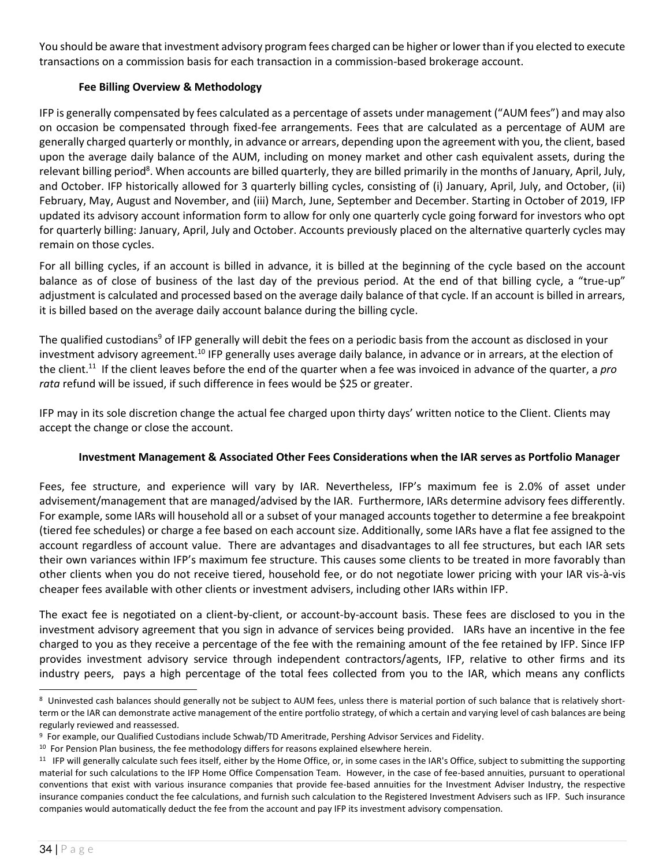You should be aware that investment advisory program fees charged can be higher or lower than if you elected to execute transactions on a commission basis for each transaction in a commission-based brokerage account.

# **Fee Billing Overview & Methodology**

IFP is generally compensated by fees calculated as a percentage of assets under management ("AUM fees") and may also on occasion be compensated through fixed-fee arrangements. Fees that are calculated as a percentage of AUM are generally charged quarterly or monthly, in advance or arrears, depending upon the agreement with you, the client, based upon the average daily balance of the AUM, including on money market and other cash equivalent assets, during the relevant billing period<sup>8</sup>. When accounts are billed quarterly, they are billed primarily in the months of January, April, July, and October. IFP historically allowed for 3 quarterly billing cycles, consisting of (i) January, April, July, and October, (ii) February, May, August and November, and (iii) March, June, September and December. Starting in October of 2019, IFP updated its advisory account information form to allow for only one quarterly cycle going forward for investors who opt for quarterly billing: January, April, July and October. Accounts previously placed on the alternative quarterly cycles may remain on those cycles.

For all billing cycles, if an account is billed in advance, it is billed at the beginning of the cycle based on the account balance as of close of business of the last day of the previous period. At the end of that billing cycle, a "true-up" adjustment is calculated and processed based on the average daily balance of that cycle. If an account is billed in arrears, it is billed based on the average daily account balance during the billing cycle.

The qualified custodians<sup>9</sup> of IFP generally will debit the fees on a periodic basis from the account as disclosed in your investment advisory agreement.<sup>10</sup> IFP generally uses average daily balance, in advance or in arrears, at the election of the client.<sup>11</sup> If the client leaves before the end of the quarter when a fee was invoiced in advance of the quarter, a *pro rata* refund will be issued, if such difference in fees would be \$25 or greater.

IFP may in its sole discretion change the actual fee charged upon thirty days' written notice to the Client. Clients may accept the change or close the account.

# **Investment Management & Associated Other Fees Considerations when the IAR serves as Portfolio Manager**

Fees, fee structure, and experience will vary by IAR. Nevertheless, IFP's maximum fee is 2.0% of asset under advisement/management that are managed/advised by the IAR. Furthermore, IARs determine advisory fees differently. For example, some IARs will household all or a subset of your managed accounts together to determine a fee breakpoint (tiered fee schedules) or charge a fee based on each account size. Additionally, some IARs have a flat fee assigned to the account regardless of account value. There are advantages and disadvantages to all fee structures, but each IAR sets their own variances within IFP's maximum fee structure. This causes some clients to be treated in more favorably than other clients when you do not receive tiered, household fee, or do not negotiate lower pricing with your IAR vis-à-vis cheaper fees available with other clients or investment advisers, including other IARs within IFP.

The exact fee is negotiated on a client-by-client, or account-by-account basis. These fees are disclosed to you in the investment advisory agreement that you sign in advance of services being provided. IARs have an incentive in the fee charged to you as they receive a percentage of the fee with the remaining amount of the fee retained by IFP. Since IFP provides investment advisory service through independent contractors/agents, IFP, relative to other firms and its industry peers, pays a high percentage of the total fees collected from you to the IAR, which means any conflicts

<sup>8</sup> Uninvested cash balances should generally not be subject to AUM fees, unless there is material portion of such balance that is relatively shortterm or the IAR can demonstrate active management of the entire portfolio strategy, of which a certain and varying level of cash balances are being regularly reviewed and reassessed.

<sup>9</sup> For example, our Qualified Custodians include Schwab/TD Ameritrade, Pershing Advisor Services and Fidelity.

 $^{10}$  For Pension Plan business, the fee methodology differs for reasons explained elsewhere herein.

<sup>&</sup>lt;sup>11</sup> IFP will generally calculate such fees itself, either by the Home Office, or, in some cases in the IAR's Office, subject to submitting the supporting material for such calculations to the IFP Home Office Compensation Team. However, in the case of fee-based annuities, pursuant to operational conventions that exist with various insurance companies that provide fee-based annuities for the Investment Adviser Industry, the respective insurance companies conduct the fee calculations, and furnish such calculation to the Registered Investment Advisers such as IFP. Such insurance companies would automatically deduct the fee from the account and pay IFP its investment advisory compensation.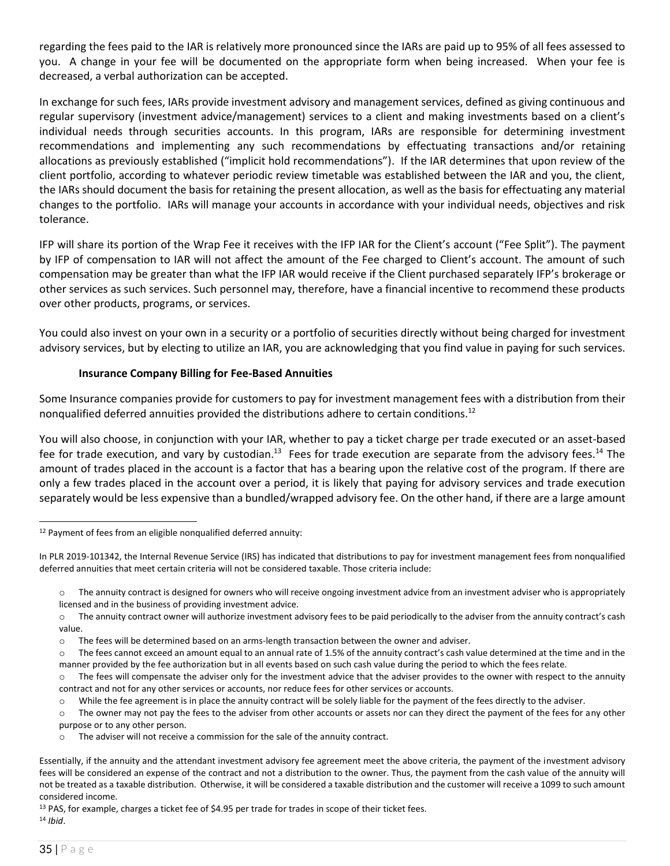regarding the fees paid to the IAR is relatively more pronounced since the IARs are paid up to 95% of all fees assessed to you. A change in your fee will be documented on the appropriate form when being increased. When your fee is decreased, a verbal authorization can be accepted.

In exchange for such fees, IARs provide investment advisory and management services, defined as giving continuous and regular supervisory (investment advice/management) services to a client and making investments based on a client's individual needs through securities accounts. In this program, IARs are responsible for determining investment recommendations and implementing any such recommendations by effectuating transactions and/or retaining allocations as previously established ("implicit hold recommendations"). If the IAR determines that upon review of the client portfolio, according to whatever periodic review timetable was established between the IAR and you, the client, the IARs should document the basis for retaining the present allocation, as well as the basis for effectuating any material changes to the portfolio. IARs will manage your accounts in accordance with your individual needs, objectives and risk tolerance.

IFP will share its portion of the Wrap Fee it receives with the IFP IAR for the Client's account ("Fee Split"). The payment by IFP of compensation to IAR will not affect the amount of the Fee charged to Client's account. The amount of such compensation may be greater than what the IFP IAR would receive if the Client purchased separately IFP's brokerage or other services as such services. Such personnel may, therefore, have a financial incentive to recommend these products over other products, programs, or services.

You could also invest on your own in a security or a portfolio of securities directly without being charged for investment advisory services, but by electing to utilize an IAR, you are acknowledging that you find value in paying for such services.

# **Insurance Company Billing for Fee-Based Annuities**

Some Insurance companies provide for customers to pay for investment management fees with a distribution from their nonqualified deferred annuities provided the distributions adhere to certain conditions.<sup>12</sup>

You will also choose, in conjunction with your IAR, whether to pay a ticket charge per trade executed or an asset-based fee for trade execution, and vary by custodian.<sup>13</sup> Fees for trade execution are separate from the advisory fees.<sup>14</sup> The amount of trades placed in the account is a factor that has a bearing upon the relative cost of the program. If there are only a few trades placed in the account over a period, it is likely that paying for advisory services and trade execution separately would be less expensive than a bundled/wrapped advisory fee. On the other hand, if there are a large amount

<sup>13</sup> PAS, for example, charges a ticket fee of \$4.95 per trade for trades in scope of their ticket fees.

<sup>14</sup> *Ibid*.

<sup>&</sup>lt;sup>12</sup> Payment of fees from an eligible nonqualified deferred annuity:

In PLR 2019-101342, the Internal Revenue Service (IRS) has indicated that distributions to pay for investment management fees from nonqualified deferred annuities that meet certain criteria will not be considered taxable. Those criteria include:

 $\circ$  The annuity contract is designed for owners who will receive ongoing investment advice from an investment adviser who is appropriately licensed and in the business of providing investment advice.

o The annuity contract owner will authorize investment advisory fees to be paid periodically to the adviser from the annuity contract's cash value.

o The fees will be determined based on an arms-length transaction between the owner and adviser.

 $\circ$  The fees cannot exceed an amount equal to an annual rate of 1.5% of the annuity contract's cash value determined at the time and in the manner provided by the fee authorization but in all events based on such cash value during the period to which the fees relate.

o The fees will compensate the adviser only for the investment advice that the adviser provides to the owner with respect to the annuity contract and not for any other services or accounts, nor reduce fees for other services or accounts.

o While the fee agreement is in place the annuity contract will be solely liable for the payment of the fees directly to the adviser.

 $\circ$  The owner may not pay the fees to the adviser from other accounts or assets nor can they direct the payment of the fees for any other purpose or to any other person.

o The adviser will not receive a commission for the sale of the annuity contract.

Essentially, if the annuity and the attendant investment advisory fee agreement meet the above criteria, the payment of the investment advisory fees will be considered an expense of the contract and not a distribution to the owner. Thus, the payment from the cash value of the annuity will not be treated as a taxable distribution. Otherwise, it will be considered a taxable distribution and the customer will receive a 1099 to such amount considered income.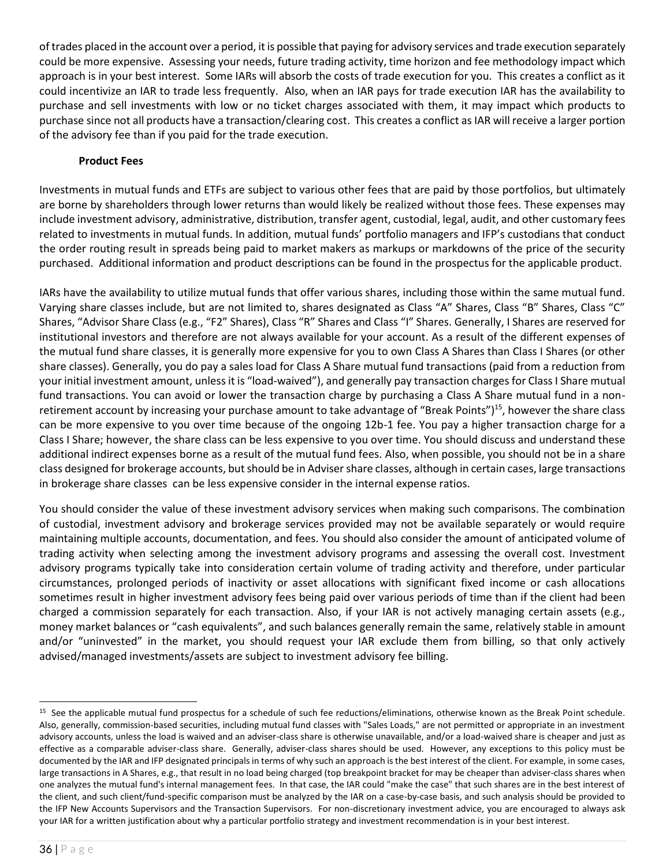of trades placed in the account over a period, it is possible that paying for advisory services and trade execution separately could be more expensive. Assessing your needs, future trading activity, time horizon and fee methodology impact which approach is in your best interest. Some IARs will absorb the costs of trade execution for you. This creates a conflict as it could incentivize an IAR to trade less frequently. Also, when an IAR pays for trade execution IAR has the availability to purchase and sell investments with low or no ticket charges associated with them, it may impact which products to purchase since not all products have a transaction/clearing cost. This creates a conflict as IAR will receive a larger portion of the advisory fee than if you paid for the trade execution.

# **Product Fees**

Investments in mutual funds and ETFs are subject to various other fees that are paid by those portfolios, but ultimately are borne by shareholders through lower returns than would likely be realized without those fees. These expenses may include investment advisory, administrative, distribution, transfer agent, custodial, legal, audit, and other customary fees related to investments in mutual funds. In addition, mutual funds' portfolio managers and IFP's custodians that conduct the order routing result in spreads being paid to market makers as markups or markdowns of the price of the security purchased. Additional information and product descriptions can be found in the prospectus for the applicable product.

IARs have the availability to utilize mutual funds that offer various shares, including those within the same mutual fund. Varying share classes include, but are not limited to, shares designated as Class "A" Shares, Class "B" Shares, Class "C" Shares, "Advisor Share Class (e.g., "F2" Shares), Class "R" Shares and Class "I" Shares. Generally, I Shares are reserved for institutional investors and therefore are not always available for your account. As a result of the different expenses of the mutual fund share classes, it is generally more expensive for you to own Class A Shares than Class I Shares (or other share classes). Generally, you do pay a sales load for Class A Share mutual fund transactions (paid from a reduction from your initial investment amount, unless it is "load-waived"), and generally pay transaction charges for Class I Share mutual fund transactions. You can avoid or lower the transaction charge by purchasing a Class A Share mutual fund in a nonretirement account by increasing your purchase amount to take advantage of "Break Points")<sup>15</sup>, however the share class can be more expensive to you over time because of the ongoing 12b-1 fee. You pay a higher transaction charge for a Class I Share; however, the share class can be less expensive to you over time. You should discuss and understand these additional indirect expenses borne as a result of the mutual fund fees. Also, when possible, you should not be in a share class designed for brokerage accounts, but should be in Adviser share classes, although in certain cases, large transactions in brokerage share classes can be less expensive consider in the internal expense ratios.

You should consider the value of these investment advisory services when making such comparisons. The combination of custodial, investment advisory and brokerage services provided may not be available separately or would require maintaining multiple accounts, documentation, and fees. You should also consider the amount of anticipated volume of trading activity when selecting among the investment advisory programs and assessing the overall cost. Investment advisory programs typically take into consideration certain volume of trading activity and therefore, under particular circumstances, prolonged periods of inactivity or asset allocations with significant fixed income or cash allocations sometimes result in higher investment advisory fees being paid over various periods of time than if the client had been charged a commission separately for each transaction. Also, if your IAR is not actively managing certain assets (e.g., money market balances or "cash equivalents", and such balances generally remain the same, relatively stable in amount and/or "uninvested" in the market, you should request your IAR exclude them from billing, so that only actively advised/managed investments/assets are subject to investment advisory fee billing.

<sup>&</sup>lt;sup>15</sup> See the applicable mutual fund prospectus for a schedule of such fee reductions/eliminations, otherwise known as the Break Point schedule. Also, generally, commission-based securities, including mutual fund classes with "Sales Loads," are not permitted or appropriate in an investment advisory accounts, unless the load is waived and an adviser-class share is otherwise unavailable, and/or a load-waived share is cheaper and just as effective as a comparable adviser-class share. Generally, adviser-class shares should be used. However, any exceptions to this policy must be documented by the IAR and IFP designated principals in terms of why such an approach is the best interest of the client. For example, in some cases, large transactions in A Shares, e.g., that result in no load being charged (top breakpoint bracket for may be cheaper than adviser-class shares when one analyzes the mutual fund's internal management fees. In that case, the IAR could "make the case" that such shares are in the best interest of the client, and such client/fund-specific comparison must be analyzed by the IAR on a case-by-case basis, and such analysis should be provided to the IFP New Accounts Supervisors and the Transaction Supervisors. For non-discretionary investment advice, you are encouraged to always ask your IAR for a written justification about why a particular portfolio strategy and investment recommendation is in your best interest.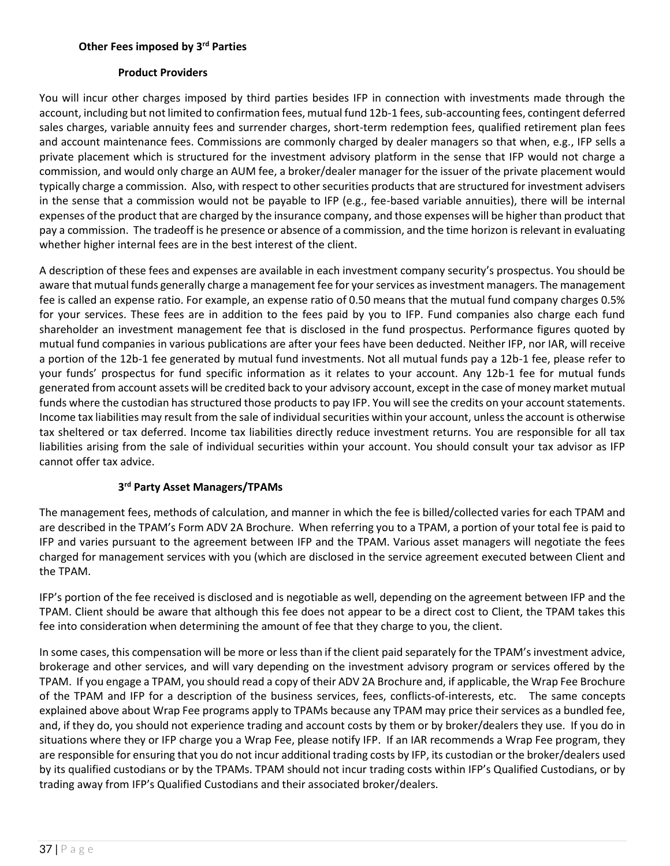# **Other Fees imposed by 3rd Parties**

#### **Product Providers**

You will incur other charges imposed by third parties besides IFP in connection with investments made through the account, including but not limited to confirmation fees, mutual fund 12b-1 fees, sub-accounting fees, contingent deferred sales charges, variable annuity fees and surrender charges, short-term redemption fees, qualified retirement plan fees and account maintenance fees. Commissions are commonly charged by dealer managers so that when, e.g., IFP sells a private placement which is structured for the investment advisory platform in the sense that IFP would not charge a commission, and would only charge an AUM fee, a broker/dealer manager for the issuer of the private placement would typically charge a commission. Also, with respect to other securities products that are structured for investment advisers in the sense that a commission would not be payable to IFP (e.g., fee-based variable annuities), there will be internal expenses of the product that are charged by the insurance company, and those expenses will be higher than product that pay a commission. The tradeoff is he presence or absence of a commission, and the time horizon is relevant in evaluating whether higher internal fees are in the best interest of the client.

A description of these fees and expenses are available in each investment company security's prospectus. You should be aware that mutual funds generally charge a management fee for your services as investment managers. The management fee is called an expense ratio. For example, an expense ratio of 0.50 means that the mutual fund company charges 0.5% for your services. These fees are in addition to the fees paid by you to IFP. Fund companies also charge each fund shareholder an investment management fee that is disclosed in the fund prospectus. Performance figures quoted by mutual fund companies in various publications are after your fees have been deducted. Neither IFP, nor IAR, will receive a portion of the 12b-1 fee generated by mutual fund investments. Not all mutual funds pay a 12b-1 fee, please refer to your funds' prospectus for fund specific information as it relates to your account. Any 12b-1 fee for mutual funds generated from account assets will be credited back to your advisory account, except in the case of money market mutual funds where the custodian has structured those products to pay IFP. You will see the credits on your account statements. Income tax liabilities may result from the sale of individual securities within your account, unless the account is otherwise tax sheltered or tax deferred. Income tax liabilities directly reduce investment returns. You are responsible for all tax liabilities arising from the sale of individual securities within your account. You should consult your tax advisor as IFP cannot offer tax advice.

## **3 rd Party Asset Managers/TPAMs**

The management fees, methods of calculation, and manner in which the fee is billed/collected varies for each TPAM and are described in the TPAM's Form ADV 2A Brochure. When referring you to a TPAM, a portion of your total fee is paid to IFP and varies pursuant to the agreement between IFP and the TPAM. Various asset managers will negotiate the fees charged for management services with you (which are disclosed in the service agreement executed between Client and the TPAM.

IFP's portion of the fee received is disclosed and is negotiable as well, depending on the agreement between IFP and the TPAM. Client should be aware that although this fee does not appear to be a direct cost to Client, the TPAM takes this fee into consideration when determining the amount of fee that they charge to you, the client.

In some cases, this compensation will be more or less than if the client paid separately for the TPAM's investment advice, brokerage and other services, and will vary depending on the investment advisory program or services offered by the TPAM. If you engage a TPAM, you should read a copy of their ADV 2A Brochure and, if applicable, the Wrap Fee Brochure of the TPAM and IFP for a description of the business services, fees, conflicts-of-interests, etc. The same concepts explained above about Wrap Fee programs apply to TPAMs because any TPAM may price their services as a bundled fee, and, if they do, you should not experience trading and account costs by them or by broker/dealers they use. If you do in situations where they or IFP charge you a Wrap Fee, please notify IFP. If an IAR recommends a Wrap Fee program, they are responsible for ensuring that you do not incur additional trading costs by IFP, its custodian or the broker/dealers used by its qualified custodians or by the TPAMs. TPAM should not incur trading costs within IFP's Qualified Custodians, or by trading away from IFP's Qualified Custodians and their associated broker/dealers.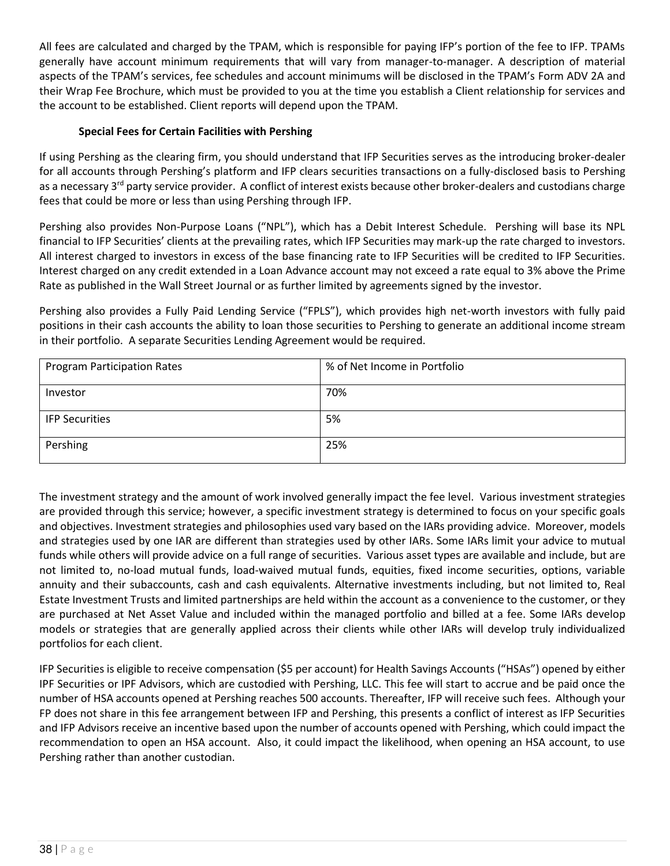All fees are calculated and charged by the TPAM, which is responsible for paying IFP's portion of the fee to IFP. TPAMs generally have account minimum requirements that will vary from manager-to-manager. A description of material aspects of the TPAM's services, fee schedules and account minimums will be disclosed in the TPAM's Form ADV 2A and their Wrap Fee Brochure, which must be provided to you at the time you establish a Client relationship for services and the account to be established. Client reports will depend upon the TPAM.

# **Special Fees for Certain Facilities with Pershing**

If using Pershing as the clearing firm, you should understand that IFP Securities serves as the introducing broker-dealer for all accounts through Pershing's platform and IFP clears securities transactions on a fully-disclosed basis to Pershing as a necessary 3<sup>rd</sup> party service provider. A conflict of interest exists because other broker-dealers and custodians charge fees that could be more or less than using Pershing through IFP.

Pershing also provides Non-Purpose Loans ("NPL"), which has a Debit Interest Schedule. Pershing will base its NPL financial to IFP Securities' clients at the prevailing rates, which IFP Securities may mark-up the rate charged to investors. All interest charged to investors in excess of the base financing rate to IFP Securities will be credited to IFP Securities. Interest charged on any credit extended in a Loan Advance account may not exceed a rate equal to 3% above the Prime Rate as published in the Wall Street Journal or as further limited by agreements signed by the investor.

Pershing also provides a Fully Paid Lending Service ("FPLS"), which provides high net-worth investors with fully paid positions in their cash accounts the ability to loan those securities to Pershing to generate an additional income stream in their portfolio. A separate Securities Lending Agreement would be required.

| <b>Program Participation Rates</b> | % of Net Income in Portfolio |
|------------------------------------|------------------------------|
| Investor                           | 70%                          |
| <b>IFP Securities</b>              | 5%                           |
| Pershing                           | 25%                          |

The investment strategy and the amount of work involved generally impact the fee level. Various investment strategies are provided through this service; however, a specific investment strategy is determined to focus on your specific goals and objectives. Investment strategies and philosophies used vary based on the IARs providing advice. Moreover, models and strategies used by one IAR are different than strategies used by other IARs. Some IARs limit your advice to mutual funds while others will provide advice on a full range of securities. Various asset types are available and include, but are not limited to, no‐load mutual funds, load-waived mutual funds, equities, fixed income securities, options, variable annuity and their subaccounts, cash and cash equivalents. Alternative investments including, but not limited to, Real Estate Investment Trusts and limited partnerships are held within the account as a convenience to the customer, or they are purchased at Net Asset Value and included within the managed portfolio and billed at a fee. Some IARs develop models or strategies that are generally applied across their clients while other IARs will develop truly individualized portfolios for each client.

IFP Securities is eligible to receive compensation (\$5 per account) for Health Savings Accounts ("HSAs") opened by either IPF Securities or IPF Advisors, which are custodied with Pershing, LLC. This fee will start to accrue and be paid once the number of HSA accounts opened at Pershing reaches 500 accounts. Thereafter, IFP will receive such fees. Although your FP does not share in this fee arrangement between IFP and Pershing, this presents a conflict of interest as IFP Securities and IFP Advisors receive an incentive based upon the number of accounts opened with Pershing, which could impact the recommendation to open an HSA account. Also, it could impact the likelihood, when opening an HSA account, to use Pershing rather than another custodian.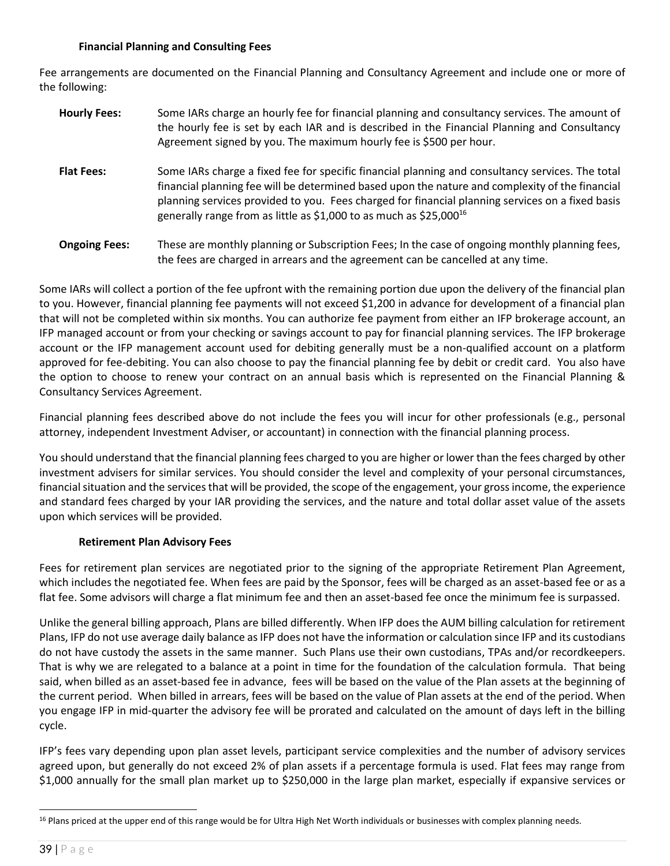## **Financial Planning and Consulting Fees**

Fee arrangements are documented on the Financial Planning and Consultancy Agreement and include one or more of the following:

| <b>Hourly Fees:</b>  | Some IARs charge an hourly fee for financial planning and consultancy services. The amount of<br>the hourly fee is set by each IAR and is described in the Financial Planning and Consultancy<br>Agreement signed by you. The maximum hourly fee is \$500 per hour.                                                                                                                       |
|----------------------|-------------------------------------------------------------------------------------------------------------------------------------------------------------------------------------------------------------------------------------------------------------------------------------------------------------------------------------------------------------------------------------------|
| <b>Flat Fees:</b>    | Some IARs charge a fixed fee for specific financial planning and consultancy services. The total<br>financial planning fee will be determined based upon the nature and complexity of the financial<br>planning services provided to you. Fees charged for financial planning services on a fixed basis<br>generally range from as little as \$1,000 to as much as \$25,000 <sup>16</sup> |
| <b>Ongoing Fees:</b> | These are monthly planning or Subscription Fees; In the case of ongoing monthly planning fees,<br>the fees are charged in arrears and the agreement can be cancelled at any time.                                                                                                                                                                                                         |

Some IARs will collect a portion of the fee upfront with the remaining portion due upon the delivery of the financial plan to you. However, financial planning fee payments will not exceed \$1,200 in advance for development of a financial plan that will not be completed within six months. You can authorize fee payment from either an IFP brokerage account, an IFP managed account or from your checking or savings account to pay for financial planning services. The IFP brokerage account or the IFP management account used for debiting generally must be a non-qualified account on a platform approved for fee-debiting. You can also choose to pay the financial planning fee by debit or credit card. You also have the option to choose to renew your contract on an annual basis which is represented on the Financial Planning & Consultancy Services Agreement.

Financial planning fees described above do not include the fees you will incur for other professionals (e.g., personal attorney, independent Investment Adviser, or accountant) in connection with the financial planning process.

You should understand that the financial planning fees charged to you are higher or lower than the fees charged by other investment advisers for similar services. You should consider the level and complexity of your personal circumstances, financial situation and the services that will be provided, the scope of the engagement, your gross income, the experience and standard fees charged by your IAR providing the services, and the nature and total dollar asset value of the assets upon which services will be provided.

#### **Retirement Plan Advisory Fees**

Fees for retirement plan services are negotiated prior to the signing of the appropriate Retirement Plan Agreement, which includes the negotiated fee. When fees are paid by the Sponsor, fees will be charged as an asset-based fee or as a flat fee. Some advisors will charge a flat minimum fee and then an asset-based fee once the minimum fee is surpassed.

Unlike the general billing approach, Plans are billed differently. When IFP does the AUM billing calculation for retirement Plans, IFP do not use average daily balance as IFP does not have the information or calculation since IFP and its custodians do not have custody the assets in the same manner. Such Plans use their own custodians, TPAs and/or recordkeepers. That is why we are relegated to a balance at a point in time for the foundation of the calculation formula. That being said, when billed as an asset-based fee in advance, fees will be based on the value of the Plan assets at the beginning of the current period. When billed in arrears, fees will be based on the value of Plan assets at the end of the period. When you engage IFP in mid-quarter the advisory fee will be prorated and calculated on the amount of days left in the billing cycle.

IFP's fees vary depending upon plan asset levels, participant service complexities and the number of advisory services agreed upon, but generally do not exceed 2% of plan assets if a percentage formula is used. Flat fees may range from \$1,000 annually for the small plan market up to \$250,000 in the large plan market, especially if expansive services or

<sup>&</sup>lt;sup>16</sup> Plans priced at the upper end of this range would be for Ultra High Net Worth individuals or businesses with complex planning needs.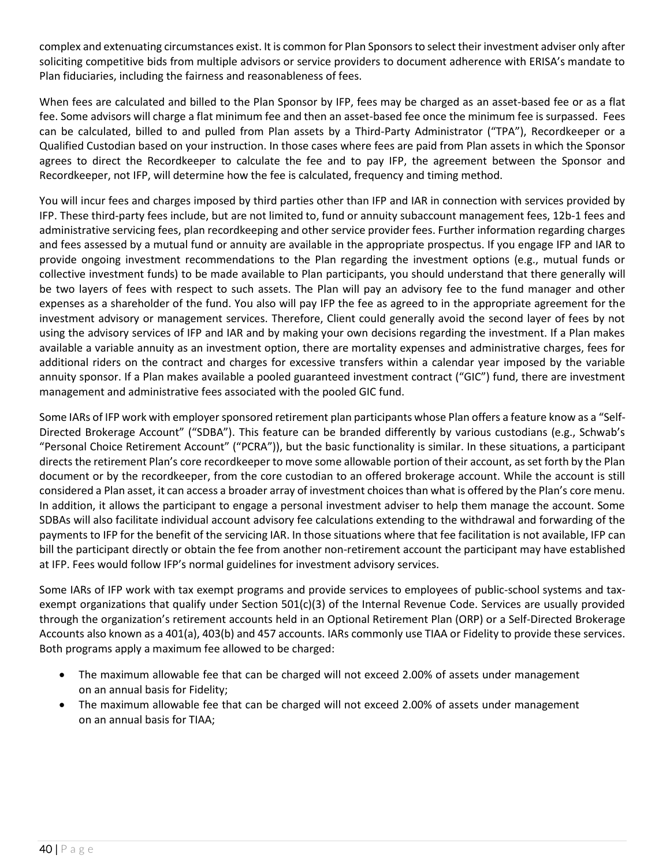complex and extenuating circumstances exist. It is common for Plan Sponsors to select their investment adviser only after soliciting competitive bids from multiple advisors or service providers to document adherence with ERISA's mandate to Plan fiduciaries, including the fairness and reasonableness of fees.

When fees are calculated and billed to the Plan Sponsor by IFP, fees may be charged as an asset-based fee or as a flat fee. Some advisors will charge a flat minimum fee and then an asset-based fee once the minimum fee is surpassed. Fees can be calculated, billed to and pulled from Plan assets by a Third-Party Administrator ("TPA"), Recordkeeper or a Qualified Custodian based on your instruction. In those cases where fees are paid from Plan assets in which the Sponsor agrees to direct the Recordkeeper to calculate the fee and to pay IFP, the agreement between the Sponsor and Recordkeeper, not IFP, will determine how the fee is calculated, frequency and timing method.

You will incur fees and charges imposed by third parties other than IFP and IAR in connection with services provided by IFP. These third-party fees include, but are not limited to, fund or annuity subaccount management fees, 12b-1 fees and administrative servicing fees, plan recordkeeping and other service provider fees. Further information regarding charges and fees assessed by a mutual fund or annuity are available in the appropriate prospectus. If you engage IFP and IAR to provide ongoing investment recommendations to the Plan regarding the investment options (e.g., mutual funds or collective investment funds) to be made available to Plan participants, you should understand that there generally will be two layers of fees with respect to such assets. The Plan will pay an advisory fee to the fund manager and other expenses as a shareholder of the fund. You also will pay IFP the fee as agreed to in the appropriate agreement for the investment advisory or management services. Therefore, Client could generally avoid the second layer of fees by not using the advisory services of IFP and IAR and by making your own decisions regarding the investment. If a Plan makes available a variable annuity as an investment option, there are mortality expenses and administrative charges, fees for additional riders on the contract and charges for excessive transfers within a calendar year imposed by the variable annuity sponsor. If a Plan makes available a pooled guaranteed investment contract ("GIC") fund, there are investment management and administrative fees associated with the pooled GIC fund.

Some IARs of IFP work with employer sponsored retirement plan participants whose Plan offers a feature know as a "Self-Directed Brokerage Account" ("SDBA"). This feature can be branded differently by various custodians (e.g., Schwab's "Personal Choice Retirement Account" ("PCRA")), but the basic functionality is similar. In these situations, a participant directs the retirement Plan's core recordkeeper to move some allowable portion of their account, as set forth by the Plan document or by the recordkeeper, from the core custodian to an offered brokerage account. While the account is still considered a Plan asset, it can access a broader array of investment choices than what is offered by the Plan's core menu. In addition, it allows the participant to engage a personal investment adviser to help them manage the account. Some SDBAs will also facilitate individual account advisory fee calculations extending to the withdrawal and forwarding of the payments to IFP for the benefit of the servicing IAR. In those situations where that fee facilitation is not available, IFP can bill the participant directly or obtain the fee from another non-retirement account the participant may have established at IFP. Fees would follow IFP's normal guidelines for investment advisory services.

Some IARs of IFP work with tax exempt programs and provide services to employees of public-school systems and taxexempt organizations that qualify under Section  $501(c)(3)$  of the Internal Revenue Code. Services are usually provided through the organization's retirement accounts held in an Optional Retirement Plan (ORP) or a Self-Directed Brokerage Accounts also known as a 401(a), 403(b) and 457 accounts. IARs commonly use TIAA or Fidelity to provide these services. Both programs apply a maximum fee allowed to be charged:

- The maximum allowable fee that can be charged will not exceed 2.00% of assets under management on an annual basis for Fidelity;
- The maximum allowable fee that can be charged will not exceed 2.00% of assets under management on an annual basis for TIAA;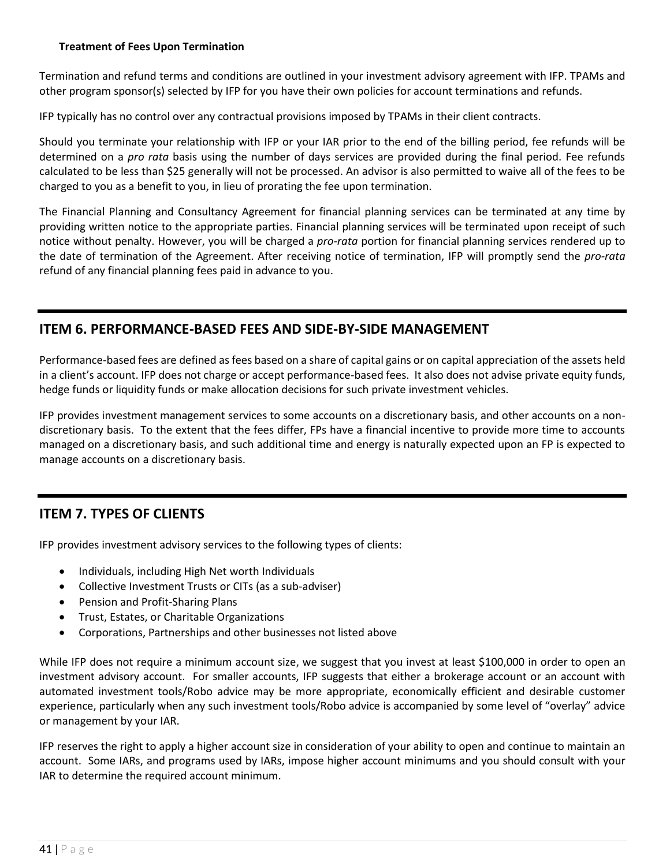# **Treatment of Fees Upon Termination**

Termination and refund terms and conditions are outlined in your investment advisory agreement with IFP. TPAMs and other program sponsor(s) selected by IFP for you have their own policies for account terminations and refunds.

IFP typically has no control over any contractual provisions imposed by TPAMs in their client contracts.

Should you terminate your relationship with IFP or your IAR prior to the end of the billing period, fee refunds will be determined on a *pro rata* basis using the number of days services are provided during the final period. Fee refunds calculated to be less than \$25 generally will not be processed. An advisor is also permitted to waive all of the fees to be charged to you as a benefit to you, in lieu of prorating the fee upon termination.

The Financial Planning and Consultancy Agreement for financial planning services can be terminated at any time by providing written notice to the appropriate parties. Financial planning services will be terminated upon receipt of such notice without penalty. However, you will be charged a *pro-rata* portion for financial planning services rendered up to the date of termination of the Agreement. After receiving notice of termination, IFP will promptly send the *pro-rata* refund of any financial planning fees paid in advance to you.

# <span id="page-40-0"></span>**ITEM 6. PERFORMANCE-BASED FEES AND SIDE-BY-SIDE MANAGEMENT**

Performance‐based fees are defined as fees based on a share of capital gains or on capital appreciation of the assets held in a client's account. IFP does not charge or accept performance‐based fees. It also does not advise private equity funds, hedge funds or liquidity funds or make allocation decisions for such private investment vehicles.

IFP provides investment management services to some accounts on a discretionary basis, and other accounts on a nondiscretionary basis. To the extent that the fees differ, FPs have a financial incentive to provide more time to accounts managed on a discretionary basis, and such additional time and energy is naturally expected upon an FP is expected to manage accounts on a discretionary basis.

# <span id="page-40-1"></span>**ITEM 7. TYPES OF CLIENTS**

IFP provides investment advisory services to the following types of clients:

- Individuals, including High Net worth Individuals
- Collective Investment Trusts or CITs (as a sub-adviser)
- Pension and Profit-Sharing Plans
- Trust, Estates, or Charitable Organizations
- Corporations, Partnerships and other businesses not listed above

While IFP does not require a minimum account size, we suggest that you invest at least \$100,000 in order to open an investment advisory account. For smaller accounts, IFP suggests that either a brokerage account or an account with automated investment tools/Robo advice may be more appropriate, economically efficient and desirable customer experience, particularly when any such investment tools/Robo advice is accompanied by some level of "overlay" advice or management by your IAR.

IFP reserves the right to apply a higher account size in consideration of your ability to open and continue to maintain an account. Some IARs, and programs used by IARs, impose higher account minimums and you should consult with your IAR to determine the required account minimum.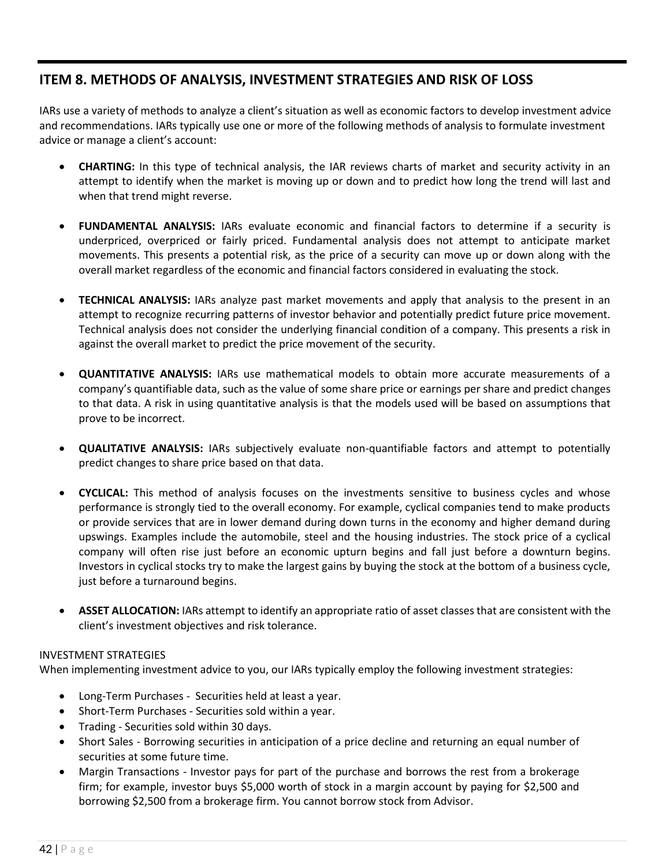# <span id="page-41-0"></span>**ITEM 8. METHODS OF ANALYSIS, INVESTMENT STRATEGIES AND RISK OF LOSS**

IARs use a variety of methods to analyze a client's situation as well as economic factors to develop investment advice and recommendations. IARs typically use one or more of the following methods of analysis to formulate investment advice or manage a client's account:

- **CHARTING:** In this type of technical analysis, the IAR reviews charts of market and security activity in an attempt to identify when the market is moving up or down and to predict how long the trend will last and when that trend might reverse.
- **FUNDAMENTAL ANALYSIS:** IARs evaluate economic and financial factors to determine if a security is underpriced, overpriced or fairly priced. Fundamental analysis does not attempt to anticipate market movements. This presents a potential risk, as the price of a security can move up or down along with the overall market regardless of the economic and financial factors considered in evaluating the stock.
- **TECHNICAL ANALYSIS:** IARs analyze past market movements and apply that analysis to the present in an attempt to recognize recurring patterns of investor behavior and potentially predict future price movement. Technical analysis does not consider the underlying financial condition of a company. This presents a risk in against the overall market to predict the price movement of the security.
- **QUANTITATIVE ANALYSIS:** IARs use mathematical models to obtain more accurate measurements of a company's quantifiable data, such as the value of some share price or earnings per share and predict changes to that data. A risk in using quantitative analysis is that the models used will be based on assumptions that prove to be incorrect.
- **QUALITATIVE ANALYSIS:** IARs subjectively evaluate non-quantifiable factors and attempt to potentially predict changes to share price based on that data.
- **CYCLICAL:** This method of analysis focuses on the investments sensitive to business cycles and whose performance is strongly tied to the overall economy. For example, cyclical companies tend to make products or provide services that are in lower demand during down turns in the economy and higher demand during upswings. Examples include the automobile, steel and the housing industries. The stock price of a cyclical company will often rise just before an economic upturn begins and fall just before a downturn begins. Investors in cyclical stocks try to make the largest gains by buying the stock at the bottom of a business cycle, just before a turnaround begins.
- **ASSET ALLOCATION:** IARs attempt to identify an appropriate ratio of asset classes that are consistent with the client's investment objectives and risk tolerance.

#### INVESTMENT STRATEGIES

When implementing investment advice to you, our IARs typically employ the following investment strategies:

- Long-Term Purchases Securities held at least a year.
- Short-Term Purchases Securities sold within a year.
- Trading Securities sold within 30 days.
- Short Sales Borrowing securities in anticipation of a price decline and returning an equal number of securities at some future time.
- Margin Transactions Investor pays for part of the purchase and borrows the rest from a brokerage firm; for example, investor buys \$5,000 worth of stock in a margin account by paying for \$2,500 and borrowing \$2,500 from a brokerage firm. You cannot borrow stock from Advisor.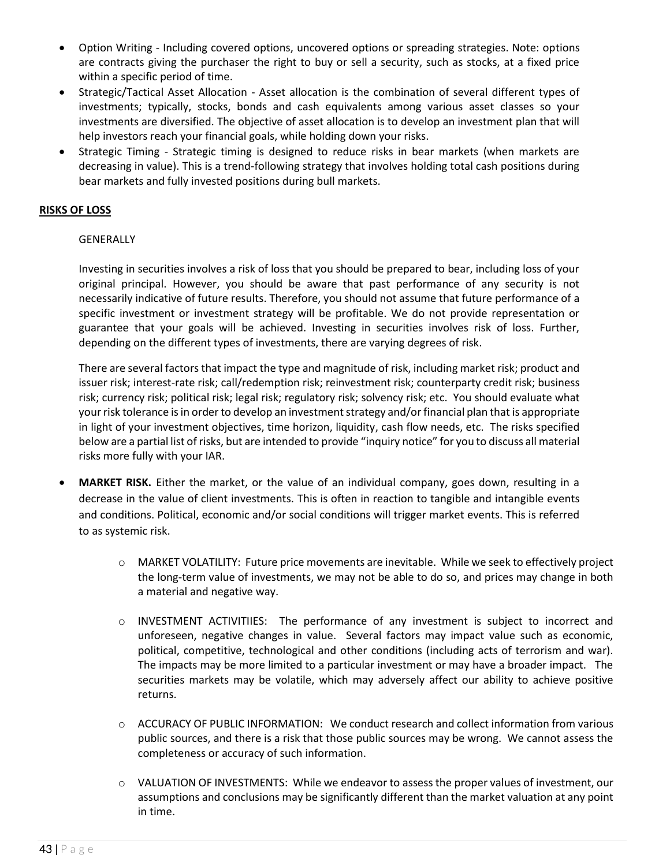- Option Writing Including covered options, uncovered options or spreading strategies. Note: options are contracts giving the purchaser the right to buy or sell a security, such as stocks, at a fixed price within a specific period of time.
- Strategic/Tactical Asset Allocation Asset allocation is the combination of several different types of investments; typically, stocks, bonds and cash equivalents among various asset classes so your investments are diversified. The objective of asset allocation is to develop an investment plan that will help investors reach your financial goals, while holding down your risks.
- Strategic Timing Strategic timing is designed to reduce risks in bear markets (when markets are decreasing in value). This is a trend‐following strategy that involves holding total cash positions during bear markets and fully invested positions during bull markets.

## **RISKS OF LOSS**

#### GENERALLY

Investing in securities involves a risk of loss that you should be prepared to bear, including loss of your original principal. However, you should be aware that past performance of any security is not necessarily indicative of future results. Therefore, you should not assume that future performance of a specific investment or investment strategy will be profitable. We do not provide representation or guarantee that your goals will be achieved. Investing in securities involves risk of loss. Further, depending on the different types of investments, there are varying degrees of risk.

There are several factors that impact the type and magnitude of risk, including market risk; product and issuer risk; interest-rate risk; call/redemption risk; reinvestment risk; counterparty credit risk; business risk; currency risk; political risk; legal risk; regulatory risk; solvency risk; etc. You should evaluate what your risk tolerance is in order to develop an investment strategy and/or financial plan that is appropriate in light of your investment objectives, time horizon, liquidity, cash flow needs, etc. The risks specified below are a partial list of risks, but are intended to provide "inquiry notice" for you to discuss all material risks more fully with your IAR.

- **MARKET RISK.** Either the market, or the value of an individual company, goes down, resulting in a decrease in the value of client investments. This is often in reaction to tangible and intangible events and conditions. Political, economic and/or social conditions will trigger market events. This is referred to as systemic risk.
	- $\circ$  MARKET VOLATILITY: Future price movements are inevitable. While we seek to effectively project the long-term value of investments, we may not be able to do so, and prices may change in both a material and negative way.
	- o INVESTMENT ACTIVITIIES: The performance of any investment is subject to incorrect and unforeseen, negative changes in value. Several factors may impact value such as economic, political, competitive, technological and other conditions (including acts of terrorism and war). The impacts may be more limited to a particular investment or may have a broader impact. The securities markets may be volatile, which may adversely affect our ability to achieve positive returns.
	- $\circ$  ACCURACY OF PUBLIC INFORMATION: We conduct research and collect information from various public sources, and there is a risk that those public sources may be wrong. We cannot assess the completeness or accuracy of such information.
	- o VALUATION OF INVESTMENTS: While we endeavor to assess the proper values of investment, our assumptions and conclusions may be significantly different than the market valuation at any point in time.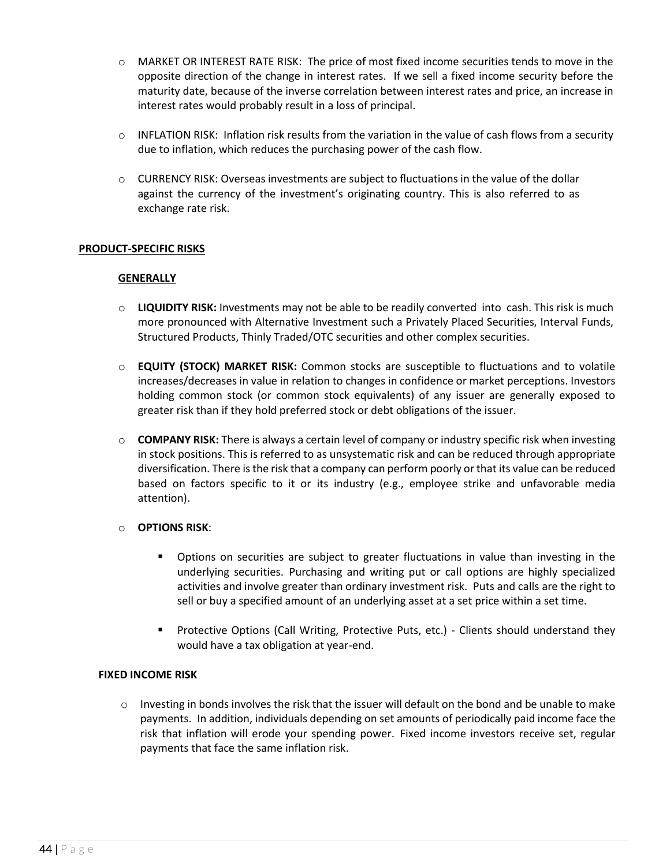- $\circ$  MARKET OR INTEREST RATE RISK: The price of most fixed income securities tends to move in the opposite direction of the change in interest rates. If we sell a fixed income security before the maturity date, because of the inverse correlation between interest rates and price, an increase in interest rates would probably result in a loss of principal.
- $\circ$  INFLATION RISK: Inflation risk results from the variation in the value of cash flows from a security due to inflation, which reduces the purchasing power of the cash flow.
- $\circ$  CURRENCY RISK: Overseas investments are subject to fluctuations in the value of the dollar against the currency of the investment's originating country. This is also referred to as exchange rate risk.

#### **PRODUCT-SPECIFIC RISKS**

#### **GENERALLY**

- o **LIQUIDITY RISK:** Investments may not be able to be readily converted into cash. This risk is much more pronounced with Alternative Investment such a Privately Placed Securities, Interval Funds, Structured Products, Thinly Traded/OTC securities and other complex securities.
- o **EQUITY (STOCK) MARKET RISK:** Common stocks are susceptible to fluctuations and to volatile increases/decreases in value in relation to changes in confidence or market perceptions. Investors holding common stock (or common stock equivalents) of any issuer are generally exposed to greater risk than if they hold preferred stock or debt obligations of the issuer.
- o **COMPANY RISK:** There is always a certain level of company or industry specific risk when investing in stock positions. This is referred to as unsystematic risk and can be reduced through appropriate diversification. There is the risk that a company can perform poorly or that its value can be reduced based on factors specific to it or its industry (e.g., employee strike and unfavorable media attention).

#### o **OPTIONS RISK**:

- **•** Options on securities are subject to greater fluctuations in value than investing in the underlying securities. Purchasing and writing put or call options are highly specialized activities and involve greater than ordinary investment risk. Puts and calls are the right to sell or buy a specified amount of an underlying asset at a set price within a set time.
- Protective Options (Call Writing, Protective Puts, etc.) Clients should understand they would have a tax obligation at year-end.

#### **FIXED INCOME RISK**

 $\circ$  Investing in bonds involves the risk that the issuer will default on the bond and be unable to make payments. In addition, individuals depending on set amounts of periodically paid income face the risk that inflation will erode your spending power. Fixed income investors receive set, regular payments that face the same inflation risk.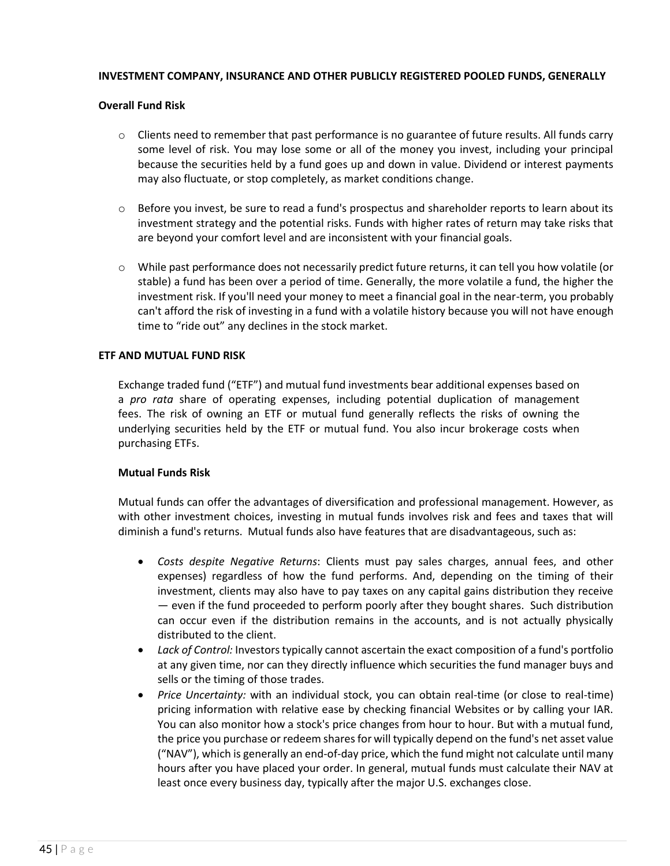#### **INVESTMENT COMPANY, INSURANCE AND OTHER PUBLICLY REGISTERED POOLED FUNDS, GENERALLY**

#### **Overall Fund Risk**

- $\circ$  Clients need to remember that past performance is no guarantee of future results. All funds carry some level of risk. You may lose some or all of the money you invest, including your principal because the securities held by a fund goes up and down in value. Dividend or interest payments may also fluctuate, or stop completely, as market conditions change.
- $\circ$  Before you invest, be sure to read a fund's prospectus and shareholder reports to learn about its investment strategy and the potential risks. Funds with higher rates of return may take risks that are beyond your comfort level and are inconsistent with your financial goals.
- o While past performance does not necessarily predict future returns, it can tell you how volatile (or stable) a fund has been over a period of time. Generally, the more volatile a fund, the higher the investment risk. If you'll need your money to meet a financial goal in the near-term, you probably can't afford the risk of investing in a fund with a volatile history because you will not have enough time to "ride out" any declines in the stock market.

#### **ETF AND MUTUAL FUND RISK**

Exchange traded fund ("ETF") and mutual fund investments bear additional expenses based on a *pro rata* share of operating expenses, including potential duplication of management fees. The risk of owning an ETF or mutual fund generally reflects the risks of owning the underlying securities held by the ETF or mutual fund. You also incur brokerage costs when purchasing ETFs.

#### **Mutual Funds Risk**

Mutual funds can offer the advantages of diversification and professional management. However, as with other investment choices, investing in mutual funds involves risk and fees and taxes that will diminish a fund's returns. Mutual funds also have features that are disadvantageous, such as:

- *Costs despite Negative Returns*: Clients must pay sales charges, annual fees, and other expenses) regardless of how the fund performs. And, depending on the timing of their investment, clients may also have to pay taxes on any capital gains distribution they receive — even if the fund proceeded to perform poorly after they bought shares. Such distribution can occur even if the distribution remains in the accounts, and is not actually physically distributed to the client.
- *Lack of Control:* Investors typically cannot ascertain the exact composition of a fund's portfolio at any given time, nor can they directly influence which securities the fund manager buys and sells or the timing of those trades.
- *Price Uncertainty:* with an individual stock, you can obtain real-time (or close to real-time) pricing information with relative ease by checking financial Websites or by calling your IAR. You can also monitor how a stock's price changes from hour to hour. But with a mutual fund, the price you purchase or redeem shares for will typically depend on the fund's net asset value ("NAV"), which is generally an end-of-day price, which the fund might not calculate until many hours after you have placed your order. In general, mutual funds must calculate their NAV at least once every business day, typically after the major U.S. exchanges close.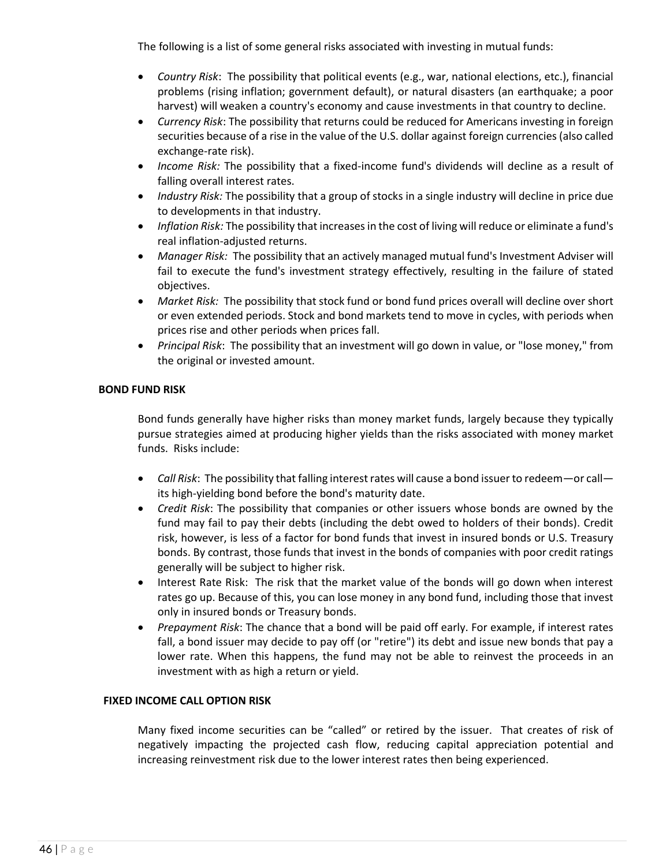The following is a list of some general risks associated with investing in mutual funds:

- *Country Risk*: The possibility that political events (e.g., war, national elections, etc.), financial problems (rising inflation; government default), or natural disasters (an earthquake; a poor harvest) will weaken a country's economy and cause investments in that country to decline.
- *Currency Risk*: The possibility that returns could be reduced for Americans investing in foreign securities because of a rise in the value of the U.S. dollar against foreign currencies (also called exchange-rate risk).
- *Income Risk:* The possibility that a fixed-income fund's dividends will decline as a result of falling overall interest rates.
- *Industry Risk:* The possibility that a group of stocks in a single industry will decline in price due to developments in that industry.
- *Inflation Risk:* The possibility that increases in the cost of living will reduce or eliminate a fund's real inflation-adjusted returns.
- *Manager Risk:* The possibility that an actively managed mutual fund's Investment Adviser will fail to execute the fund's investment strategy effectively, resulting in the failure of stated objectives.
- *Market Risk:* The possibility that stock fund or bond fund prices overall will decline over short or even extended periods. Stock and bond markets tend to move in cycles, with periods when prices rise and other periods when prices fall.
- *Principal Risk*: The possibility that an investment will go down in value, or "lose money," from the original or invested amount.

#### **BOND FUND RISK**

Bond funds generally have higher risks than money market funds, largely because they typically pursue strategies aimed at producing higher yields than the risks associated with money market funds. Risks include:

- *Call Risk*: The possibility that falling interest rates will cause a bond issuer to redeem—or call its high-yielding bond before the bond's maturity date.
- *Credit Risk*: The possibility that companies or other issuers whose bonds are owned by the fund may fail to pay their debts (including the debt owed to holders of their bonds). Credit risk, however, is less of a factor for bond funds that invest in insured bonds or U.S. Treasury bonds. By contrast, those funds that invest in the bonds of companies with poor credit ratings generally will be subject to higher risk.
- Interest Rate Risk: The risk that the market value of the bonds will go down when interest rates go up. Because of this, you can lose money in any bond fund, including those that invest only in insured bonds or Treasury bonds.
- *Prepayment Risk*: The chance that a bond will be paid off early. For example, if interest rates fall, a bond issuer may decide to pay off (or "retire") its debt and issue new bonds that pay a lower rate. When this happens, the fund may not be able to reinvest the proceeds in an investment with as high a return or yield.

# **FIXED INCOME CALL OPTION RISK**

Many fixed income securities can be "called" or retired by the issuer. That creates of risk of negatively impacting the projected cash flow, reducing capital appreciation potential and increasing reinvestment risk due to the lower interest rates then being experienced.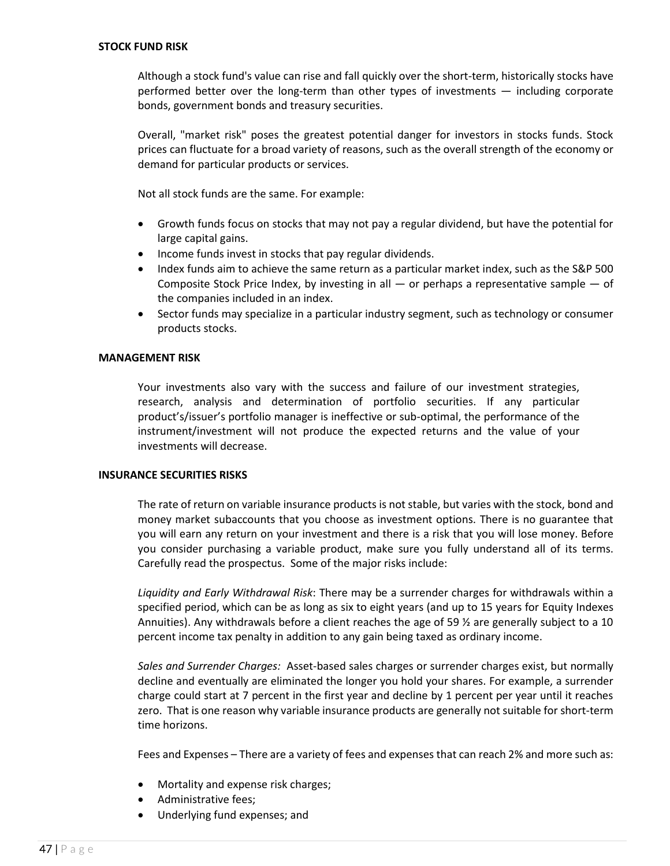Although a stock fund's value can rise and fall quickly over the short-term, historically stocks have performed better over the long-term than other types of investments — including corporate bonds, government bonds and treasury securities.

Overall, "market risk" poses the greatest potential danger for investors in stocks funds. Stock prices can fluctuate for a broad variety of reasons, such as the overall strength of the economy or demand for particular products or services.

Not all stock funds are the same. For example:

- Growth funds focus on stocks that may not pay a regular dividend, but have the potential for large capital gains.
- Income funds invest in stocks that pay regular dividends.
- Index funds aim to achieve the same return as a particular market index, such as the S&P 500 Composite Stock Price Index, by investing in all  $-$  or perhaps a representative sample  $-$  of the companies included in an index.
- Sector funds may specialize in a particular industry segment, such as technology or consumer products stocks.

#### **MANAGEMENT RISK**

Your investments also vary with the success and failure of our investment strategies, research, analysis and determination of portfolio securities. If any particular product's/issuer's portfolio manager is ineffective or sub-optimal, the performance of the instrument/investment will not produce the expected returns and the value of your investments will decrease.

#### **INSURANCE SECURITIES RISKS**

The rate of return on variable insurance products is not stable, but varies with the stock, bond and money market subaccounts that you choose as investment options. There is no guarantee that you will earn any return on your investment and there is a risk that you will lose money. Before you consider purchasing a variable product, make sure you fully understand all of its terms. Carefully read the prospectus. Some of the major risks include:

*Liquidity and Early Withdrawal Risk*: There may be a surrender charges for withdrawals within a specified period, which can be as long as six to eight years (and up to 15 years for Equity Indexes Annuities). Any withdrawals before a client reaches the age of 59  $\frac{1}{2}$  are generally subject to a 10 percent income tax penalty in addition to any gain being taxed as ordinary income.

*Sales and Surrender Charges:* Asset-based sales charges or surrender charges exist, but normally decline and eventually are eliminated the longer you hold your shares. For example, a surrender charge could start at 7 percent in the first year and decline by 1 percent per year until it reaches zero. That is one reason why variable insurance products are generally not suitable for short-term time horizons.

Fees and Expenses – There are a variety of fees and expenses that can reach 2% and more such as:

- Mortality and expense risk charges;
- Administrative fees;
- Underlying fund expenses; and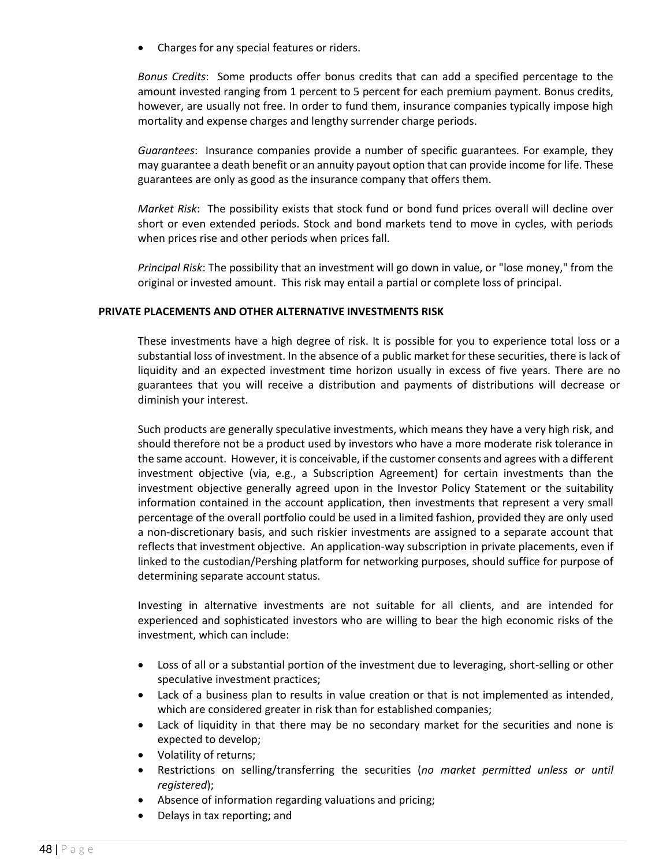• Charges for any special features or riders.

*Bonus Credits*: Some products offer bonus credits that can add a specified percentage to the amount invested ranging from 1 percent to 5 percent for each premium payment. Bonus credits, however, are usually not free. In order to fund them, insurance companies typically impose high mortality and expense charges and lengthy surrender charge periods.

*Guarantees*: Insurance companies provide a number of specific guarantees. For example, they may guarantee a death benefit or an annuity payout option that can provide income for life. These guarantees are only as good as the insurance company that offers them.

*Market Risk*: The possibility exists that stock fund or bond fund prices overall will decline over short or even extended periods. Stock and bond markets tend to move in cycles, with periods when prices rise and other periods when prices fall.

*Principal Risk*: The possibility that an investment will go down in value, or "lose money," from the original or invested amount. This risk may entail a partial or complete loss of principal.

#### **PRIVATE PLACEMENTS AND OTHER ALTERNATIVE INVESTMENTS RISK**

These investments have a high degree of risk. It is possible for you to experience total loss or a substantial loss of investment. In the absence of a public market for these securities, there is lack of liquidity and an expected investment time horizon usually in excess of five years. There are no guarantees that you will receive a distribution and payments of distributions will decrease or diminish your interest.

Such products are generally speculative investments, which means they have a very high risk, and should therefore not be a product used by investors who have a more moderate risk tolerance in the same account. However, it is conceivable, if the customer consents and agrees with a different investment objective (via, e.g., a Subscription Agreement) for certain investments than the investment objective generally agreed upon in the Investor Policy Statement or the suitability information contained in the account application, then investments that represent a very small percentage of the overall portfolio could be used in a limited fashion, provided they are only used a non-discretionary basis, and such riskier investments are assigned to a separate account that reflects that investment objective. An application-way subscription in private placements, even if linked to the custodian/Pershing platform for networking purposes, should suffice for purpose of determining separate account status.

Investing in alternative investments are not suitable for all clients, and are intended for experienced and sophisticated investors who are willing to bear the high economic risks of the investment, which can include:

- Loss of all or a substantial portion of the investment due to leveraging, short-selling or other speculative investment practices;
- Lack of a business plan to results in value creation or that is not implemented as intended, which are considered greater in risk than for established companies;
- Lack of liquidity in that there may be no secondary market for the securities and none is expected to develop;
- Volatility of returns;
- Restrictions on selling/transferring the securities (*no market permitted unless or until registered*);
- Absence of information regarding valuations and pricing;
- Delays in tax reporting; and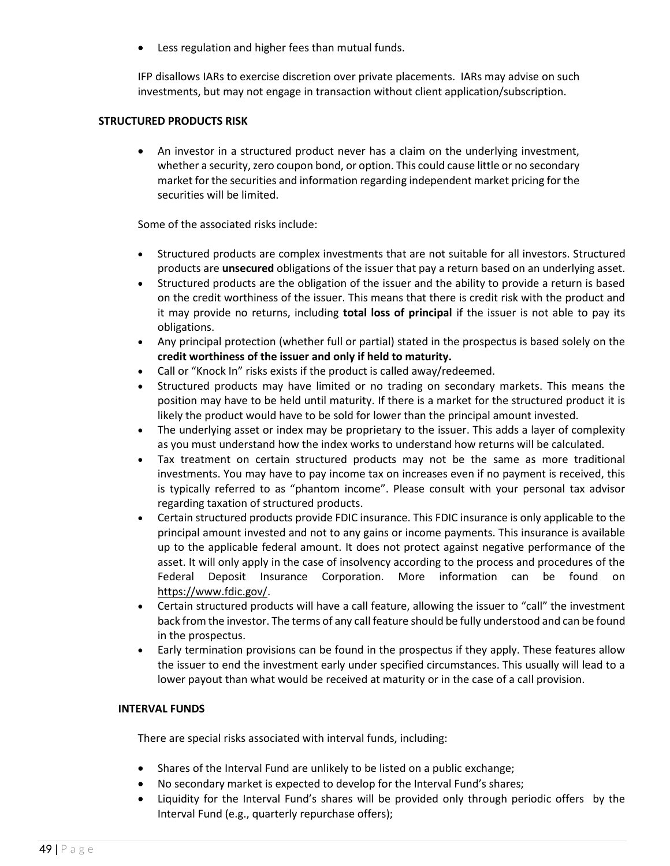• Less regulation and higher fees than mutual funds.

IFP disallows IARs to exercise discretion over private placements. IARs may advise on such investments, but may not engage in transaction without client application/subscription.

## **STRUCTURED PRODUCTS RISK**

• An investor in a structured product never has a claim on the underlying investment, whether a security, zero coupon bond, or option. This could cause little or no secondary market for the securities and information regarding independent market pricing for the securities will be limited.

Some of the associated risks include:

- Structured products are complex investments that are not suitable for all investors. Structured products are **unsecured** obligations of the issuer that pay a return based on an underlying asset.
- Structured products are the obligation of the issuer and the ability to provide a return is based on the credit worthiness of the issuer. This means that there is credit risk with the product and it may provide no returns, including **total loss of principal** if the issuer is not able to pay its obligations.
- Any principal protection (whether full or partial) stated in the prospectus is based solely on the **credit worthiness of the issuer and only if held to maturity.**
- Call or "Knock In" risks exists if the product is called away/redeemed.
- Structured products may have limited or no trading on secondary markets. This means the position may have to be held until maturity. If there is a market for the structured product it is likely the product would have to be sold for lower than the principal amount invested.
- The underlying asset or index may be proprietary to the issuer. This adds a layer of complexity as you must understand how the index works to understand how returns will be calculated.
- Tax treatment on certain structured products may not be the same as more traditional investments. You may have to pay income tax on increases even if no payment is received, this is typically referred to as "phantom income". Please consult with your personal tax advisor regarding taxation of structured products.
- Certain structured products provide FDIC insurance. This FDIC insurance is only applicable to the principal amount invested and not to any gains or income payments. This insurance is available up to the applicable federal amount. It does not protect against negative performance of the asset. It will only apply in the case of insolvency according to the process and procedures of the Federal Deposit Insurance Corporation. More information can be found on [https://www.fdic.gov/.](https://www.fdic.gov/)
- Certain structured products will have a call feature, allowing the issuer to "call" the investment back from the investor. The terms of any call feature should be fully understood and can be found in the prospectus.
- Early termination provisions can be found in the prospectus if they apply. These features allow the issuer to end the investment early under specified circumstances. This usually will lead to a lower payout than what would be received at maturity or in the case of a call provision.

#### **INTERVAL FUNDS**

There are special risks associated with interval funds, including:

- Shares of the Interval Fund are unlikely to be listed on a public exchange;
- No secondary market is expected to develop for the Interval Fund's shares;
- Liquidity for the Interval Fund's shares will be provided only through periodic offers by the Interval Fund (e.g., quarterly repurchase offers);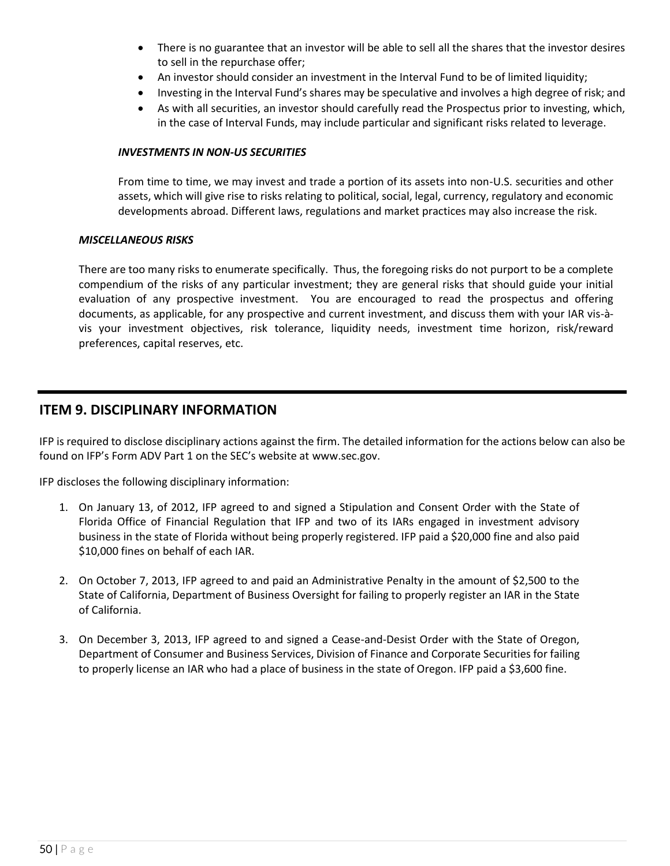- There is no guarantee that an investor will be able to sell all the shares that the investor desires to sell in the repurchase offer;
- An investor should consider an investment in the Interval Fund to be of limited liquidity;
- Investing in the Interval Fund's shares may be speculative and involves a high degree of risk; and
- As with all securities, an investor should carefully read the Prospectus prior to investing, which, in the case of Interval Funds, may include particular and significant risks related to leverage.

#### *INVESTMENTS IN NON-US SECURITIES*

From time to time, we may invest and trade a portion of its assets into non-U.S. securities and other assets, which will give rise to risks relating to political, social, legal, currency, regulatory and economic developments abroad. Different laws, regulations and market practices may also increase the risk.

#### *MISCELLANEOUS RISKS*

There are too many risks to enumerate specifically. Thus, the foregoing risks do not purport to be a complete compendium of the risks of any particular investment; they are general risks that should guide your initial evaluation of any prospective investment. You are encouraged to read the prospectus and offering documents, as applicable, for any prospective and current investment, and discuss them with your IAR vis-àvis your investment objectives, risk tolerance, liquidity needs, investment time horizon, risk/reward preferences, capital reserves, etc.

# <span id="page-49-0"></span>**ITEM 9. DISCIPLINARY INFORMATION**

IFP is required to disclose disciplinary actions against the firm. The detailed information for the actions below can also be found on IFP's Form ADV Part 1 on the SEC's website at [www.sec.gov.](http://www.sec.gov/)

IFP discloses the following disciplinary information:

- 1. On January 13, of 2012, IFP agreed to and signed a Stipulation and Consent Order with the State of Florida Office of Financial Regulation that IFP and two of its IARs engaged in investment advisory business in the state of Florida without being properly registered. IFP paid a \$20,000 fine and also paid \$10,000 fines on behalf of each IAR.
- 2. On October 7, 2013, IFP agreed to and paid an Administrative Penalty in the amount of \$2,500 to the State of California, Department of Business Oversight for failing to properly register an IAR in the State of California.
- 3. On December 3, 2013, IFP agreed to and signed a Cease-and-Desist Order with the State of Oregon, Department of Consumer and Business Services, Division of Finance and Corporate Securities for failing to properly license an IAR who had a place of business in the state of Oregon. IFP paid a \$3,600 fine.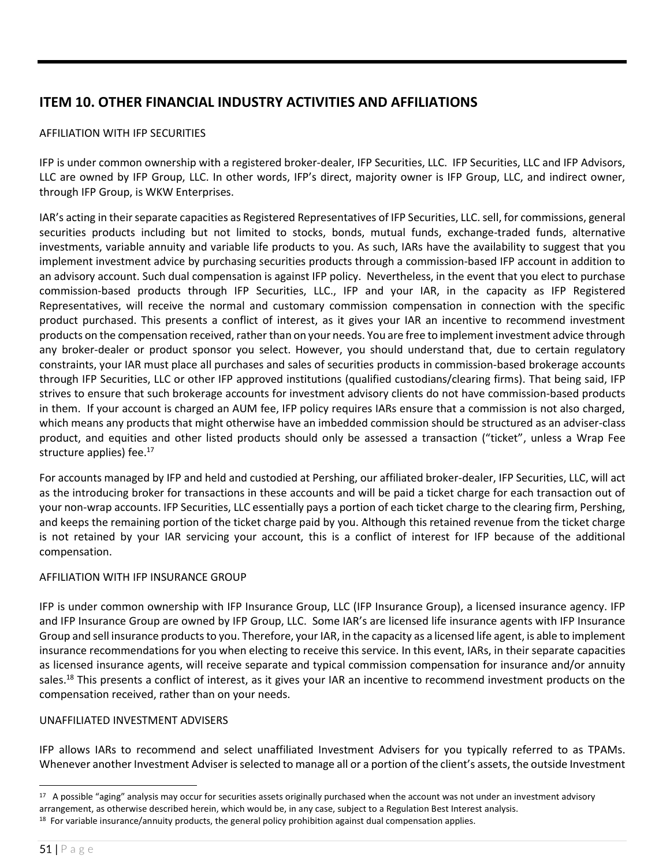# <span id="page-50-0"></span>**ITEM 10. OTHER FINANCIAL INDUSTRY ACTIVITIES AND AFFILIATIONS**

# AFFILIATION WITH IFP SECURITIES

IFP is under common ownership with a registered broker-dealer, IFP Securities, LLC. IFP Securities, LLC and IFP Advisors, LLC are owned by IFP Group, LLC. In other words, IFP's direct, majority owner is IFP Group, LLC, and indirect owner, through IFP Group, is WKW Enterprises.

IAR's acting in their separate capacities as Registered Representatives of IFP Securities, LLC. sell, for commissions, general securities products including but not limited to stocks, bonds, mutual funds, exchange-traded funds, alternative investments, variable annuity and variable life products to you. As such, IARs have the availability to suggest that you implement investment advice by purchasing securities products through a commission-based IFP account in addition to an advisory account. Such dual compensation is against IFP policy. Nevertheless, in the event that you elect to purchase commission-based products through IFP Securities, LLC., IFP and your IAR, in the capacity as IFP Registered Representatives, will receive the normal and customary commission compensation in connection with the specific product purchased. This presents a conflict of interest, as it gives your IAR an incentive to recommend investment products on the compensation received, rather than on your needs. You are free to implement investment advice through any broker-dealer or product sponsor you select. However, you should understand that, due to certain regulatory constraints, your IAR must place all purchases and sales of securities products in commission-based brokerage accounts through IFP Securities, LLC or other IFP approved institutions (qualified custodians/clearing firms). That being said, IFP strives to ensure that such brokerage accounts for investment advisory clients do not have commission-based products in them. If your account is charged an AUM fee, IFP policy requires IARs ensure that a commission is not also charged, which means any products that might otherwise have an imbedded commission should be structured as an adviser-class product, and equities and other listed products should only be assessed a transaction ("ticket", unless a Wrap Fee structure applies) fee.<sup>17</sup>

For accounts managed by IFP and held and custodied at Pershing, our affiliated broker-dealer, IFP Securities, LLC, will act as the introducing broker for transactions in these accounts and will be paid a ticket charge for each transaction out of your non-wrap accounts. IFP Securities, LLC essentially pays a portion of each ticket charge to the clearing firm, Pershing, and keeps the remaining portion of the ticket charge paid by you. Although this retained revenue from the ticket charge is not retained by your IAR servicing your account, this is a conflict of interest for IFP because of the additional compensation.

# AFFILIATION WITH IFP INSURANCE GROUP

IFP is under common ownership with IFP Insurance Group, LLC (IFP Insurance Group), a licensed insurance agency. IFP and IFP Insurance Group are owned by IFP Group, LLC. Some IAR's are licensed life insurance agents with IFP Insurance Group and sell insurance products to you. Therefore, your IAR, in the capacity as a licensed life agent, is able to implement insurance recommendations for you when electing to receive this service. In this event, IARs, in their separate capacities as licensed insurance agents, will receive separate and typical commission compensation for insurance and/or annuity sales.<sup>18</sup> This presents a conflict of interest, as it gives your IAR an incentive to recommend investment products on the compensation received, rather than on your needs.

# UNAFFILIATED INVESTMENT ADVISERS

IFP allows IARs to recommend and select unaffiliated Investment Advisers for you typically referred to as TPAMs. Whenever another Investment Adviser is selected to manage all or a portion of the client's assets, the outside Investment

<sup>&</sup>lt;sup>17</sup> A possible "aging" analysis may occur for securities assets originally purchased when the account was not under an investment advisory arrangement, as otherwise described herein, which would be, in any case, subject to a Regulation Best Interest analysis.

<sup>&</sup>lt;sup>18</sup> For variable insurance/annuity products, the general policy prohibition against dual compensation applies.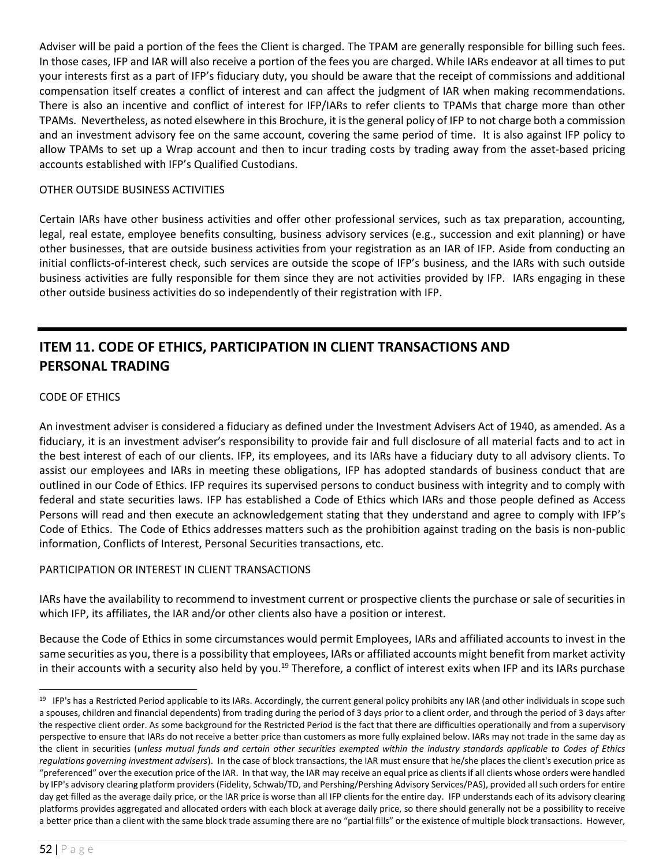Adviser will be paid a portion of the fees the Client is charged. The TPAM are generally responsible for billing such fees. In those cases, IFP and IAR will also receive a portion of the fees you are charged. While IARs endeavor at all times to put your interests first as a part of IFP's fiduciary duty, you should be aware that the receipt of commissions and additional compensation itself creates a conflict of interest and can affect the judgment of IAR when making recommendations. There is also an incentive and conflict of interest for IFP/IARs to refer clients to TPAMs that charge more than other TPAMs. Nevertheless, as noted elsewhere in this Brochure, it is the general policy of IFP to not charge both a commission and an investment advisory fee on the same account, covering the same period of time. It is also against IFP policy to allow TPAMs to set up a Wrap account and then to incur trading costs by trading away from the asset-based pricing accounts established with IFP's Qualified Custodians.

## OTHER OUTSIDE BUSINESS ACTIVITIES

Certain IARs have other business activities and offer other professional services, such as tax preparation, accounting, legal, real estate, employee benefits consulting, business advisory services (e.g., succession and exit planning) or have other businesses, that are outside business activities from your registration as an IAR of IFP. Aside from conducting an initial conflicts-of-interest check, such services are outside the scope of IFP's business, and the IARs with such outside business activities are fully responsible for them since they are not activities provided by IFP. IARs engaging in these other outside business activities do so independently of their registration with IFP.

# <span id="page-51-0"></span>**ITEM 11. CODE OF ETHICS, PARTICIPATION IN CLIENT TRANSACTIONS AND PERSONAL TRADING**

#### CODE OF ETHICS

An investment adviser is considered a fiduciary as defined under the Investment Advisers Act of 1940, as amended. As a fiduciary, it is an investment adviser's responsibility to provide fair and full disclosure of all material facts and to act in the best interest of each of our clients. IFP, its employees, and its IARs have a fiduciary duty to all advisory clients. To assist our employees and IARs in meeting these obligations, IFP has adopted standards of business conduct that are outlined in our Code of Ethics. IFP requires its supervised persons to conduct business with integrity and to comply with federal and state securities laws. IFP has established a Code of Ethics which IARs and those people defined as Access Persons will read and then execute an acknowledgement stating that they understand and agree to comply with IFP's Code of Ethics. The Code of Ethics addresses matters such as the prohibition against trading on the basis is non-public information, Conflicts of Interest, Personal Securities transactions, etc.

#### PARTICIPATION OR INTEREST IN CLIENT TRANSACTIONS

IARs have the availability to recommend to investment current or prospective clients the purchase or sale of securities in which IFP, its affiliates, the IAR and/or other clients also have a position or interest.

Because the Code of Ethics in some circumstances would permit Employees, IARs and affiliated accounts to invest in the same securities as you, there is a possibility that employees, IARs or affiliated accounts might benefit from market activity in their accounts with a security also held by you.<sup>19</sup> Therefore, a conflict of interest exits when IFP and its IARs purchase

<sup>&</sup>lt;sup>19</sup> IFP's has a Restricted Period applicable to its IARs. Accordingly, the current general policy prohibits any IAR (and other individuals in scope such a spouses, children and financial dependents) from trading during the period of 3 days prior to a client order, and through the period of 3 days after the respective client order. As some background for the Restricted Period is the fact that there are difficulties operationally and from a supervisory perspective to ensure that IARs do not receive a better price than customers as more fully explained below. IARs may not trade in the same day as the client in securities (*unless mutual funds and certain other securities exempted within the industry standards applicable to Codes of Ethics regulations governing investment advisers*). In the case of block transactions, the IAR must ensure that he/she places the client's execution price as "preferenced" over the execution price of the IAR. In that way, the IAR may receive an equal price as clients if all clients whose orders were handled by IFP's advisory clearing platform providers (Fidelity, Schwab/TD, and Pershing/Pershing Advisory Services/PAS), provided all such orders for entire day get filled as the average daily price, or the IAR price is worse than all IFP clients for the entire day. IFP understands each of its advisory clearing platforms provides aggregated and allocated orders with each block at average daily price, so there should generally not be a possibility to receive a better price than a client with the same block trade assuming there are no "partial fills" or the existence of multiple block transactions. However,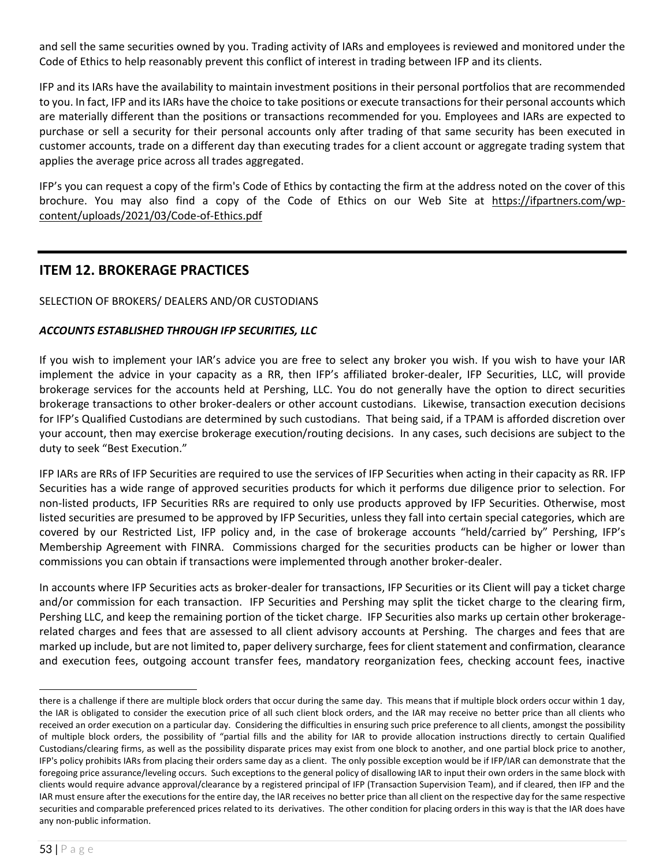and sell the same securities owned by you. Trading activity of IARs and employees is reviewed and monitored under the Code of Ethics to help reasonably prevent this conflict of interest in trading between IFP and its clients.

IFP and its IARs have the availability to maintain investment positions in their personal portfolios that are recommended to you. In fact, IFP and its IARs have the choice to take positions or execute transactions for their personal accounts which are materially different than the positions or transactions recommended for you. Employees and IARs are expected to purchase or sell a security for their personal accounts only after trading of that same security has been executed in customer accounts, trade on a different day than executing trades for a client account or aggregate trading system that applies the average price across all trades aggregated.

IFP's you can request a copy of the firm's Code of Ethics by contacting the firm at the address noted on the cover of this brochure. You may also find a copy of the Code of Ethics on our Web Site at [https://ifpartners.com/wp](https://ifpartners.com/wp-content/uploads/2021/03/Code-of-Ethics.pdf)[content/uploads/2021/03/Code-of-Ethics.pdf](https://ifpartners.com/wp-content/uploads/2021/03/Code-of-Ethics.pdf) 

# <span id="page-52-0"></span>**ITEM 12. BROKERAGE PRACTICES**

# SELECTION OF BROKERS/ DEALERS AND/OR CUSTODIANS

# *ACCOUNTS ESTABLISHED THROUGH IFP SECURITIES, LLC*

If you wish to implement your IAR's advice you are free to select any broker you wish. If you wish to have your IAR implement the advice in your capacity as a RR, then IFP's affiliated broker-dealer, IFP Securities, LLC, will provide brokerage services for the accounts held at Pershing, LLC. You do not generally have the option to direct securities brokerage transactions to other broker-dealers or other account custodians. Likewise, transaction execution decisions for IFP's Qualified Custodians are determined by such custodians. That being said, if a TPAM is afforded discretion over your account, then may exercise brokerage execution/routing decisions. In any cases, such decisions are subject to the duty to seek "Best Execution."

IFP IARs are RRs of IFP Securities are required to use the services of IFP Securities when acting in their capacity as RR. IFP Securities has a wide range of approved securities products for which it performs due diligence prior to selection. For non-listed products, IFP Securities RRs are required to only use products approved by IFP Securities. Otherwise, most listed securities are presumed to be approved by IFP Securities, unless they fall into certain special categories, which are covered by our Restricted List, IFP policy and, in the case of brokerage accounts "held/carried by" Pershing, IFP's Membership Agreement with FINRA. Commissions charged for the securities products can be higher or lower than commissions you can obtain if transactions were implemented through another broker‐dealer.

In accounts where IFP Securities acts as broker-dealer for transactions, IFP Securities or its Client will pay a ticket charge and/or commission for each transaction. IFP Securities and Pershing may split the ticket charge to the clearing firm, Pershing LLC, and keep the remaining portion of the ticket charge. IFP Securities also marks up certain other brokeragerelated charges and fees that are assessed to all client advisory accounts at Pershing. The charges and fees that are marked up include, but are not limited to, paper delivery surcharge, fees for client statement and confirmation, clearance and execution fees, outgoing account transfer fees, mandatory reorganization fees, checking account fees, inactive

there is a challenge if there are multiple block orders that occur during the same day. This means that if multiple block orders occur within 1 day, the IAR is obligated to consider the execution price of all such client block orders, and the IAR may receive no better price than all clients who received an order execution on a particular day. Considering the difficulties in ensuring such price preference to all clients, amongst the possibility of multiple block orders, the possibility of "partial fills and the ability for IAR to provide allocation instructions directly to certain Qualified Custodians/clearing firms, as well as the possibility disparate prices may exist from one block to another, and one partial block price to another, IFP's policy prohibits IARs from placing their orders same day as a client. The only possible exception would be if IFP/IAR can demonstrate that the foregoing price assurance/leveling occurs. Such exceptions to the general policy of disallowing IAR to input their own orders in the same block with clients would require advance approval/clearance by a registered principal of IFP (Transaction Supervision Team), and if cleared, then IFP and the IAR must ensure after the executions for the entire day, the IAR receives no better price than all client on the respective day for the same respective securities and comparable preferenced prices related to its derivatives. The other condition for placing orders in this way is that the IAR does have any non-public information.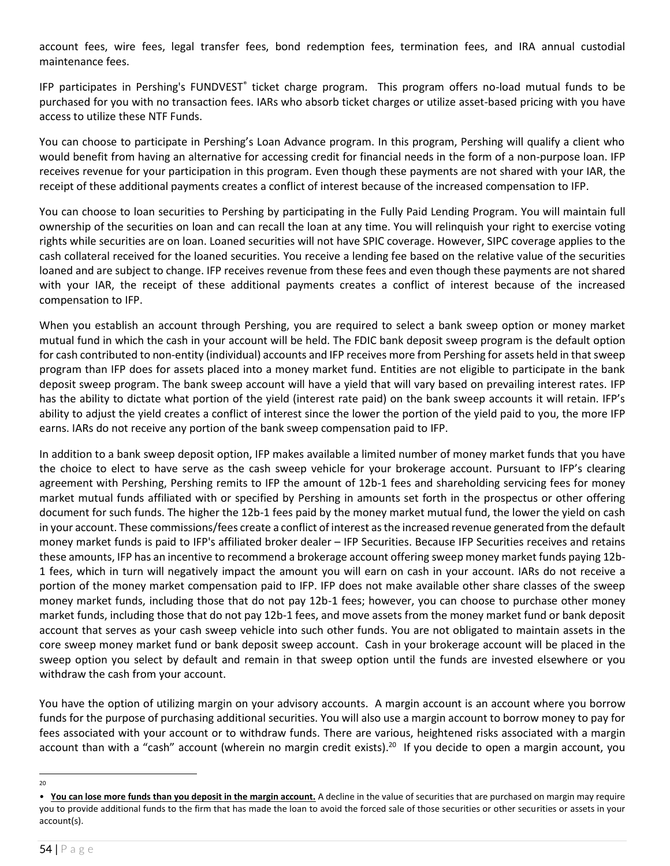account fees, wire fees, legal transfer fees, bond redemption fees, termination fees, and IRA annual custodial maintenance fees.

IFP participates in Pershing's FUNDVEST® ticket charge program. This program offers no-load mutual funds to be purchased for you with no transaction fees. IARs who absorb ticket charges or utilize asset-based pricing with you have access to utilize these NTF Funds.

You can choose to participate in Pershing's Loan Advance program. In this program, Pershing will qualify a client who would benefit from having an alternative for accessing credit for financial needs in the form of a non-purpose loan. IFP receives revenue for your participation in this program. Even though these payments are not shared with your IAR, the receipt of these additional payments creates a conflict of interest because of the increased compensation to IFP.

You can choose to loan securities to Pershing by participating in the Fully Paid Lending Program. You will maintain full ownership of the securities on loan and can recall the loan at any time. You will relinquish your right to exercise voting rights while securities are on loan. Loaned securities will not have SPIC coverage. However, SIPC coverage applies to the cash collateral received for the loaned securities. You receive a lending fee based on the relative value of the securities loaned and are subject to change. IFP receives revenue from these fees and even though these payments are not shared with your IAR, the receipt of these additional payments creates a conflict of interest because of the increased compensation to IFP.

When you establish an account through Pershing, you are required to select a bank sweep option or money market mutual fund in which the cash in your account will be held. The FDIC bank deposit sweep program is the default option for cash contributed to non-entity (individual) accounts and IFP receives more from Pershing for assets held in that sweep program than IFP does for assets placed into a money market fund. Entities are not eligible to participate in the bank deposit sweep program. The bank sweep account will have a yield that will vary based on prevailing interest rates. IFP has the ability to dictate what portion of the yield (interest rate paid) on the bank sweep accounts it will retain. IFP's ability to adjust the yield creates a conflict of interest since the lower the portion of the yield paid to you, the more IFP earns. IARs do not receive any portion of the bank sweep compensation paid to IFP.

In addition to a bank sweep deposit option, IFP makes available a limited number of money market funds that you have the choice to elect to have serve as the cash sweep vehicle for your brokerage account. Pursuant to IFP's clearing agreement with Pershing, Pershing remits to IFP the amount of 12b-1 fees and shareholding servicing fees for money market mutual funds affiliated with or specified by Pershing in amounts set forth in the prospectus or other offering document for such funds. The higher the 12b-1 fees paid by the money market mutual fund, the lower the yield on cash in your account. These commissions/fees create a conflict of interest as the increased revenue generated from the default money market funds is paid to IFP's affiliated broker dealer – IFP Securities. Because IFP Securities receives and retains these amounts, IFP has an incentive to recommend a brokerage account offering sweep money market funds paying 12b-1 fees, which in turn will negatively impact the amount you will earn on cash in your account. IARs do not receive a portion of the money market compensation paid to IFP. IFP does not make available other share classes of the sweep money market funds, including those that do not pay 12b-1 fees; however, you can choose to purchase other money market funds, including those that do not pay 12b-1 fees, and move assets from the money market fund or bank deposit account that serves as your cash sweep vehicle into such other funds. You are not obligated to maintain assets in the core sweep money market fund or bank deposit sweep account. Cash in your brokerage account will be placed in the sweep option you select by default and remain in that sweep option until the funds are invested elsewhere or you withdraw the cash from your account.

You have the option of utilizing margin on your advisory accounts. A margin account is an account where you borrow funds for the purpose of purchasing additional securities. You will also use a margin account to borrow money to pay for fees associated with your account or to withdraw funds. There are various, heightened risks associated with a margin account than with a "cash" account (wherein no margin credit exists).<sup>20</sup> If you decide to open a margin account, you

20

<sup>•</sup> **You can lose more funds than you deposit in the margin account.** A decline in the value of securities that are purchased on margin may require you to provide additional funds to the firm that has made the loan to avoid the forced sale of those securities or other securities or assets in your account(s).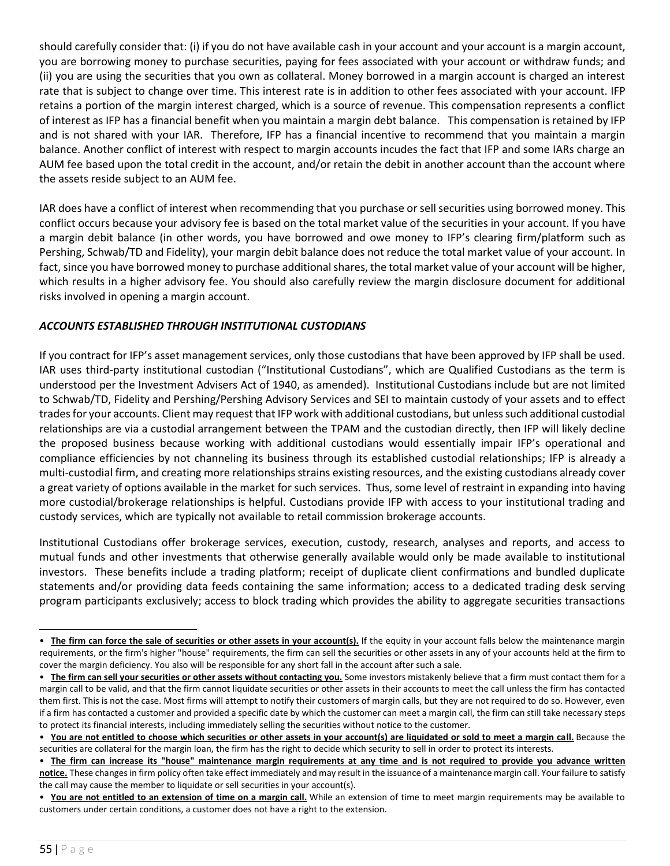should carefully consider that: (i) if you do not have available cash in your account and your account is a margin account, you are borrowing money to purchase securities, paying for fees associated with your account or withdraw funds; and (ii) you are using the securities that you own as collateral. Money borrowed in a margin account is charged an interest rate that is subject to change over time. This interest rate is in addition to other fees associated with your account. IFP retains a portion of the margin interest charged, which is a source of revenue. This compensation represents a conflict of interest as IFP has a financial benefit when you maintain a margin debt balance. This compensation is retained by IFP and is not shared with your IAR. Therefore, IFP has a financial incentive to recommend that you maintain a margin balance. Another conflict of interest with respect to margin accounts incudes the fact that IFP and some IARs charge an AUM fee based upon the total credit in the account, and/or retain the debit in another account than the account where the assets reside subject to an AUM fee.

IAR does have a conflict of interest when recommending that you purchase or sell securities using borrowed money. This conflict occurs because your advisory fee is based on the total market value of the securities in your account. If you have a margin debit balance (in other words, you have borrowed and owe money to IFP's clearing firm/platform such as Pershing, Schwab/TD and Fidelity), your margin debit balance does not reduce the total market value of your account. In fact, since you have borrowed money to purchase additional shares, the total market value of your account will be higher, which results in a higher advisory fee. You should also carefully review the margin disclosure document for additional risks involved in opening a margin account.

# *ACCOUNTS ESTABLISHED THROUGH INSTITUTIONAL CUSTODIANS*

If you contract for IFP's asset management services, only those custodians that have been approved by IFP shall be used. IAR uses third-party institutional custodian ("Institutional Custodians", which are Qualified Custodians as the term is understood per the Investment Advisers Act of 1940, as amended). Institutional Custodians include but are not limited to Schwab/TD, Fidelity and Pershing/Pershing Advisory Services and SEI to maintain custody of your assets and to effect trades for your accounts. Client may request that IFP work with additional custodians, but unless such additional custodial relationships are via a custodial arrangement between the TPAM and the custodian directly, then IFP will likely decline the proposed business because working with additional custodians would essentially impair IFP's operational and compliance efficiencies by not channeling its business through its established custodial relationships; IFP is already a multi-custodial firm, and creating more relationships strains existing resources, and the existing custodians already cover a great variety of options available in the market for such services. Thus, some level of restraint in expanding into having more custodial/brokerage relationships is helpful. Custodians provide IFP with access to your institutional trading and custody services, which are typically not available to retail commission brokerage accounts.

Institutional Custodians offer brokerage services, execution, custody, research, analyses and reports, and access to mutual funds and other investments that otherwise generally available would only be made available to institutional investors. These benefits include a trading platform; receipt of duplicate client confirmations and bundled duplicate statements and/or providing data feeds containing the same information; access to a dedicated trading desk serving program participants exclusively; access to block trading which provides the ability to aggregate securities transactions

<sup>•</sup> The firm can force the sale of securities or other assets in your account(s). If the equity in your account falls below the maintenance margin requirements, or the firm's higher "house" requirements, the firm can sell the securities or other assets in any of your accounts held at the firm to cover the margin deficiency. You also will be responsible for any short fall in the account after such a sale.

<sup>•</sup> **The firm can sell your securities or other assets without contacting you.** Some investors mistakenly believe that a firm must contact them for a margin call to be valid, and that the firm cannot liquidate securities or other assets in their accounts to meet the call unless the firm has contacted them first. This is not the case. Most firms will attempt to notify their customers of margin calls, but they are not required to do so. However, even if a firm has contacted a customer and provided a specific date by which the customer can meet a margin call, the firm can still take necessary steps to protect its financial interests, including immediately selling the securities without notice to the customer.

<sup>•</sup> **You are not entitled to choose which securities or other assets in your account(s) are liquidated or sold to meet a margin call.** Because the securities are collateral for the margin loan, the firm has the right to decide which security to sell in order to protect its interests.

<sup>•</sup> **The firm can increase its "house" maintenance margin requirements at any time and is not required to provide you advance written notice.** These changes in firm policy often take effect immediately and may result in the issuance of a maintenance margin call. Your failure to satisfy the call may cause the member to liquidate or sell securities in your account(s).

<sup>•</sup> **You are not entitled to an extension of time on a margin call.** While an extension of time to meet margin requirements may be available to customers under certain conditions, a customer does not have a right to the extension.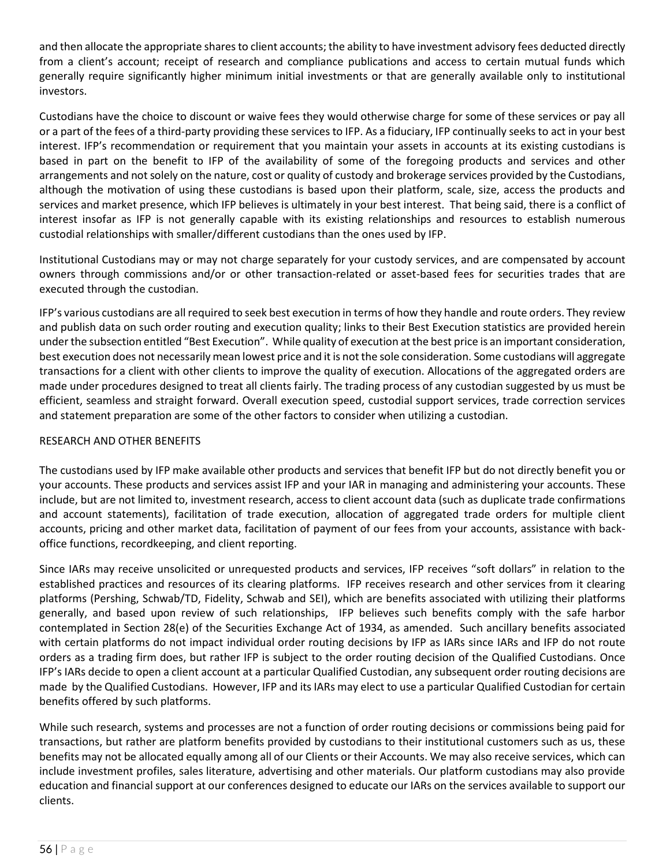and then allocate the appropriate shares to client accounts; the ability to have investment advisory fees deducted directly from a client's account; receipt of research and compliance publications and access to certain mutual funds which generally require significantly higher minimum initial investments or that are generally available only to institutional investors.

Custodians have the choice to discount or waive fees they would otherwise charge for some of these services or pay all or a part of the fees of a third-party providing these services to IFP. As a fiduciary, IFP continually seeks to act in your best interest. IFP's recommendation or requirement that you maintain your assets in accounts at its existing custodians is based in part on the benefit to IFP of the availability of some of the foregoing products and services and other arrangements and not solely on the nature, cost or quality of custody and brokerage services provided by the Custodians, although the motivation of using these custodians is based upon their platform, scale, size, access the products and services and market presence, which IFP believes is ultimately in your best interest. That being said, there is a conflict of interest insofar as IFP is not generally capable with its existing relationships and resources to establish numerous custodial relationships with smaller/different custodians than the ones used by IFP.

Institutional Custodians may or may not charge separately for your custody services, and are compensated by account owners through commissions and/or or other transaction-related or asset-based fees for securities trades that are executed through the custodian.

IFP's various custodians are all required to seek best execution in terms of how they handle and route orders. They review and publish data on such order routing and execution quality; links to their Best Execution statistics are provided herein under the subsection entitled "Best Execution". While quality of execution at the best price is an important consideration, best execution does not necessarily mean lowest price and it is not the sole consideration. Some custodians will aggregate transactions for a client with other clients to improve the quality of execution. Allocations of the aggregated orders are made under procedures designed to treat all clients fairly. The trading process of any custodian suggested by us must be efficient, seamless and straight forward. Overall execution speed, custodial support services, trade correction services and statement preparation are some of the other factors to consider when utilizing a custodian.

# RESEARCH AND OTHER BENEFITS

The custodians used by IFP make available other products and services that benefit IFP but do not directly benefit you or your accounts. These products and services assist IFP and your IAR in managing and administering your accounts. These include, but are not limited to, investment research, access to client account data (such as duplicate trade confirmations and account statements), facilitation of trade execution, allocation of aggregated trade orders for multiple client accounts, pricing and other market data, facilitation of payment of our fees from your accounts, assistance with backoffice functions, recordkeeping, and client reporting.

Since IARs may receive unsolicited or unrequested products and services, IFP receives "soft dollars" in relation to the established practices and resources of its clearing platforms. IFP receives research and other services from it clearing platforms (Pershing, Schwab/TD, Fidelity, Schwab and SEI), which are benefits associated with utilizing their platforms generally, and based upon review of such relationships, IFP believes such benefits comply with the safe harbor contemplated in Section 28(e) of the Securities Exchange Act of 1934, as amended. Such ancillary benefits associated with certain platforms do not impact individual order routing decisions by IFP as IARs since IARs and IFP do not route orders as a trading firm does, but rather IFP is subject to the order routing decision of the Qualified Custodians. Once IFP's IARs decide to open a client account at a particular Qualified Custodian, any subsequent order routing decisions are made by the Qualified Custodians. However, IFP and its IARs may elect to use a particular Qualified Custodian for certain benefits offered by such platforms.

While such research, systems and processes are not a function of order routing decisions or commissions being paid for transactions, but rather are platform benefits provided by custodians to their institutional customers such as us, these benefits may not be allocated equally among all of our Clients or their Accounts. We may also receive services, which can include investment profiles, sales literature, advertising and other materials. Our platform custodians may also provide education and financial support at our conferences designed to educate our IARs on the services available to support our clients.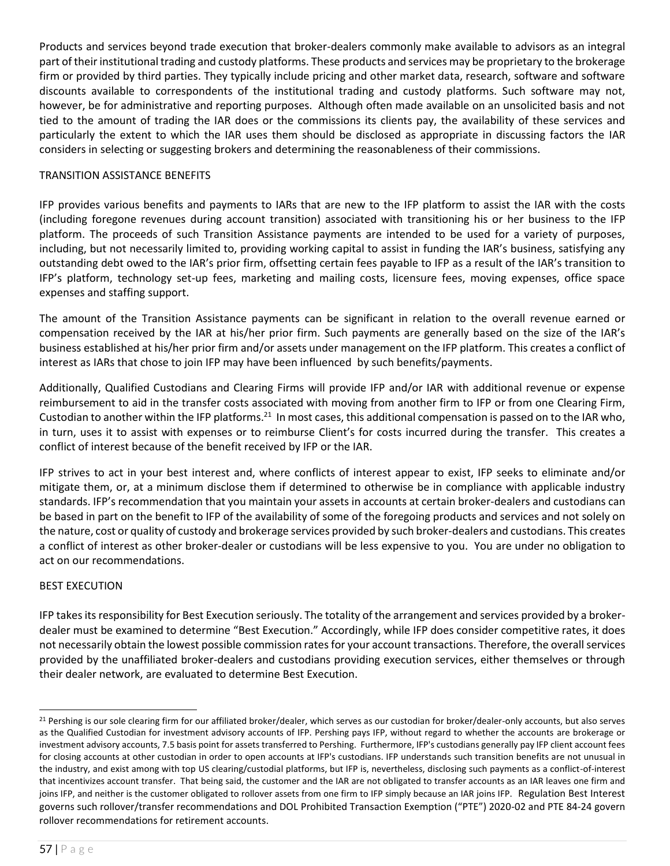Products and services beyond trade execution that broker-dealers commonly make available to advisors as an integral part of their institutional trading and custody platforms. These products and services may be proprietary to the brokerage firm or provided by third parties. They typically include pricing and other market data, research, software and software discounts available to correspondents of the institutional trading and custody platforms. Such software may not, however, be for administrative and reporting purposes. Although often made available on an unsolicited basis and not tied to the amount of trading the IAR does or the commissions its clients pay, the availability of these services and particularly the extent to which the IAR uses them should be disclosed as appropriate in discussing factors the IAR considers in selecting or suggesting brokers and determining the reasonableness of their commissions.

# TRANSITION ASSISTANCE BENEFITS

IFP provides various benefits and payments to IARs that are new to the IFP platform to assist the IAR with the costs (including foregone revenues during account transition) associated with transitioning his or her business to the IFP platform. The proceeds of such Transition Assistance payments are intended to be used for a variety of purposes, including, but not necessarily limited to, providing working capital to assist in funding the IAR's business, satisfying any outstanding debt owed to the IAR's prior firm, offsetting certain fees payable to IFP as a result of the IAR's transition to IFP's platform, technology set-up fees, marketing and mailing costs, licensure fees, moving expenses, office space expenses and staffing support.

The amount of the Transition Assistance payments can be significant in relation to the overall revenue earned or compensation received by the IAR at his/her prior firm. Such payments are generally based on the size of the IAR's business established at his/her prior firm and/or assets under management on the IFP platform. This creates a conflict of interest as IARs that chose to join IFP may have been influenced by such benefits/payments.

Additionally, Qualified Custodians and Clearing Firms will provide IFP and/or IAR with additional revenue or expense reimbursement to aid in the transfer costs associated with moving from another firm to IFP or from one Clearing Firm, Custodian to another within the IFP platforms.<sup>21</sup> In most cases, this additional compensation is passed on to the IAR who, in turn, uses it to assist with expenses or to reimburse Client's for costs incurred during the transfer. This creates a conflict of interest because of the benefit received by IFP or the IAR.

IFP strives to act in your best interest and, where conflicts of interest appear to exist, IFP seeks to eliminate and/or mitigate them, or, at a minimum disclose them if determined to otherwise be in compliance with applicable industry standards. IFP's recommendation that you maintain your assets in accounts at certain broker‐dealers and custodians can be based in part on the benefit to IFP of the availability of some of the foregoing products and services and not solely on the nature, cost or quality of custody and brokerage services provided by such broker‐dealers and custodians. This creates a conflict of interest as other broker-dealer or custodians will be less expensive to you. You are under no obligation to act on our recommendations.

# BEST EXECUTION

IFP takes itsresponsibility for Best Execution seriously. The totality of the arrangement and services provided by a brokerdealer must be examined to determine "Best Execution." Accordingly, while IFP does consider competitive rates, it does not necessarily obtain the lowest possible commission rates for your account transactions. Therefore, the overall services provided by the unaffiliated broker-dealers and custodians providing execution services, either themselves or through their dealer network, are evaluated to determine Best Execution.

<sup>&</sup>lt;sup>21</sup> Pershing is our sole clearing firm for our affiliated broker/dealer, which serves as our custodian for broker/dealer-only accounts, but also serves as the Qualified Custodian for investment advisory accounts of IFP. Pershing pays IFP, without regard to whether the accounts are brokerage or investment advisory accounts, 7.5 basis point for assets transferred to Pershing. Furthermore, IFP's custodians generally pay IFP client account fees for closing accounts at other custodian in order to open accounts at IFP's custodians. IFP understands such transition benefits are not unusual in the industry, and exist among with top US clearing/custodial platforms, but IFP is, nevertheless, disclosing such payments as a conflict-of-interest that incentivizes account transfer. That being said, the customer and the IAR are not obligated to transfer accounts as an IAR leaves one firm and joins IFP, and neither is the customer obligated to rollover assets from one firm to IFP simply because an IAR joins IFP. Regulation Best Interest governs such rollover/transfer recommendations and DOL Prohibited Transaction Exemption ("PTE") 2020-02 and PTE 84-24 govern rollover recommendations for retirement accounts.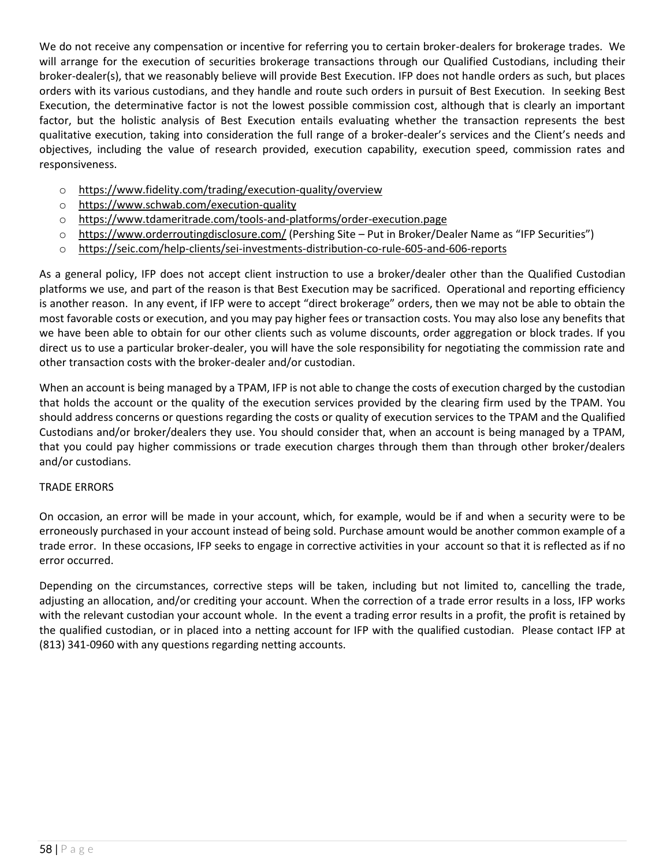We do not receive any compensation or incentive for referring you to certain broker-dealers for brokerage trades. We will arrange for the execution of securities brokerage transactions through our Qualified Custodians, including their broker-dealer(s), that we reasonably believe will provide Best Execution. IFP does not handle orders as such, but places orders with its various custodians, and they handle and route such orders in pursuit of Best Execution. In seeking Best Execution, the determinative factor is not the lowest possible commission cost, although that is clearly an important factor, but the holistic analysis of Best Execution entails evaluating whether the transaction represents the best qualitative execution, taking into consideration the full range of a broker-dealer's services and the Client's needs and objectives, including the value of research provided, execution capability, execution speed, commission rates and responsiveness.

- o <https://www.fidelity.com/trading/execution-quality/overview>
- o <https://www.schwab.com/execution-quality>
- o <https://www.tdameritrade.com/tools-and-platforms/order-execution.page>
- o <https://www.orderroutingdisclosure.com/> (Pershing Site Put in Broker/Dealer Name as "IFP Securities")
- o <https://seic.com/help-clients/sei-investments-distribution-co-rule-605-and-606-reports>

As a general policy, IFP does not accept client instruction to use a broker/dealer other than the Qualified Custodian platforms we use, and part of the reason is that Best Execution may be sacrificed. Operational and reporting efficiency is another reason. In any event, if IFP were to accept "direct brokerage" orders, then we may not be able to obtain the most favorable costs or execution, and you may pay higher fees or transaction costs. You may also lose any benefits that we have been able to obtain for our other clients such as volume discounts, order aggregation or block trades. If you direct us to use a particular broker-dealer, you will have the sole responsibility for negotiating the commission rate and other transaction costs with the broker-dealer and/or custodian.

When an account is being managed by a TPAM, IFP is not able to change the costs of execution charged by the custodian that holds the account or the quality of the execution services provided by the clearing firm used by the TPAM. You should address concerns or questions regarding the costs or quality of execution services to the TPAM and the Qualified Custodians and/or broker/dealers they use. You should consider that, when an account is being managed by a TPAM, that you could pay higher commissions or trade execution charges through them than through other broker/dealers and/or custodians.

# TRADE ERRORS

On occasion, an error will be made in your account, which, for example, would be if and when a security were to be erroneously purchased in your account instead of being sold. Purchase amount would be another common example of a trade error. In these occasions, IFP seeks to engage in corrective activities in your account so that it is reflected as if no error occurred.

Depending on the circumstances, corrective steps will be taken, including but not limited to, cancelling the trade, adjusting an allocation, and/or crediting your account. When the correction of a trade error results in a loss, IFP works with the relevant custodian your account whole. In the event a trading error results in a profit, the profit is retained by the qualified custodian, or in placed into a netting account for IFP with the qualified custodian. Please contact IFP at (813) 341-0960 with any questions regarding netting accounts.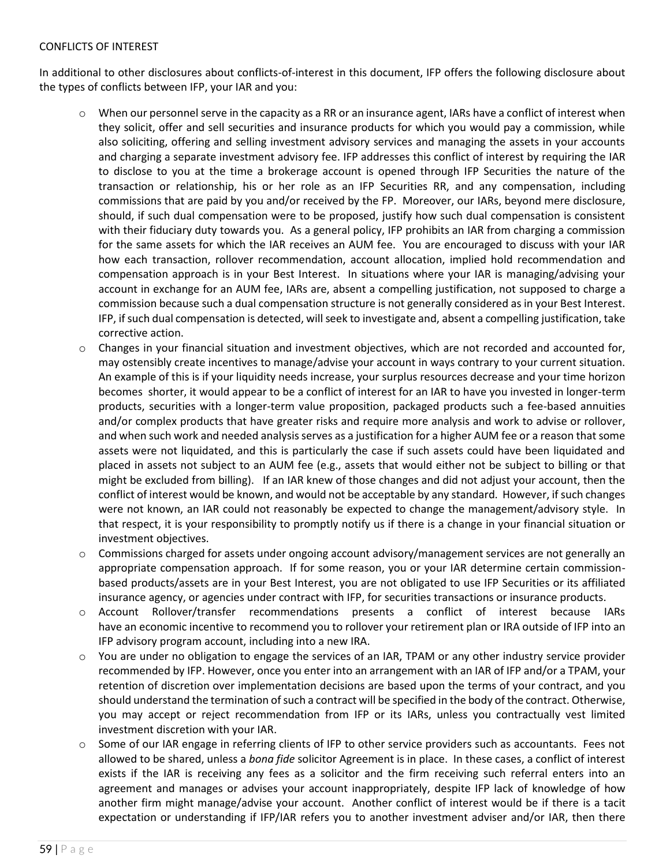#### CONFLICTS OF INTEREST

In additional to other disclosures about conflicts-of-interest in this document, IFP offers the following disclosure about the types of conflicts between IFP, your IAR and you:

- $\circ$  When our personnel serve in the capacity as a RR or an insurance agent, IARs have a conflict of interest when they solicit, offer and sell securities and insurance products for which you would pay a commission, while also soliciting, offering and selling investment advisory services and managing the assets in your accounts and charging a separate investment advisory fee. IFP addresses this conflict of interest by requiring the IAR to disclose to you at the time a brokerage account is opened through IFP Securities the nature of the transaction or relationship, his or her role as an IFP Securities RR, and any compensation, including commissions that are paid by you and/or received by the FP. Moreover, our IARs, beyond mere disclosure, should, if such dual compensation were to be proposed, justify how such dual compensation is consistent with their fiduciary duty towards you. As a general policy, IFP prohibits an IAR from charging a commission for the same assets for which the IAR receives an AUM fee. You are encouraged to discuss with your IAR how each transaction, rollover recommendation, account allocation, implied hold recommendation and compensation approach is in your Best Interest. In situations where your IAR is managing/advising your account in exchange for an AUM fee, IARs are, absent a compelling justification, not supposed to charge a commission because such a dual compensation structure is not generally considered as in your Best Interest. IFP, if such dual compensation is detected, will seek to investigate and, absent a compelling justification, take corrective action.
- o Changes in your financial situation and investment objectives, which are not recorded and accounted for, may ostensibly create incentives to manage/advise your account in ways contrary to your current situation. An example of this is if your liquidity needs increase, your surplus resources decrease and your time horizon becomes shorter, it would appear to be a conflict of interest for an IAR to have you invested in longer-term products, securities with a longer-term value proposition, packaged products such a fee-based annuities and/or complex products that have greater risks and require more analysis and work to advise or rollover, and when such work and needed analysis serves as a justification for a higher AUM fee or a reason that some assets were not liquidated, and this is particularly the case if such assets could have been liquidated and placed in assets not subject to an AUM fee (e.g., assets that would either not be subject to billing or that might be excluded from billing). If an IAR knew of those changes and did not adjust your account, then the conflict of interest would be known, and would not be acceptable by any standard. However, if such changes were not known, an IAR could not reasonably be expected to change the management/advisory style. In that respect, it is your responsibility to promptly notify us if there is a change in your financial situation or investment objectives.
- $\circ$  Commissions charged for assets under ongoing account advisory/management services are not generally an appropriate compensation approach. If for some reason, you or your IAR determine certain commissionbased products/assets are in your Best Interest, you are not obligated to use IFP Securities or its affiliated insurance agency, or agencies under contract with IFP, for securities transactions or insurance products.
- o Account Rollover/transfer recommendations presents a conflict of interest because IARs have an economic incentive to recommend you to rollover your retirement plan or IRA outside of IFP into an IFP advisory program account, including into a new IRA.
- You are under no obligation to engage the services of an IAR, TPAM or any other industry service provider recommended by IFP. However, once you enter into an arrangement with an IAR of IFP and/or a TPAM, your retention of discretion over implementation decisions are based upon the terms of your contract, and you should understand the termination of such a contract will be specified in the body of the contract. Otherwise, you may accept or reject recommendation from IFP or its IARs, unless you contractually vest limited investment discretion with your IAR.
- o Some of our IAR engage in referring clients of IFP to other service providers such as accountants. Fees not allowed to be shared, unless a *bona fide* solicitor Agreement is in place. In these cases, a conflict of interest exists if the IAR is receiving any fees as a solicitor and the firm receiving such referral enters into an agreement and manages or advises your account inappropriately, despite IFP lack of knowledge of how another firm might manage/advise your account. Another conflict of interest would be if there is a tacit expectation or understanding if IFP/IAR refers you to another investment adviser and/or IAR, then there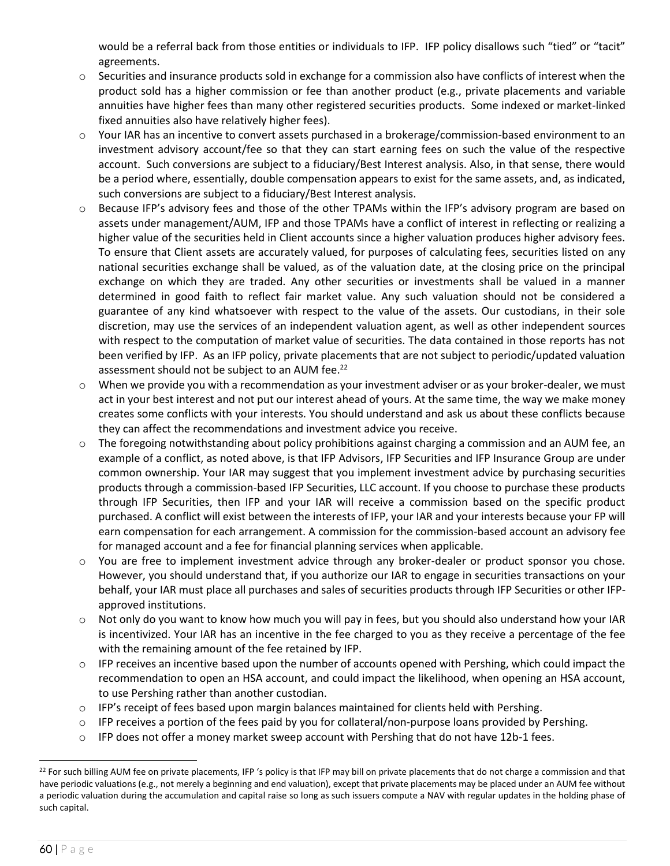would be a referral back from those entities or individuals to IFP. IFP policy disallows such "tied" or "tacit" agreements.

- $\circ$  Securities and insurance products sold in exchange for a commission also have conflicts of interest when the product sold has a higher commission or fee than another product (e.g., private placements and variable annuities have higher fees than many other registered securities products. Some indexed or market-linked fixed annuities also have relatively higher fees).
- Your IAR has an incentive to convert assets purchased in a brokerage/commission-based environment to an investment advisory account/fee so that they can start earning fees on such the value of the respective account. Such conversions are subject to a fiduciary/Best Interest analysis. Also, in that sense, there would be a period where, essentially, double compensation appears to exist for the same assets, and, as indicated, such conversions are subject to a fiduciary/Best Interest analysis.
- o Because IFP's advisory fees and those of the other TPAMs within the IFP's advisory program are based on assets under management/AUM, IFP and those TPAMs have a conflict of interest in reflecting or realizing a higher value of the securities held in Client accounts since a higher valuation produces higher advisory fees. To ensure that Client assets are accurately valued, for purposes of calculating fees, securities listed on any national securities exchange shall be valued, as of the valuation date, at the closing price on the principal exchange on which they are traded. Any other securities or investments shall be valued in a manner determined in good faith to reflect fair market value. Any such valuation should not be considered a guarantee of any kind whatsoever with respect to the value of the assets. Our custodians, in their sole discretion, may use the services of an independent valuation agent, as well as other independent sources with respect to the computation of market value of securities. The data contained in those reports has not been verified by IFP. As an IFP policy, private placements that are not subject to periodic/updated valuation assessment should not be subject to an AUM fee. $^{22}$
- o When we provide you with a recommendation as your investment adviser or as your broker-dealer, we must act in your best interest and not put our interest ahead of yours. At the same time, the way we make money creates some conflicts with your interests. You should understand and ask us about these conflicts because they can affect the recommendations and investment advice you receive.
- $\circ$  The foregoing notwithstanding about policy prohibitions against charging a commission and an AUM fee, an example of a conflict, as noted above, is that IFP Advisors, IFP Securities and IFP Insurance Group are under common ownership. Your IAR may suggest that you implement investment advice by purchasing securities products through a commission-based IFP Securities, LLC account. If you choose to purchase these products through IFP Securities, then IFP and your IAR will receive a commission based on the specific product purchased. A conflict will exist between the interests of IFP, your IAR and your interests because your FP will earn compensation for each arrangement. A commission for the commission-based account an advisory fee for managed account and a fee for financial planning services when applicable.
- o You are free to implement investment advice through any broker-dealer or product sponsor you chose. However, you should understand that, if you authorize our IAR to engage in securities transactions on your behalf, your IAR must place all purchases and sales of securities products through IFP Securities or other IFPapproved institutions.
- $\circ$  Not only do you want to know how much you will pay in fees, but you should also understand how your IAR is incentivized. Your IAR has an incentive in the fee charged to you as they receive a percentage of the fee with the remaining amount of the fee retained by IFP.
- $\circ$  IFP receives an incentive based upon the number of accounts opened with Pershing, which could impact the recommendation to open an HSA account, and could impact the likelihood, when opening an HSA account, to use Pershing rather than another custodian.
- $\circ$  IFP's receipt of fees based upon margin balances maintained for clients held with Pershing.
- $\circ$  IFP receives a portion of the fees paid by you for collateral/non-purpose loans provided by Pershing.
- $\circ$  IFP does not offer a money market sweep account with Pershing that do not have 12b-1 fees.

<sup>&</sup>lt;sup>22</sup> For such billing AUM fee on private placements, IFP 's policy is that IFP may bill on private placements that do not charge a commission and that have periodic valuations (e.g., not merely a beginning and end valuation), except that private placements may be placed under an AUM fee without a periodic valuation during the accumulation and capital raise so long as such issuers compute a NAV with regular updates in the holding phase of such capital.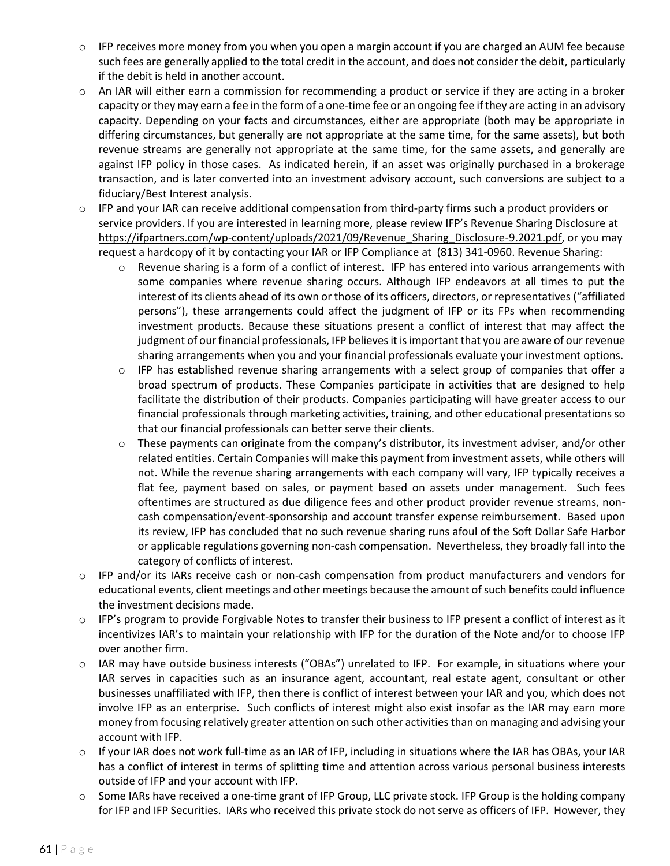- o IFP receives more money from you when you open a margin account if you are charged an AUM fee because such fees are generally applied to the total credit in the account, and does not consider the debit, particularly if the debit is held in another account.
- o An IAR will either earn a commission for recommending a product or service if they are acting in a broker capacity or they may earn a fee in the form of a one-time fee or an ongoing fee if they are acting in an advisory capacity. Depending on your facts and circumstances, either are appropriate (both may be appropriate in differing circumstances, but generally are not appropriate at the same time, for the same assets), but both revenue streams are generally not appropriate at the same time, for the same assets, and generally are against IFP policy in those cases. As indicated herein, if an asset was originally purchased in a brokerage transaction, and is later converted into an investment advisory account, such conversions are subject to a fiduciary/Best Interest analysis.
- o IFP and your IAR can receive additional compensation from third-party firms such a product providers or service providers. If you are interested in learning more, please review IFP's Revenue Sharing Disclosure at [https://ifpartners.com/wp-content/uploads/2021/09/Revenue\\_Sharing\\_Disclosure-9.2021.pdf,](https://ifpartners.com/wp-content/uploads/2021/09/Revenue_Sharing_Disclosure-9.2021.pdf) or you may request a hardcopy of it by contacting your IAR or IFP Compliance at (813) 341-0960. Revenue Sharing:
	- $\circ$  Revenue sharing is a form of a conflict of interest. IFP has entered into various arrangements with some companies where revenue sharing occurs. Although IFP endeavors at all times to put the interest of its clients ahead of its own or those of its officers, directors, or representatives ("affiliated persons"), these arrangements could affect the judgment of IFP or its FPs when recommending investment products. Because these situations present a conflict of interest that may affect the judgment of our financial professionals, IFP believes it is important that you are aware of our revenue sharing arrangements when you and your financial professionals evaluate your investment options.
	- $\circ$  IFP has established revenue sharing arrangements with a select group of companies that offer a broad spectrum of products. These Companies participate in activities that are designed to help facilitate the distribution of their products. Companies participating will have greater access to our financial professionals through marketing activities, training, and other educational presentations so that our financial professionals can better serve their clients.
	- $\circ$  These payments can originate from the company's distributor, its investment adviser, and/or other related entities. Certain Companies will make this payment from investment assets, while others will not. While the revenue sharing arrangements with each company will vary, IFP typically receives a flat fee, payment based on sales, or payment based on assets under management. Such fees oftentimes are structured as due diligence fees and other product provider revenue streams, noncash compensation/event-sponsorship and account transfer expense reimbursement. Based upon its review, IFP has concluded that no such revenue sharing runs afoul of the Soft Dollar Safe Harbor or applicable regulations governing non-cash compensation. Nevertheless, they broadly fall into the category of conflicts of interest.
- o IFP and/or its IARs receive cash or non-cash compensation from product manufacturers and vendors for educational events, client meetings and other meetings because the amount of such benefits could influence the investment decisions made.
- $\circ$  IFP's program to provide Forgivable Notes to transfer their business to IFP present a conflict of interest as it incentivizes IAR's to maintain your relationship with IFP for the duration of the Note and/or to choose IFP over another firm.
- o IAR may have outside business interests ("OBAs") unrelated to IFP. For example, in situations where your IAR serves in capacities such as an insurance agent, accountant, real estate agent, consultant or other businesses unaffiliated with IFP, then there is conflict of interest between your IAR and you, which does not involve IFP as an enterprise. Such conflicts of interest might also exist insofar as the IAR may earn more money from focusing relatively greater attention on such other activities than on managing and advising your account with IFP.
- o If your IAR does not work full-time as an IAR of IFP, including in situations where the IAR has OBAs, your IAR has a conflict of interest in terms of splitting time and attention across various personal business interests outside of IFP and your account with IFP.
- Some IARs have received a one-time grant of IFP Group, LLC private stock. IFP Group is the holding company for IFP and IFP Securities. IARs who received this private stock do not serve as officers of IFP. However, they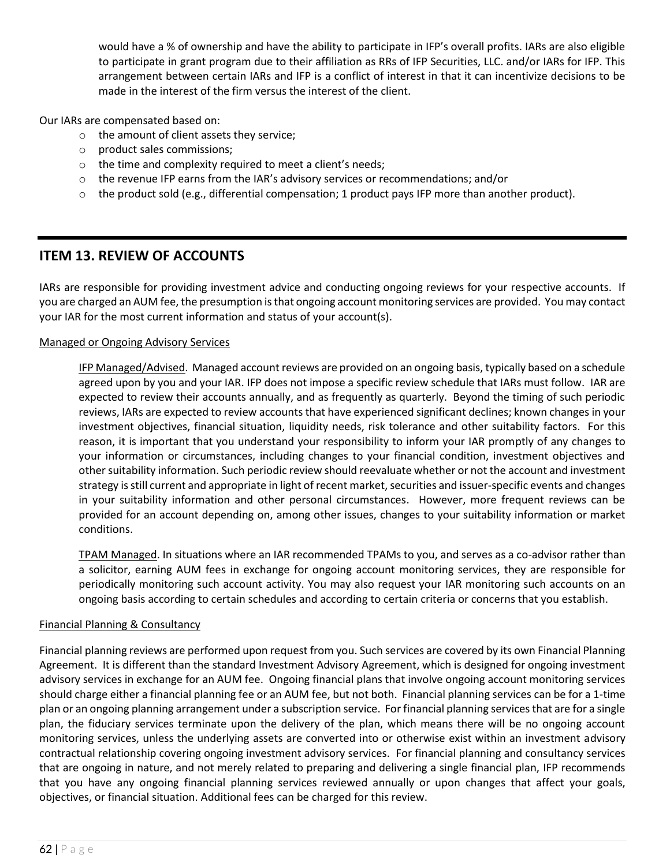would have a % of ownership and have the ability to participate in IFP's overall profits. IARs are also eligible to participate in grant program due to their affiliation as RRs of IFP Securities, LLC. and/or IARs for IFP. This arrangement between certain IARs and IFP is a conflict of interest in that it can incentivize decisions to be made in the interest of the firm versus the interest of the client.

Our IARs are compensated based on:

- o the amount of client assets they service;
- o product sales commissions;
- o the time and complexity required to meet a client's needs;
- $\circ$  the revenue IFP earns from the IAR's advisory services or recommendations; and/or
- $\circ$  the product sold (e.g., differential compensation; 1 product pays IFP more than another product).

# <span id="page-61-0"></span>**ITEM 13. REVIEW OF ACCOUNTS**

IARs are responsible for providing investment advice and conducting ongoing reviews for your respective accounts. If you are charged an AUM fee, the presumption is that ongoing account monitoring services are provided. Youmay contact your IAR for the most current information and status of your account(s).

# Managed or Ongoing Advisory Services

IFP Managed/Advised. Managed account reviews are provided on an ongoing basis, typically based on a schedule agreed upon by you and your IAR. IFP does not impose a specific review schedule that IARs must follow. IAR are expected to review their accounts annually, and as frequently as quarterly. Beyond the timing of such periodic reviews, IARs are expected to review accounts that have experienced significant declines; known changes in your investment objectives, financial situation, liquidity needs, risk tolerance and other suitability factors. For this reason, it is important that you understand your responsibility to inform your IAR promptly of any changes to your information or circumstances, including changes to your financial condition, investment objectives and other suitability information. Such periodic review should reevaluate whether or not the account and investment strategy is still current and appropriate in light of recent market, securities and issuer-specific events and changes in your suitability information and other personal circumstances. However, more frequent reviews can be provided for an account depending on, among other issues, changes to your suitability information or market conditions.

TPAM Managed. In situations where an IAR recommended TPAMs to you, and serves as a co-advisor rather than a solicitor, earning AUM fees in exchange for ongoing account monitoring services, they are responsible for periodically monitoring such account activity. You may also request your IAR monitoring such accounts on an ongoing basis according to certain schedules and according to certain criteria or concerns that you establish.

#### Financial Planning & Consultancy

Financial planning reviews are performed upon request from you. Such services are covered by its own Financial Planning Agreement. It is different than the standard Investment Advisory Agreement, which is designed for ongoing investment advisory services in exchange for an AUM fee. Ongoing financial plans that involve ongoing account monitoring services should charge either a financial planning fee or an AUM fee, but not both. Financial planning services can be for a 1-time plan or an ongoing planning arrangement under a subscription service. For financial planning services that are for a single plan, the fiduciary services terminate upon the delivery of the plan, which means there will be no ongoing account monitoring services, unless the underlying assets are converted into or otherwise exist within an investment advisory contractual relationship covering ongoing investment advisory services. For financial planning and consultancy services that are ongoing in nature, and not merely related to preparing and delivering a single financial plan, IFP recommends that you have any ongoing financial planning services reviewed annually or upon changes that affect your goals, objectives, or financial situation. Additional fees can be charged for this review.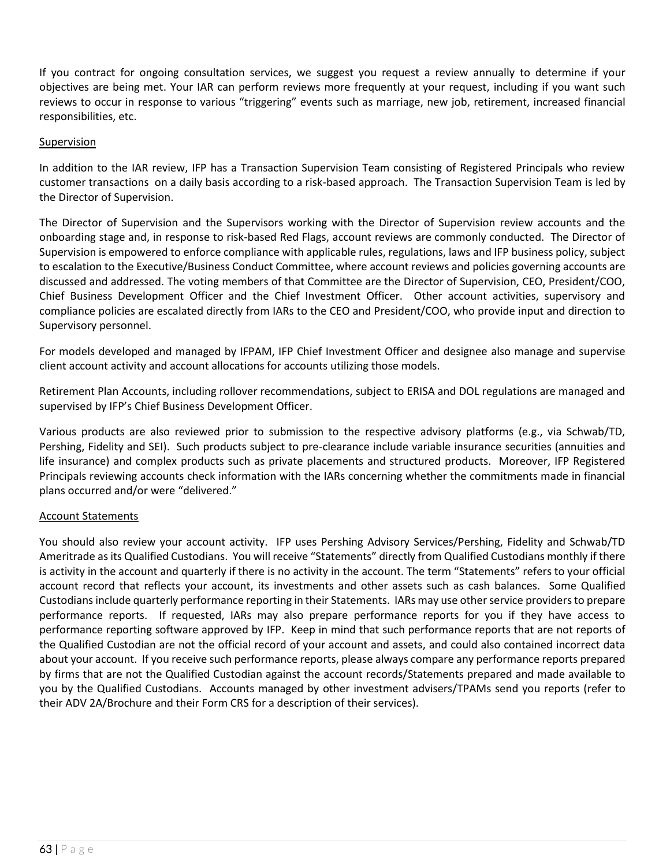If you contract for ongoing consultation services, we suggest you request a review annually to determine if your objectives are being met. Your IAR can perform reviews more frequently at your request, including if you want such reviews to occur in response to various "triggering" events such as marriage, new job, retirement, increased financial responsibilities, etc.

#### **Supervision**

In addition to the IAR review, IFP has a Transaction Supervision Team consisting of Registered Principals who review customer transactions on a daily basis according to a risk-based approach. The Transaction Supervision Team is led by the Director of Supervision.

The Director of Supervision and the Supervisors working with the Director of Supervision review accounts and the onboarding stage and, in response to risk-based Red Flags, account reviews are commonly conducted. The Director of Supervision is empowered to enforce compliance with applicable rules, regulations, laws and IFP business policy, subject to escalation to the Executive/Business Conduct Committee, where account reviews and policies governing accounts are discussed and addressed. The voting members of that Committee are the Director of Supervision, CEO, President/COO, Chief Business Development Officer and the Chief Investment Officer. Other account activities, supervisory and compliance policies are escalated directly from IARs to the CEO and President/COO, who provide input and direction to Supervisory personnel.

For models developed and managed by IFPAM, IFP Chief Investment Officer and designee also manage and supervise client account activity and account allocations for accounts utilizing those models.

Retirement Plan Accounts, including rollover recommendations, subject to ERISA and DOL regulations are managed and supervised by IFP's Chief Business Development Officer.

Various products are also reviewed prior to submission to the respective advisory platforms (e.g., via Schwab/TD, Pershing, Fidelity and SEI). Such products subject to pre-clearance include variable insurance securities (annuities and life insurance) and complex products such as private placements and structured products. Moreover, IFP Registered Principals reviewing accounts check information with the IARs concerning whether the commitments made in financial plans occurred and/or were "delivered."

#### Account Statements

You should also review your account activity. IFP uses Pershing Advisory Services/Pershing, Fidelity and Schwab/TD Ameritrade as its Qualified Custodians. You will receive "Statements" directly from Qualified Custodians monthly if there is activity in the account and quarterly if there is no activity in the account. The term "Statements" refers to your official account record that reflects your account, its investments and other assets such as cash balances. Some Qualified Custodians include quarterly performance reporting in their Statements. IARs may use other service providersto prepare performance reports. If requested, IARs may also prepare performance reports for you if they have access to performance reporting software approved by IFP. Keep in mind that such performance reports that are not reports of the Qualified Custodian are not the official record of your account and assets, and could also contained incorrect data about your account. If you receive such performance reports, please always compare any performance reports prepared by firms that are not the Qualified Custodian against the account records/Statements prepared and made available to you by the Qualified Custodians. Accounts managed by other investment advisers/TPAMs send you reports (refer to their ADV 2A/Brochure and their Form CRS for a description of their services).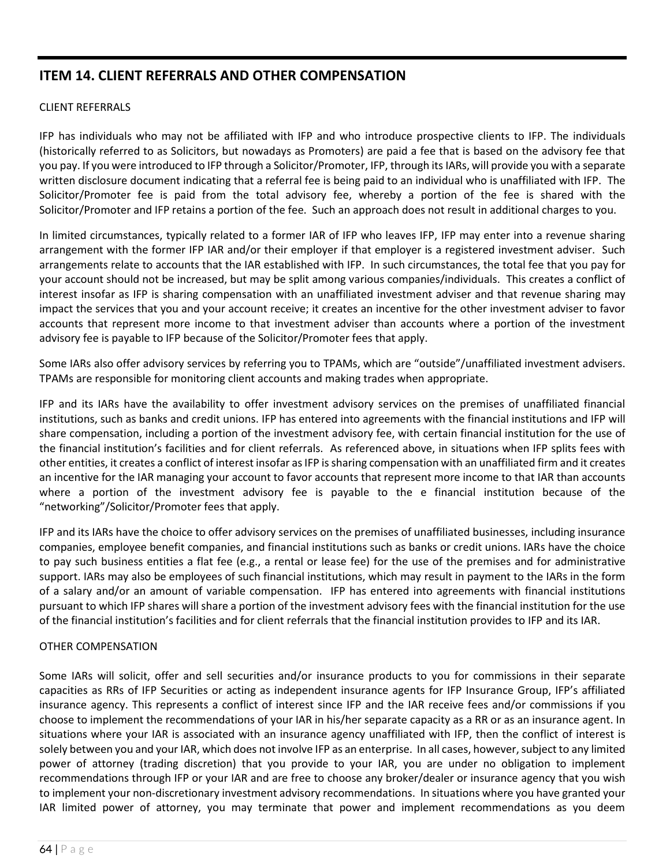# <span id="page-63-0"></span>**ITEM 14. CLIENT REFERRALS AND OTHER COMPENSATION**

#### CLIENT REFERRALS

IFP has individuals who may not be affiliated with IFP and who introduce prospective clients to IFP. The individuals (historically referred to as Solicitors, but nowadays as Promoters) are paid a fee that is based on the advisory fee that you pay. If you were introduced to IFP through a Solicitor/Promoter, IFP, through its IARs, will provide you with a separate written disclosure document indicating that a referral fee is being paid to an individual who is unaffiliated with IFP. The Solicitor/Promoter fee is paid from the total advisory fee, whereby a portion of the fee is shared with the Solicitor/Promoter and IFP retains a portion of the fee. Such an approach does not result in additional charges to you.

In limited circumstances, typically related to a former IAR of IFP who leaves IFP, IFP may enter into a revenue sharing arrangement with the former IFP IAR and/or their employer if that employer is a registered investment adviser. Such arrangements relate to accounts that the IAR established with IFP. In such circumstances, the total fee that you pay for your account should not be increased, but may be split among various companies/individuals. This creates a conflict of interest insofar as IFP is sharing compensation with an unaffiliated investment adviser and that revenue sharing may impact the services that you and your account receive; it creates an incentive for the other investment adviser to favor accounts that represent more income to that investment adviser than accounts where a portion of the investment advisory fee is payable to IFP because of the Solicitor/Promoter fees that apply.

Some IARs also offer advisory services by referring you to TPAMs, which are "outside"/unaffiliated investment advisers. TPAMs are responsible for monitoring client accounts and making trades when appropriate.

IFP and its IARs have the availability to offer investment advisory services on the premises of unaffiliated financial institutions, such as banks and credit unions. IFP has entered into agreements with the financial institutions and IFP will share compensation, including a portion of the investment advisory fee, with certain financial institution for the use of the financial institution's facilities and for client referrals. As referenced above, in situations when IFP splits fees with other entities, it creates a conflict of interest insofar as IFP is sharing compensation with an unaffiliated firm and it creates an incentive for the IAR managing your account to favor accounts that represent more income to that IAR than accounts where a portion of the investment advisory fee is payable to the e financial institution because of the "networking"/Solicitor/Promoter fees that apply.

IFP and its IARs have the choice to offer advisory services on the premises of unaffiliated businesses, including insurance companies, employee benefit companies, and financial institutions such as banks or credit unions. IARs have the choice to pay such business entities a flat fee (e.g., a rental or lease fee) for the use of the premises and for administrative support. IARs may also be employees of such financial institutions, which may result in payment to the IARs in the form of a salary and/or an amount of variable compensation. IFP has entered into agreements with financial institutions pursuant to which IFP shares will share a portion of the investment advisory fees with the financial institution for the use of the financial institution's facilities and for client referrals that the financial institution provides to IFP and its IAR.

#### OTHER COMPENSATION

Some IARs will solicit, offer and sell securities and/or insurance products to you for commissions in their separate capacities as RRs of IFP Securities or acting as independent insurance agents for IFP Insurance Group, IFP's affiliated insurance agency. This represents a conflict of interest since IFP and the IAR receive fees and/or commissions if you choose to implement the recommendations of your IAR in his/her separate capacity as a RR or as an insurance agent. In situations where your IAR is associated with an insurance agency unaffiliated with IFP, then the conflict of interest is solely between you and your IAR, which does not involve IFP as an enterprise. In all cases, however, subject to any limited power of attorney (trading discretion) that you provide to your IAR, you are under no obligation to implement recommendations through IFP or your IAR and are free to choose any broker/dealer or insurance agency that you wish to implement your non-discretionary investment advisory recommendations. In situations where you have granted your IAR limited power of attorney, you may terminate that power and implement recommendations as you deem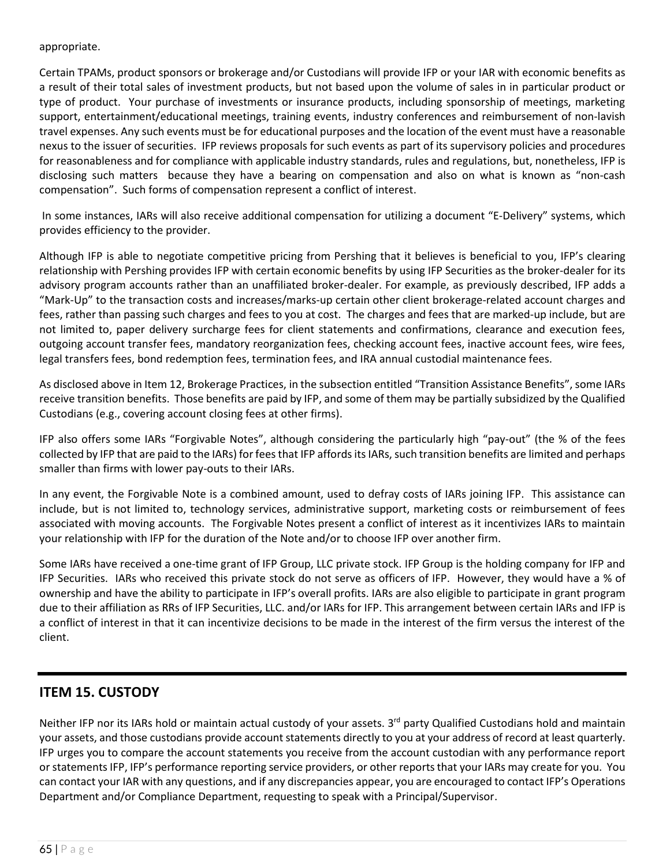#### appropriate.

Certain TPAMs, product sponsors or brokerage and/or Custodians will provide IFP or your IAR with economic benefits as a result of their total sales of investment products, but not based upon the volume of sales in in particular product or type of product. Your purchase of investments or insurance products, including sponsorship of meetings, marketing support, entertainment/educational meetings, training events, industry conferences and reimbursement of non-lavish travel expenses. Any such events must be for educational purposes and the location of the event must have a reasonable nexus to the issuer of securities. IFP reviews proposals for such events as part of its supervisory policies and procedures for reasonableness and for compliance with applicable industry standards, rules and regulations, but, nonetheless, IFP is disclosing such matters because they have a bearing on compensation and also on what is known as "non-cash compensation". Such forms of compensation represent a conflict of interest.

In some instances, IARs will also receive additional compensation for utilizing a document "E-Delivery" systems, which provides efficiency to the provider.

Although IFP is able to negotiate competitive pricing from Pershing that it believes is beneficial to you, IFP's clearing relationship with Pershing provides IFP with certain economic benefits by using IFP Securities as the broker-dealer for its advisory program accounts rather than an unaffiliated broker-dealer. For example, as previously described, IFP adds a "Mark-Up" to the transaction costs and increases/marks-up certain other client brokerage-related account charges and fees, rather than passing such charges and fees to you at cost. The charges and fees that are marked-up include, but are not limited to, paper delivery surcharge fees for client statements and confirmations, clearance and execution fees, outgoing account transfer fees, mandatory reorganization fees, checking account fees, inactive account fees, wire fees, legal transfers fees, bond redemption fees, termination fees, and IRA annual custodial maintenance fees.

As disclosed above in Item 12, Brokerage Practices, in the subsection entitled "Transition Assistance Benefits", some IARs receive transition benefits. Those benefits are paid by IFP, and some of them may be partially subsidized by the Qualified Custodians (e.g., covering account closing fees at other firms).

IFP also offers some IARs "Forgivable Notes", although considering the particularly high "pay-out" (the % of the fees collected by IFP that are paid to the IARs) for fees that IFP affords its IARs, such transition benefits are limited and perhaps smaller than firms with lower pay-outs to their IARs.

In any event, the Forgivable Note is a combined amount, used to defray costs of IARs joining IFP. This assistance can include, but is not limited to, technology services, administrative support, marketing costs or reimbursement of fees associated with moving accounts. The Forgivable Notes present a conflict of interest as it incentivizes IARs to maintain your relationship with IFP for the duration of the Note and/or to choose IFP over another firm.

Some IARs have received a one-time grant of IFP Group, LLC private stock. IFP Group is the holding company for IFP and IFP Securities. IARs who received this private stock do not serve as officers of IFP. However, they would have a % of ownership and have the ability to participate in IFP's overall profits. IARs are also eligible to participate in grant program due to their affiliation as RRs of IFP Securities, LLC. and/or IARs for IFP. This arrangement between certain IARs and IFP is a conflict of interest in that it can incentivize decisions to be made in the interest of the firm versus the interest of the client.

# <span id="page-64-0"></span>**ITEM 15. CUSTODY**

Neither IFP nor its IARs hold or maintain actual custody of your assets. 3<sup>rd</sup> party Qualified Custodians hold and maintain your assets, and those custodians provide account statements directly to you at your address of record at least quarterly. IFP urges you to compare the account statements you receive from the account custodian with any performance report or statements IFP, IFP's performance reporting service providers, or other reports that your IARs may create for you. You can contact your IAR with any questions, and if any discrepancies appear, you are encouraged to contact IFP's Operations Department and/or Compliance Department, requesting to speak with a Principal/Supervisor.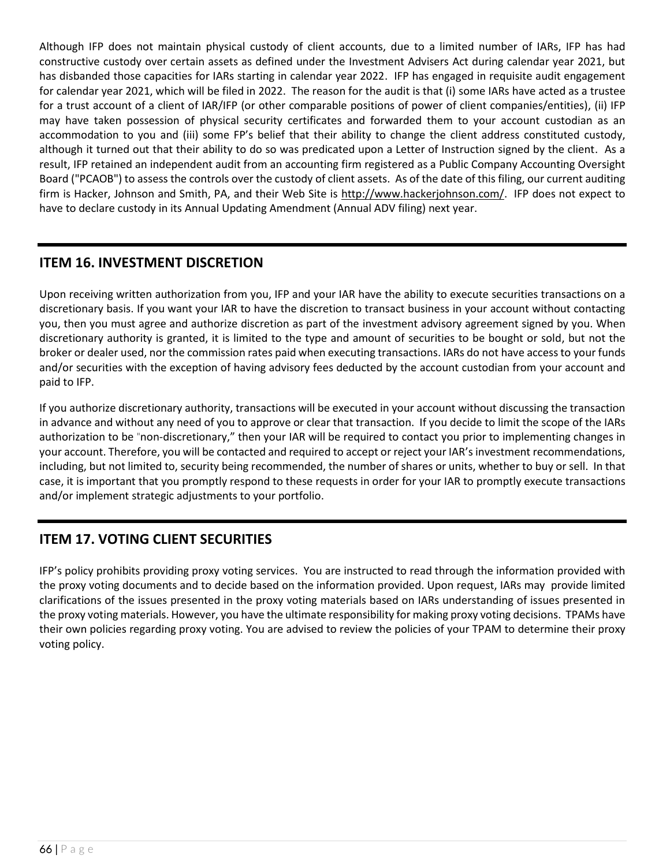Although IFP does not maintain physical custody of client accounts, due to a limited number of IARs, IFP has had constructive custody over certain assets as defined under the Investment Advisers Act during calendar year 2021, but has disbanded those capacities for IARs starting in calendar year 2022. IFP has engaged in requisite audit engagement for calendar year 2021, which will be filed in 2022. The reason for the audit is that (i) some IARs have acted as a trustee for a trust account of a client of IAR/IFP (or other comparable positions of power of client companies/entities), (ii) IFP may have taken possession of physical security certificates and forwarded them to your account custodian as an accommodation to you and (iii) some FP's belief that their ability to change the client address constituted custody, although it turned out that their ability to do so was predicated upon a Letter of Instruction signed by the client. As a result, IFP retained an independent audit from an accounting firm registered as a Public Company Accounting Oversight Board ("PCAOB") to assess the controls over the custody of client assets. As of the date of this filing, our current auditing firm is Hacker, Johnson and Smith, PA, and their Web Site is [http://www.hackerjohnson.com/.](http://www.hackerjohnson.com/) IFP does not expect to have to declare custody in its Annual Updating Amendment (Annual ADV filing) next year.

# <span id="page-65-0"></span>**ITEM 16. INVESTMENT DISCRETION**

Upon receiving written authorization from you, IFP and your IAR have the ability to execute securities transactions on a discretionary basis. If you want your IAR to have the discretion to transact business in your account without contacting you, then you must agree and authorize discretion as part of the investment advisory agreement signed by you. When discretionary authority is granted, it is limited to the type and amount of securities to be bought or sold, but not the broker or dealer used, nor the commission rates paid when executing transactions. IARs do not have access to your funds and/or securities with the exception of having advisory fees deducted by the account custodian from your account and paid to IFP.

If you authorize discretionary authority, transactions will be executed in your account without discussing the transaction in advance and without any need of you to approve or clear that transaction. If you decide to limit the scope of the IARs authorization to be "non-discretionary," then your IAR will be required to contact you prior to implementing changes in your account. Therefore, you will be contacted and required to accept or reject your IAR's investment recommendations, including, but not limited to, security being recommended, the number of shares or units, whether to buy or sell. In that case, it is important that you promptly respond to these requests in order for your IAR to promptly execute transactions and/or implement strategic adjustments to your portfolio.

# <span id="page-65-1"></span>**ITEM 17. VOTING CLIENT SECURITIES**

IFP's policy prohibits providing proxy voting services. You are instructed to read through the information provided with the proxy voting documents and to decide based on the information provided. Upon request, IARs may provide limited clarifications of the issues presented in the proxy voting materials based on IARs understanding of issues presented in the proxy voting materials. However, you have the ultimate responsibility for making proxy voting decisions. TPAMs have their own policies regarding proxy voting. You are advised to review the policies of your TPAM to determine their proxy voting policy.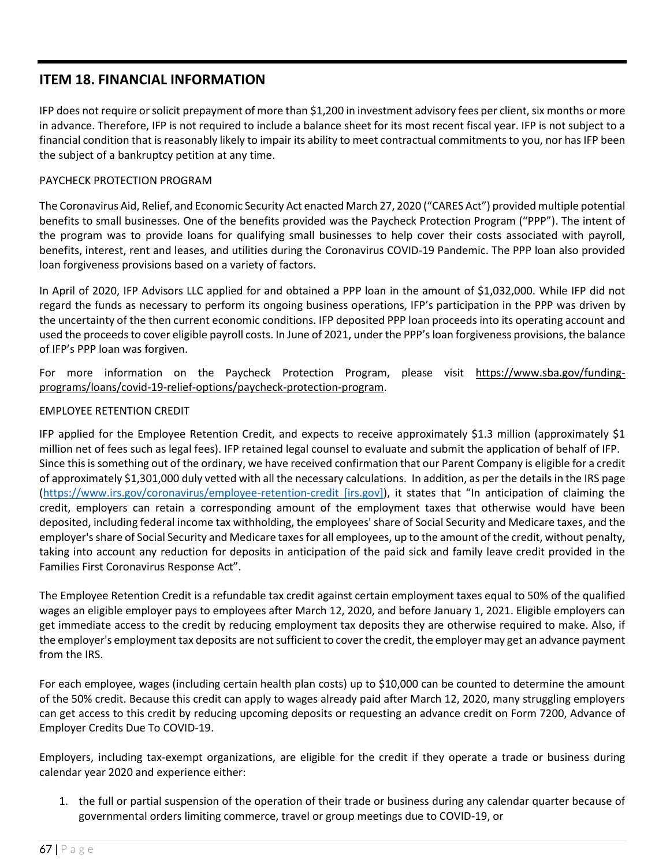# <span id="page-66-0"></span>**ITEM 18. FINANCIAL INFORMATION**

IFP does not require or solicit prepayment of more than \$1,200 in investment advisory fees per client, six months or more in advance. Therefore, IFP is not required to include a balance sheet for its most recent fiscal year. IFP is not subject to a financial condition that is reasonably likely to impair its ability to meet contractual commitments to you, nor has IFP been the subject of a bankruptcy petition at any time.

# PAYCHECK PROTECTION PROGRAM

The Coronavirus Aid, Relief, and Economic Security Act enacted March 27, 2020 ("CARES Act") provided multiple potential benefits to small businesses. One of the benefits provided was the Paycheck Protection Program ("PPP"). The intent of the program was to provide loans for qualifying small businesses to help cover their costs associated with payroll, benefits, interest, rent and leases, and utilities during the Coronavirus COVID-19 Pandemic. The PPP loan also provided loan forgiveness provisions based on a variety of factors.

In April of 2020, IFP Advisors LLC applied for and obtained a PPP loan in the amount of \$1,032,000. While IFP did not regard the funds as necessary to perform its ongoing business operations, IFP's participation in the PPP was driven by the uncertainty of the then current economic conditions. IFP deposited PPP loan proceeds into its operating account and used the proceeds to cover eligible payroll costs. In June of 2021, under the PPP's loan forgiveness provisions, the balance of IFP's PPP loan was forgiven.

For more information on the Paycheck Protection Program, please visit [https://www.sba.gov/funding](https://www.sba.gov/funding-programs/loans/covid-19-relief-options/paycheck-protection-program)[programs/loans/covid-19-relief-options/paycheck-protection-program.](https://www.sba.gov/funding-programs/loans/covid-19-relief-options/paycheck-protection-program)

# EMPLOYEE RETENTION CREDIT

IFP applied for the Employee Retention Credit, and expects to receive approximately \$1.3 million (approximately \$1 million net of fees such as legal fees). IFP retained legal counsel to evaluate and submit the application of behalf of IFP. Since this is something out of the ordinary, we have received confirmation that our Parent Company is eligible for a credit of approximately \$1,301,000 duly vetted with all the necessary calculations. In addition, as per the details in the IRS page [\(https://www.irs.gov/coronavirus/employee-retention-credit \[irs.gov\]\)](https://urldefense.com/v3/__https:/www.irs.gov/coronavirus/employee-retention-credit__;!!MQQ7itY!aZ3cNr5ZiiHQOoQ4eEOJqLYmQ3c7twRucNF_57-2nxdTGSzo9aNcwzcTTiFEfdmx$), it states that "In anticipation of claiming the credit, employers can retain a corresponding amount of the employment taxes that otherwise would have been deposited, including federal income tax withholding, the employees' share of Social Security and Medicare taxes, and the employer's share of Social Security and Medicare taxes for all employees, up to the amount of the credit, without penalty, taking into account any reduction for deposits in anticipation of the paid sick and family leave credit provided in the Families First Coronavirus Response Act".

The Employee Retention Credit is a refundable tax credit against certain employment taxes equal to 50% of the qualified wages an eligible employer pays to employees after March 12, 2020, and before January 1, 2021. Eligible employers can get immediate access to the credit by reducing employment tax deposits they are otherwise required to make. Also, if the employer's employment tax deposits are not sufficient to cover the credit, the employer may get an advance payment from the IRS.

For each employee, wages (including certain health plan costs) up to \$10,000 can be counted to determine the amount of the 50% credit. Because this credit can apply to wages already paid after March 12, 2020, many struggling employers can get access to this credit by reducing upcoming deposits or requesting an advance credit on [Form 7200, Advance of](https://www.irs.gov/forms-pubs/about-form-7200)  [Employer Credits Due To COVID-19.](https://www.irs.gov/forms-pubs/about-form-7200)

Employers, including tax-exempt organizations, are eligible for the credit if they operate a trade or business during calendar year 2020 and experience either:

1. the full or partial suspension of the operation of their trade or business during any calendar quarter because of governmental orders limiting commerce, travel or group meetings due to COVID-19, or